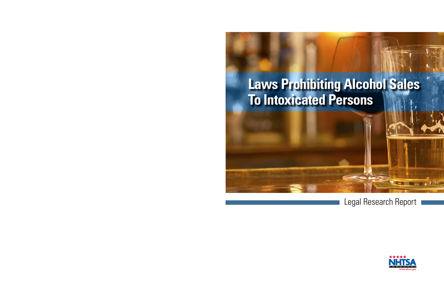# **Laws Prohibiting Alcohol Sales To Intoxicated Persons**

Legal Research Report



**IT NORTHER**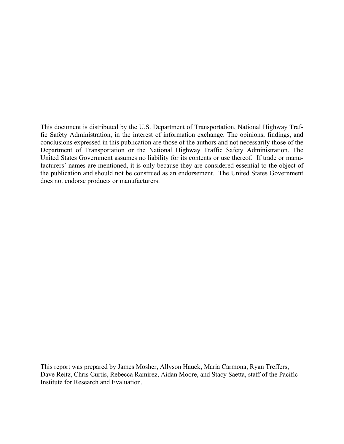This document is distributed by the U.S. Department of Transportation, National Highway Traffic Safety Administration, in the interest of information exchange. The opinions, findings, and conclusions expressed in this publication are those of the authors and not necessarily those of the Department of Transportation or the National Highway Traffic Safety Administration. The United States Government assumes no liability for its contents or use thereof. If trade or manufacturers' names are mentioned, it is only because they are considered essential to the object of the publication and should not be construed as an endorsement. The United States Government does not endorse products or manufacturers.

This report was prepared by James Mosher, Allyson Hauck, Maria Carmona, Ryan Treffers, Dave Reitz, Chris Curtis, Rebecca Ramirez, Aidan Moore, and Stacy Saetta, staff of the Pacific Institute for Research and Evaluation.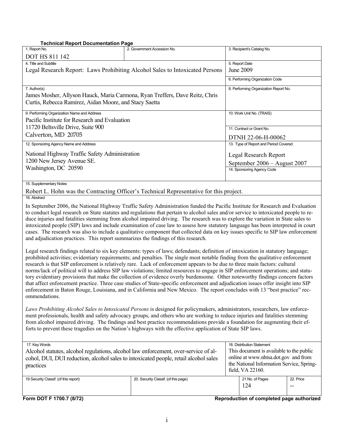**Technical Report Documentation Page** 

| Technical Report Documentation Page                                                                                                                                                                                                                                                                                                                                                                                                                                                                                                                                                                                                                                                                                                                                                                                                                                                                                                                           |                                                                                                                                                   |                                       |           |  |  |  |  |  |
|---------------------------------------------------------------------------------------------------------------------------------------------------------------------------------------------------------------------------------------------------------------------------------------------------------------------------------------------------------------------------------------------------------------------------------------------------------------------------------------------------------------------------------------------------------------------------------------------------------------------------------------------------------------------------------------------------------------------------------------------------------------------------------------------------------------------------------------------------------------------------------------------------------------------------------------------------------------|---------------------------------------------------------------------------------------------------------------------------------------------------|---------------------------------------|-----------|--|--|--|--|--|
| 1. Report No.<br>2. Government Accession No.<br><b>DOT HS 811 142</b>                                                                                                                                                                                                                                                                                                                                                                                                                                                                                                                                                                                                                                                                                                                                                                                                                                                                                         |                                                                                                                                                   | 3. Recipient's Catalog No.            |           |  |  |  |  |  |
| 4. Title and Subtitle<br>Legal Research Report: Laws Prohibiting Alcohol Sales to Intoxicated Persons                                                                                                                                                                                                                                                                                                                                                                                                                                                                                                                                                                                                                                                                                                                                                                                                                                                         | 5. Report Date<br>June 2009                                                                                                                       |                                       |           |  |  |  |  |  |
|                                                                                                                                                                                                                                                                                                                                                                                                                                                                                                                                                                                                                                                                                                                                                                                                                                                                                                                                                               | 6. Performing Organization Code                                                                                                                   |                                       |           |  |  |  |  |  |
| 7. Author(s)<br>James Mosher, Allyson Hauck, Maria Carmona, Ryan Treffers, Dave Reitz, Chris<br>Curtis, Rebecca Ramirez, Aidan Moore, and Stacy Saetta                                                                                                                                                                                                                                                                                                                                                                                                                                                                                                                                                                                                                                                                                                                                                                                                        | 8. Performing Organization Report No.                                                                                                             |                                       |           |  |  |  |  |  |
| 9. Performing Organization Name and Address<br>Pacific Institute for Research and Evaluation                                                                                                                                                                                                                                                                                                                                                                                                                                                                                                                                                                                                                                                                                                                                                                                                                                                                  | 10. Work Unit No. (TRAIS)                                                                                                                         |                                       |           |  |  |  |  |  |
| 11720 Beltsville Drive, Suite 900                                                                                                                                                                                                                                                                                                                                                                                                                                                                                                                                                                                                                                                                                                                                                                                                                                                                                                                             | 11. Contract or Grant No.                                                                                                                         |                                       |           |  |  |  |  |  |
| Calverton, MD 20705                                                                                                                                                                                                                                                                                                                                                                                                                                                                                                                                                                                                                                                                                                                                                                                                                                                                                                                                           | DTNH 22-06-H-00062                                                                                                                                |                                       |           |  |  |  |  |  |
| 12. Sponsoring Agency Name and Address                                                                                                                                                                                                                                                                                                                                                                                                                                                                                                                                                                                                                                                                                                                                                                                                                                                                                                                        |                                                                                                                                                   | 13. Type of Report and Period Covered |           |  |  |  |  |  |
| National Highway Traffic Safety Administration                                                                                                                                                                                                                                                                                                                                                                                                                                                                                                                                                                                                                                                                                                                                                                                                                                                                                                                |                                                                                                                                                   | Legal Research Report                 |           |  |  |  |  |  |
| 1200 New Jersey Avenue SE.                                                                                                                                                                                                                                                                                                                                                                                                                                                                                                                                                                                                                                                                                                                                                                                                                                                                                                                                    |                                                                                                                                                   | September 2006 - August 2007          |           |  |  |  |  |  |
| Washington, DC 20590                                                                                                                                                                                                                                                                                                                                                                                                                                                                                                                                                                                                                                                                                                                                                                                                                                                                                                                                          |                                                                                                                                                   | 14. Sponsoring Agency Code            |           |  |  |  |  |  |
| 15. Supplementary Notes                                                                                                                                                                                                                                                                                                                                                                                                                                                                                                                                                                                                                                                                                                                                                                                                                                                                                                                                       |                                                                                                                                                   |                                       |           |  |  |  |  |  |
| Robert L. Hohn was the Contracting Officer's Technical Representative for this project.                                                                                                                                                                                                                                                                                                                                                                                                                                                                                                                                                                                                                                                                                                                                                                                                                                                                       |                                                                                                                                                   |                                       |           |  |  |  |  |  |
| 16. Abstract                                                                                                                                                                                                                                                                                                                                                                                                                                                                                                                                                                                                                                                                                                                                                                                                                                                                                                                                                  |                                                                                                                                                   |                                       |           |  |  |  |  |  |
| In September 2006, the National Highway Traffic Safety Administration funded the Pacific Institute for Research and Evaluation<br>to conduct legal research on State statutes and regulations that pertain to alcohol sales and/or service to intoxicated people to re-<br>duce injuries and fatalities stemming from alcohol impaired driving. The research was to explore the variation in State sales to<br>intoxicated people (SIP) laws and include examination of case law to assess how statutory language has been interpreted in court<br>cases. The research was also to include a qualitative component that collected data on key issues specific to SIP law enforcement<br>and adjudication practices. This report summarizes the findings of this research.                                                                                                                                                                                     |                                                                                                                                                   |                                       |           |  |  |  |  |  |
| Legal research findings related to six key elements: types of laws; defendants; definition of intoxication in statutory language;<br>prohibited activities; evidentiary requirements; and penalties. The single most notable finding from the qualitative enforcement<br>research is that SIP enforcement is relatively rare. Lack of enforcement appears to be due to three main factors: cultural<br>norms/lack of political will to address SIP law violations; limited resources to engage in SIP enforcement operations; and statu-<br>tory evidentiary provisions that make the collection of evidence overly burdensome. Other noteworthy findings concern factors<br>that affect enforcement practice. Three case studies of State-specific enforcement and adjudication issues offer insight into SIP<br>enforcement in Baton Rouge, Louisiana, and in California and New Mexico. The report concludes with 13 "best practice" rec-<br>ommendations. |                                                                                                                                                   |                                       |           |  |  |  |  |  |
| Laws Prohibiting Alcohol Sales to Intoxicated Persons is designed for policymakers, administrators, researchers, law enforce-<br>ment professionals, health and safety advocacy groups, and others who are working to reduce injuries and fatalities stemming<br>from alcohol impaired driving. The findings and best practice recommendations provide a foundation for augmenting their ef-<br>forts to prevent these tragedies on the Nation's highways with the effective application of State SIP laws.                                                                                                                                                                                                                                                                                                                                                                                                                                                   |                                                                                                                                                   |                                       |           |  |  |  |  |  |
| 17. Key Words                                                                                                                                                                                                                                                                                                                                                                                                                                                                                                                                                                                                                                                                                                                                                                                                                                                                                                                                                 |                                                                                                                                                   | 18. Distribution Statement            |           |  |  |  |  |  |
| Alcohol statutes, alcohol regulations, alcohol law enforcement, over-service of al-<br>cohol, DUI, DUI reduction, alcohol sales to intoxicated people, retail alcohol sales<br>practices                                                                                                                                                                                                                                                                                                                                                                                                                                                                                                                                                                                                                                                                                                                                                                      | This document is available to the public<br>online at www.nhtsa.dot.gov and from<br>the National Information Service, Spring-<br>field, VA 22160. |                                       |           |  |  |  |  |  |
| 19 Security Classif. (of this report)                                                                                                                                                                                                                                                                                                                                                                                                                                                                                                                                                                                                                                                                                                                                                                                                                                                                                                                         | 20. Security Classif. (of this page)                                                                                                              | 21 No. of Pages<br>124                | 22. Price |  |  |  |  |  |

**Form DOT F 1700.7 (8/72) Reproduction of completed page authorized**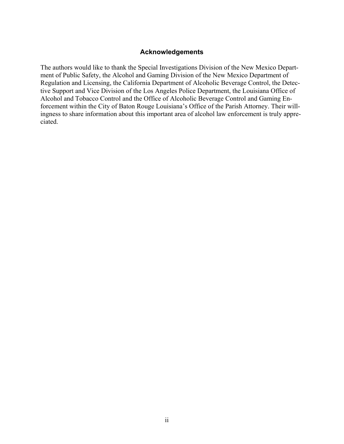#### **Acknowledgements**

<span id="page-3-0"></span>The authors would like to thank the Special Investigations Division of the New Mexico Department of Public Safety, the Alcohol and Gaming Division of the New Mexico Department of Regulation and Licensing, the California Department of Alcoholic Beverage Control, the Detective Support and Vice Division of the Los Angeles Police Department, the Louisiana Office of Alcohol and Tobacco Control and the Office of Alcoholic Beverage Control and Gaming Enforcement within the City of Baton Rouge Louisiana's Office of the Parish Attorney. Their willingness to share information about this important area of alcohol law enforcement is truly appreciated.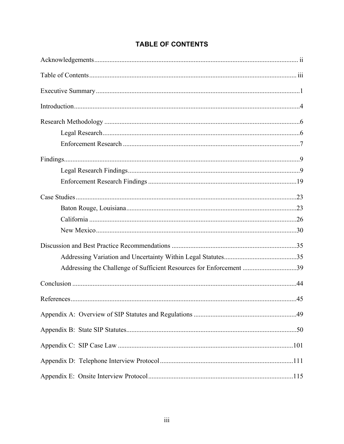| Addressing the Challenge of Sufficient Resources for Enforcement 39 |  |
|---------------------------------------------------------------------|--|
|                                                                     |  |
|                                                                     |  |
|                                                                     |  |
|                                                                     |  |
|                                                                     |  |
|                                                                     |  |
|                                                                     |  |

# **TABLE OF CONTENTS**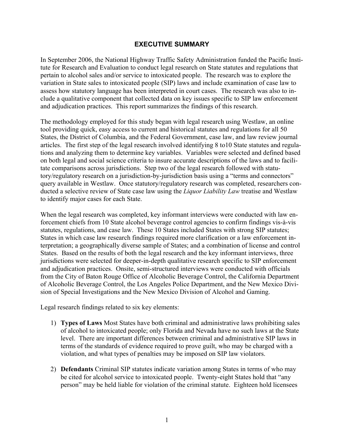### **EXECUTIVE SUMMARY**

<span id="page-5-0"></span>In September 2006, the National Highway Traffic Safety Administration funded the Pacific Institute for Research and Evaluation to conduct legal research on State statutes and regulations that pertain to alcohol sales and/or service to intoxicated people. The research was to explore the variation in State sales to intoxicated people (SIP) laws and include examination of case law to assess how statutory language has been interpreted in court cases. The research was also to include a qualitative component that collected data on key issues specific to SIP law enforcement and adjudication practices. This report summarizes the findings of this research.

The methodology employed for this study began with legal research using Westlaw, an online tool providing quick, easy access to current and historical statutes and regulations for all 50 States, the District of Columbia, and the Federal Government, case law, and law review journal articles. The first step of the legal research involved identifying 8 to10 State statutes and regulations and analyzing them to determine key variables. Variables were selected and defined based on both legal and social science criteria to insure accurate descriptions of the laws and to facilitate comparisons across jurisdictions. Step two of the legal research followed with statutory/regulatory research on a jurisdiction-by-jurisdiction basis using a "terms and connectors" query available in Westlaw. Once statutory/regulatory research was completed, researchers conducted a selective review of State case law using the *Liquor Liability Law* treatise and Westlaw to identify major cases for each State.

When the legal research was completed, key informant interviews were conducted with law enforcement chiefs from 10 State alcohol beverage control agencies to confirm findings vis-à-vis statutes, regulations, and case law. These 10 States included States with strong SIP statutes; States in which case law research findings required more clarification or a law enforcement interpretation; a geographically diverse sample of States; and a combination of license and control States. Based on the results of both the legal research and the key informant interviews, three jurisdictions were selected for deeper-in-depth qualitative research specific to SIP enforcement and adjudication practices. Onsite, semi-structured interviews were conducted with officials from the City of Baton Rouge Office of Alcoholic Beverage Control, the California Department of Alcoholic Beverage Control, the Los Angeles Police Department, and the New Mexico Division of Special Investigations and the New Mexico Division of Alcohol and Gaming.

Legal research findings related to six key elements:

- 1) **Types of Laws** Most States have both criminal and administrative laws prohibiting sales of alcohol to intoxicated people; only Florida and Nevada have no such laws at the State level. There are important differences between criminal and administrative SIP laws in terms of the standards of evidence required to prove guilt, who may be charged with a violation, and what types of penalties may be imposed on SIP law violators.
- 2) **Defendants** Criminal SIP statutes indicate variation among States in terms of who may be cited for alcohol service to intoxicated people. Twenty-eight States hold that "any person" may be held liable for violation of the criminal statute. Eighteen hold licensees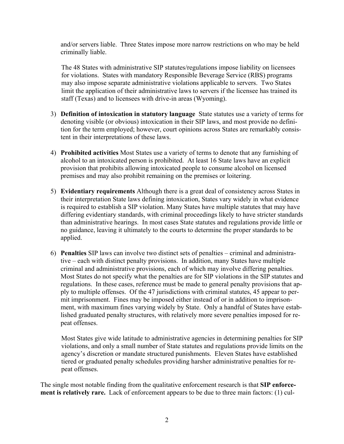and/or servers liable. Three States impose more narrow restrictions on who may be held criminally liable.

The 48 States with administrative SIP statutes/regulations impose liability on licensees for violations. States with mandatory Responsible Beverage Service (RBS) programs may also impose separate administrative violations applicable to servers. Two States limit the application of their administrative laws to servers if the licensee has trained its staff (Texas) and to licensees with drive-in areas (Wyoming).

- 3) **Definition of intoxication in statutory language** State statutes use a variety of terms for denoting visible (or obvious) intoxication in their SIP laws, and most provide no definition for the term employed; however, court opinions across States are remarkably consistent in their interpretations of these laws.
- 4) **Prohibited activities** Most States use a variety of terms to denote that any furnishing of alcohol to an intoxicated person is prohibited. At least 16 State laws have an explicit provision that prohibits allowing intoxicated people to consume alcohol on licensed premises and may also prohibit remaining on the premises or loitering.
- 5) **Evidentiary requirements** Although there is a great deal of consistency across States in their interpretation State laws defining intoxication, States vary widely in what evidence is required to establish a SIP violation. Many States have multiple statutes that may have differing evidentiary standards, with criminal proceedings likely to have stricter standards than administrative hearings. In most cases State statutes and regulations provide little or no guidance, leaving it ultimately to the courts to determine the proper standards to be applied.
- criminal and administrative provisions, each of which may involve differing penalties. 6) **Penalties** SIP laws can involve two distinct sets of penalties – criminal and administrative – each with distinct penalty provisions. In addition, many States have multiple Most States do not specify what the penalties are for SIP violations in the SIP statutes and regulations. In these cases, reference must be made to general penalty provisions that apply to multiple offenses. Of the 47 jurisdictions with criminal statutes, 45 appear to permit imprisonment. Fines may be imposed either instead of or in addition to imprisonment, with maximum fines varying widely by State. Only a handful of States have established graduated penalty structures, with relatively more severe penalties imposed for repeat offenses.

Most States give wide latitude to administrative agencies in determining penalties for SIP violations, and only a small number of State statutes and regulations provide limits on the agency's discretion or mandate structured punishments. Eleven States have established tiered or graduated penalty schedules providing harsher administrative penalties for repeat offenses.

The single most notable finding from the qualitative enforcement research is that **SIP enforcement is relatively rare.** Lack of enforcement appears to be due to three main factors: (1) cul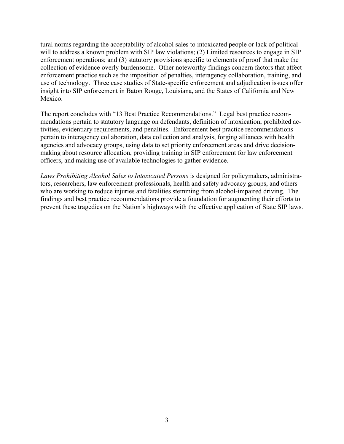tural norms regarding the acceptability of alcohol sales to intoxicated people or lack of political will to address a known problem with SIP law violations; (2) Limited resources to engage in SIP enforcement operations; and (3) statutory provisions specific to elements of proof that make the collection of evidence overly burdensome. Other noteworthy findings concern factors that affect enforcement practice such as the imposition of penalties, interagency collaboration, training, and use of technology. Three case studies of State-specific enforcement and adjudication issues offer insight into SIP enforcement in Baton Rouge, Louisiana, and the States of California and New Mexico.

The report concludes with "13 Best Practice Recommendations." Legal best practice recommendations pertain to statutory language on defendants, definition of intoxication, prohibited activities, evidentiary requirements, and penalties. Enforcement best practice recommendations pertain to interagency collaboration, data collection and analysis, forging alliances with health agencies and advocacy groups, using data to set priority enforcement areas and drive decisionmaking about resource allocation, providing training in SIP enforcement for law enforcement officers, and making use of available technologies to gather evidence.

*Laws Prohibiting Alcohol Sales to Intoxicated Persons* is designed for policymakers, administrators, researchers, law enforcement professionals, health and safety advocacy groups, and others who are working to reduce injuries and fatalities stemming from alcohol-impaired driving. The findings and best practice recommendations provide a foundation for augmenting their efforts to prevent these tragedies on the Nation's highways with the effective application of State SIP laws.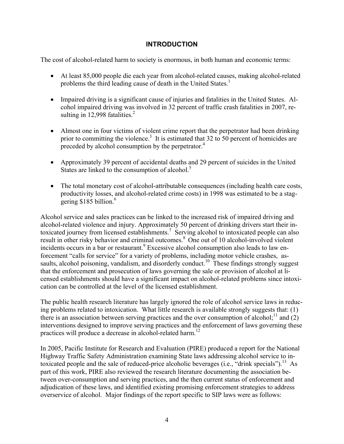# **INTRODUCTION**

<span id="page-8-0"></span>The cost of alcohol-related harm to society is enormous, in both human and economic terms:

- At least 85,000 people die each year from alcohol-related causes, making alcohol-related problems the third leading cause of death in the United States.<sup>1</sup>
- sulting in  $12,998$  fatalities.<sup>2</sup> • Impaired driving is a significant cause of injuries and fatalities in the United States. Alcohol impaired driving was involved in 32 percent of traffic crash fatalities in 2007, re-
- preceded by alcohol consumption by the perpetrator.<sup>4</sup> • Almost one in four victims of violent crime report that the perpetrator had been drinking prior to committing the violence.<sup>3</sup> It is estimated that 32 to 50 percent of homicides are
- States are linked to the consumption of alcohol.<sup>5</sup> • Approximately 39 percent of accidental deaths and 29 percent of suicides in the United
- The total monetary cost of alcohol-attributable consequences (including health care costs, productivity losses, and alcohol-related crime costs) in 1998 was estimated to be a staggering \$185 billion.<sup>6</sup>

Alcohol service and sales practices can be linked to the increased risk of impaired driving and alcohol-related violence and injury. Approximately 50 percent of drinking drivers start their intoxicated journey from licensed establishments.<sup>7</sup> Serving alcohol to intoxicated people can also result in other risky behavior and criminal outcomes.<sup>8</sup> One out of 10 alcohol-involved violent incidents occurs in a bar or restaurant.<sup>9</sup> Excessive alcohol consumption also leads to law en forcement "calls for service" for a variety of problems, including motor vehicle crashes, assaults, alcohol poisoning, vandalism, and disorderly conduct.<sup>10</sup> These findings strongly suggest that the enforcement and prosecution of laws governing the sale or provision of alcohol at licensed establishments should have a significant impact on alcohol-related problems since intoxication can be controlled at the level of the licensed establishment.

The public health research literature has largely ignored the role of alcohol service laws in reducing problems related to intoxication. What little research is available strongly suggests that: (1) there is an association between serving practices and the over consumption of alcohol;<sup>11</sup> and (2) interventions designed to improve serving practices and the enforcement of laws governing these practices will produce a decrease in alcohol-related harm.<sup>12</sup>

In 2005, Pacific Institute for Research and Evaluation (PIRE) produced a report for the National Highway Traffic Safety Administration examining State laws addressing alcohol service to intoxicated people and the sale of reduced-price alcoholic beverages (i.e., "drink specials").<sup>13</sup> As part of this work, PIRE also reviewed the research literature documenting the association between over-consumption and serving practices, and the then current status of enforcement and adjudication of these laws, and identified existing promising enforcement strategies to address overservice of alcohol. Major findings of the report specific to SIP laws were as follows: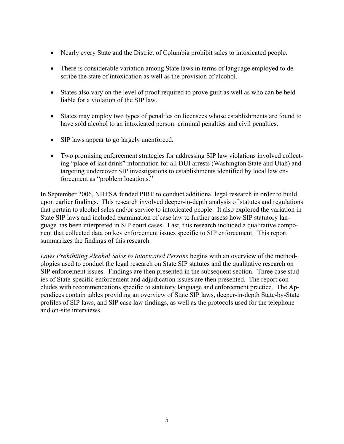- Nearly every State and the District of Columbia prohibit sales to intoxicated people.
- There is considerable variation among State laws in terms of language employed to describe the state of intoxication as well as the provision of alcohol.
- States also vary on the level of proof required to prove guilt as well as who can be held liable for a violation of the SIP law.
- States may employ two types of penalties on licensees whose establishments are found to have sold alcohol to an intoxicated person: criminal penalties and civil penalties.
- SIP laws appear to go largely unenforced.
- Two promising enforcement strategies for addressing SIP law violations involved collecting "place of last drink" information for all DUI arrests (Washington State and Utah) and targeting undercover SIP investigations to establishments identified by local law enforcement as "problem locations."

In September 2006, NHTSA funded PIRE to conduct additional legal research in order to build upon earlier findings. This research involved deeper-in-depth analysis of statutes and regulations that pertain to alcohol sales and/or service to intoxicated people. It also explored the variation in State SIP laws and included examination of case law to further assess how SIP statutory language has been interpreted in SIP court cases. Last, this research included a qualitative component that collected data on key enforcement issues specific to SIP enforcement. This report summarizes the findings of this research.

*Laws Prohibiting Alcohol Sales to Intoxicated Persons* begins with an overview of the methodologies used to conduct the legal research on State SIP statutes and the qualitative research on SIP enforcement issues. Findings are then presented in the subsequent section. Three case studies of State-specific enforcement and adjudication issues are then presented. The report concludes with recommendations specific to statutory language and enforcement practice. The Appendices contain tables providing an overview of State SIP laws, deeper-in-depth State-by-State profiles of SIP laws, and SIP case law findings, as well as the protocols used for the telephone and on-site interviews.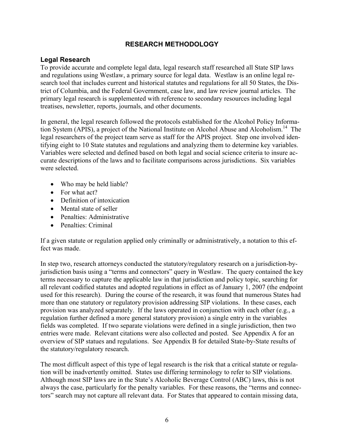# **RESEARCH METHODOLOGY**

### <span id="page-10-0"></span>**Legal Research**

To provide accurate and complete legal data, legal research staff researched all State SIP laws and regulations using Westlaw, a primary source for legal data. Westlaw is an online legal research tool that includes current and historical statutes and regulations for all 50 States, the District of Columbia, and the Federal Government, case law, and law review journal articles. The primary legal research is supplemented with reference to secondary resources including legal treatises, newsletter, reports, journals, and other documents.

In general, the legal research followed the protocols established for the Alcohol Policy Information System (APIS), a project of the National Institute on Alcohol Abuse and Alcoholism.<sup>14</sup> The legal researchers of the project team serve as staff for the APIS project. Step one involved identifying eight to 10 State statutes and regulations and analyzing them to determine key variables. Variables were selected and defined based on both legal and social science criteria to insure accurate descriptions of the laws and to facilitate comparisons across jurisdictions. Six variables were selected.

- Who may be held liable?
- For what act?
- Definition of intoxication
- Mental state of seller
- Penalties: Administrative
- Penalties: Criminal

If a given statute or regulation applied only criminally or administratively, a notation to this effect was made.

In step two, research attorneys conducted the statutory/regulatory research on a jurisdiction-byjurisdiction basis using a "terms and connectors" query in Westlaw. The query contained the key terms necessary to capture the applicable law in that jurisdiction and policy topic, searching for all relevant codified statutes and adopted regulations in effect as of January 1, 2007 (the endpoint used for this research). During the course of the research, it was found that numerous States had more than one statutory or regulatory provision addressing SIP violations. In these cases, each provision was analyzed separately. If the laws operated in conjunction with each other (e.g., a regulation further defined a more general statutory provision) a single entry in the variables fields was completed. If two separate violations were defined in a single jurisdiction, then two entries were made. Relevant citations were also collected and posted. See Appendix A for an overview of SIP statues and regulations. See Appendix B for detailed State-by-State results of the statutory/regulatory research.

The most difficult aspect of this type of legal research is the risk that a critical statute or regulation will be inadvertently omitted. States use differing terminology to refer to SIP violations. Although most SIP laws are in the State's Alcoholic Beverage Control (ABC) laws, this is not always the case, particularly for the penalty variables. For these reasons, the "terms and connectors" search may not capture all relevant data. For States that appeared to contain missing data,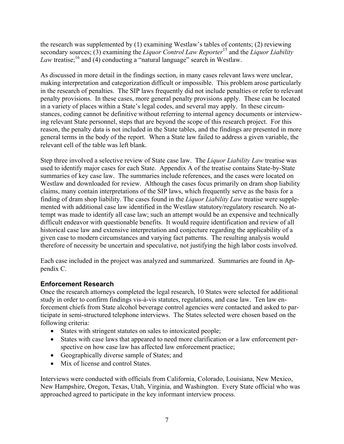<span id="page-11-0"></span>the research was supplemented by (1) examining Westlaw's tables of contents; (2) reviewing secondary sources; (3) examining the *Liquor Control Law Reporter*15 and the *Liquor Liability Law* treatise;<sup>16</sup> and (4) conducting a "natural language" search in Westlaw.

As discussed in more detail in the findings section, in many cases relevant laws were unclear, making interpretation and categorization difficult or impossible. This problem arose particularly in the research of penalties. The SIP laws frequently did not include penalties or refer to relevant penalty provisions. In these cases, more general penalty provisions apply. These can be located in a variety of places within a State's legal codes, and several may apply. In these circumstances, coding cannot be definitive without referring to internal agency documents or interviewing relevant State personnel, steps that are beyond the scope of this research project. For this reason, the penalty data is not included in the State tables, and the findings are presented in more general terms in the body of the report. When a State law failed to address a given variable, the relevant cell of the table was left blank.

Step three involved a selective review of State case law. The *Liquor Liability Law* treatise was used to identify major cases for each State. Appendix A of the treatise contains State-by-State summaries of key case law. The summaries include references, and the cases were located on Westlaw and downloaded for review. Although the cases focus primarily on dram shop liability claims, many contain interpretations of the SIP laws, which frequently serve as the basis for a finding of dram shop liability. The cases found in the *Liquor Liability Law* treatise were supplemented with additional case law identified in the Westlaw statutory/regulatory research. No attempt was made to identify all case law; such an attempt would be an expensive and technically difficult endeavor with questionable benefits. It would require identification and review of all historical case law and extensive interpretation and conjecture regarding the applicability of a given case to modern circumstances and varying fact patterns. The resulting analysis would therefore of necessity be uncertain and speculative, not justifying the high labor costs involved.

Each case included in the project was analyzed and summarized. Summaries are found in Appendix C.

# **Enforcement Research**

Once the research attorneys completed the legal research, 10 States were selected for additional study in order to confirm findings vis-à-vis statutes, regulations, and case law. Ten law enforcement chiefs from State alcohol beverage control agencies were contacted and asked to participate in semi-structured telephone interviews. The States selected were chosen based on the following criteria:

- States with stringent statutes on sales to intoxicated people;
- States with case laws that appeared to need more clarification or a law enforcement perspective on how case law has affected law enforcement practice;
- Geographically diverse sample of States; and
- Mix of license and control States.

Interviews were conducted with officials from California, Colorado, Louisiana, New Mexico, New Hampshire, Oregon, Texas, Utah, Virginia, and Washington. Every State official who was approached agreed to participate in the key informant interview process.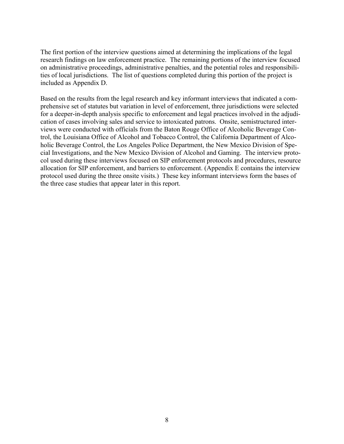The first portion of the interview questions aimed at determining the implications of the legal research findings on law enforcement practice. The remaining portions of the interview focused on administrative proceedings, administrative penalties, and the potential roles and responsibilities of local jurisdictions. The list of questions completed during this portion of the project is included as Appendix D.

Based on the results from the legal research and key informant interviews that indicated a comprehensive set of statutes but variation in level of enforcement, three jurisdictions were selected for a deeper-in-depth analysis specific to enforcement and legal practices involved in the adjudication of cases involving sales and service to intoxicated patrons. Onsite, semistructured interviews were conducted with officials from the Baton Rouge Office of Alcoholic Beverage Control, the Louisiana Office of Alcohol and Tobacco Control, the California Department of Alcoholic Beverage Control, the Los Angeles Police Department, the New Mexico Division of Special Investigations, and the New Mexico Division of Alcohol and Gaming. The interview protocol used during these interviews focused on SIP enforcement protocols and procedures, resource allocation for SIP enforcement, and barriers to enforcement. (Appendix E contains the interview protocol used during the three onsite visits.) These key informant interviews form the bases of the three case studies that appear later in this report.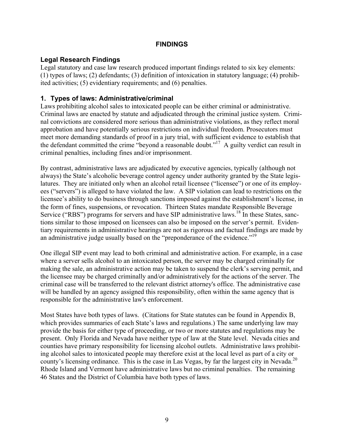# **FINDINGS**

# <span id="page-13-0"></span>**Legal Research Findings**

Legal statutory and case law research produced important findings related to six key elements: (1) types of laws; (2) defendants; (3) definition of intoxication in statutory language; (4) prohibited activities; (5) evidentiary requirements; and (6) penalties.

# **1. Types of laws: Administrative/criminal**

Laws prohibiting alcohol sales to intoxicated people can be either criminal or administrative. Criminal laws are enacted by statute and adjudicated through the criminal justice system. Criminal convictions are considered more serious than administrative violations, as they reflect moral approbation and have potentially serious restrictions on individual freedom. Prosecutors must meet more demanding standards of proof in a jury trial, with sufficient evidence to establish that the defendant committed the crime "beyond a reasonable doubt."<sup>17</sup> A guilty verdict can result in criminal penalties, including fines and/or imprisonment.

an administrative judge usually based on the "preponderance of the evidence."<sup>19</sup> By contrast, administrative laws are adjudicated by executive agencies, typically (although not always) the State's alcoholic beverage control agency under authority granted by the State legislatures. They are initiated only when an alcohol retail licensee ("licensee") or one of its employees ("servers") is alleged to have violated the law. A SIP violation can lead to restrictions on the licensee's ability to do business through sanctions imposed against the establishment's license, in the form of fines, suspensions, or revocation. Thirteen States mandate Responsible Beverage Service ("RBS") programs for servers and have SIP administrative laws.<sup>18</sup> In these States, sanctions similar to those imposed on licensees can also be imposed on the server's permit. Evidentiary requirements in administrative hearings are not as rigorous and factual findings are made by

One illegal SIP event may lead to both criminal and administrative action. For example, in a case where a server sells alcohol to an intoxicated person, the server may be charged criminally for making the sale, an administrative action may be taken to suspend the clerk's serving permit, and the licensee may be charged criminally and/or administratively for the actions of the server. The criminal case will be transferred to the relevant district attorney's office. The administrative case will be handled by an agency assigned this responsibility, often within the same agency that is responsible for the administrative law's enforcement.

county's licensing ordinance. This is the case in Las Vegas, by far the largest city in Nevada.<sup>20</sup> Most States have both types of laws. (Citations for State statutes can be found in Appendix B, which provides summaries of each State's laws and regulations.) The same underlying law may provide the basis for either type of proceeding, or two or more statutes and regulations may be present. Only Florida and Nevada have neither type of law at the State level. Nevada cities and counties have primary responsibility for licensing alcohol outlets. Administrative laws prohibiting alcohol sales to intoxicated people may therefore exist at the local level as part of a city or Rhode Island and Vermont have administrative laws but no criminal penalties. The remaining 46 States and the District of Columbia have both types of laws.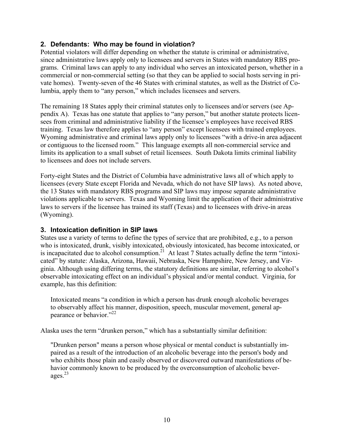# **2. Defendants: Who may be found in violation?**

Potential violators will differ depending on whether the statute is criminal or administrative, since administrative laws apply only to licensees and servers in States with mandatory RBS programs. Criminal laws can apply to any individual who serves an intoxicated person, whether in a commercial or non-commercial setting (so that they can be applied to social hosts serving in private homes). Twenty-seven of the 46 States with criminal statutes, as well as the District of Columbia, apply them to "any person," which includes licensees and servers.

The remaining 18 States apply their criminal statutes only to licensees and/or servers (see Appendix A). Texas has one statute that applies to "any person," but another statute protects licensees from criminal and administrative liability if the licensee's employees have received RBS training. Texas law therefore applies to "any person" except licensees with trained employees. Wyoming administrative and criminal laws apply only to licensees "with a drive-in area adjacent or contiguous to the licensed room." This language exempts all non-commercial service and limits its application to a small subset of retail licensees. South Dakota limits criminal liability to licensees and does not include servers.

Forty-eight States and the District of Columbia have administrative laws all of which apply to licensees (every State except Florida and Nevada, which do not have SIP laws). As noted above, the 13 States with mandatory RBS programs and SIP laws may impose separate administrative violations applicable to servers. Texas and Wyoming limit the application of their administrative laws to servers if the licensee has trained its staff (Texas) and to licensees with drive-in areas (Wyoming).

# **3. Intoxication definition in SIP laws**

States use a variety of terms to define the types of service that are prohibited, e.g., to a person who is intoxicated, drunk, visibly intoxicated, obviously intoxicated, has become intoxicated, or is incapacitated due to alcohol consumption.<sup>21</sup> At least 7 States actually define the term "intoxicated" by statute: Alaska, Arizona, Hawaii, Nebraska, New Hampshire, New Jersey, and Virginia. Although using differing terms, the statutory definitions are similar, referring to alcohol's observable intoxicating effect on an individual's physical and/or mental conduct. Virginia, for example, has this definition:

Intoxicated means "a condition in which a person has drunk enough alcoholic beverages to observably affect his manner, disposition, speech, muscular movement, general appearance or behavior."<sup>22</sup>

Alaska uses the term "drunken person," which has a substantially similar definition:

"Drunken person" means a person whose physical or mental conduct is substantially impaired as a result of the introduction of an alcoholic beverage into the person's body and who exhibits those plain and easily observed or discovered outward manifestations of behavior commonly known to be produced by the overconsumption of alcoholic beverages. $^{23}$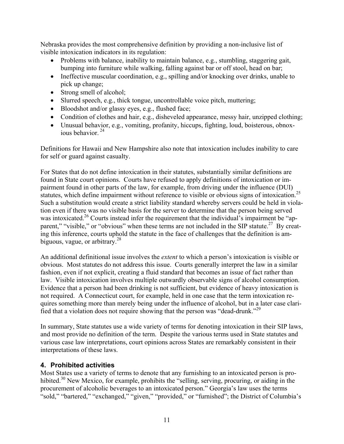Nebraska provides the most comprehensive definition by providing a non-inclusive list of visible intoxication indicators in its regulation:

- Problems with balance, inability to maintain balance, e.g., stumbling, staggering gait, bumping into furniture while walking, falling against bar or off stool, head on bar;
- Ineffective muscular coordination, e.g., spilling and/or knocking over drinks, unable to pick up change;
- Strong smell of alcohol;
- Slurred speech, e.g., thick tongue, uncontrollable voice pitch, muttering;
- Bloodshot and/or glassy eyes, e.g., flushed face;
- Condition of clothes and hair, e.g., disheveled appearance, messy hair, unzipped clothing;
- Unusual behavior, e.g., vomiting, profanity, hiccups, fighting, loud, boisterous, obnoxious behavior.<sup>24</sup>

Definitions for Hawaii and New Hampshire also note that intoxication includes inability to care for self or guard against casualty.

statutes, which define impairment without reference to visible or obvious signs of intoxication.<sup>25</sup> For States that do not define intoxication in their statutes, substantially similar definitions are found in State court opinions. Courts have refused to apply definitions of intoxication or impairment found in other parts of the law, for example, from driving under the influence (DUI) Such a substitution would create a strict liability standard whereby servers could be held in violation even if there was no visible basis for the server to determine that the person being served was intoxicated.<sup>26</sup> Courts instead infer the requirement that the individual's impairment be "apparent," "visible," or "obvious" when these terms are not included in the SIP statute.<sup>27</sup> By creating this inference, courts uphold the statute in the face of challenges that the definition is ambiguous, vague, or arbitrary.<sup>28</sup>

An additional definitional issue involves the *extent* to which a person's intoxication is visible or obvious. Most statutes do not address this issue. Courts generally interpret the law in a similar fashion, even if not explicit, creating a fluid standard that becomes an issue of fact rather than law. Visible intoxication involves multiple outwardly observable signs of alcohol consumption. Evidence that a person had been drinking is not sufficient, but evidence of heavy intoxication is not required. A Connecticut court, for example, held in one case that the term intoxication requires something more than merely being under the influence of alcohol, but in a later case clarified that a violation does not require showing that the person was "dead-drunk."<sup>29</sup>

In summary, State statutes use a wide variety of terms for denoting intoxication in their SIP laws, and most provide no definition of the term. Despite the various terms used in State statutes and various case law interpretations, court opinions across States are remarkably consistent in their interpretations of these laws.

# **4. Prohibited activities**

Most States use a variety of terms to denote that any furnishing to an intoxicated person is prohibited.<sup>30</sup> New Mexico, for example, prohibits the "selling, serving, procuring, or aiding in the procurement of alcoholic beverages to an intoxicated person." Georgia's law uses the terms "sold," "bartered," "exchanged," "given," "provided," or "furnished"; the District of Columbia's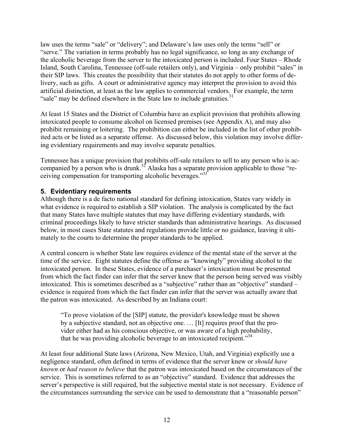law uses the terms "sale" or "delivery"; and Delaware's law uses only the terms "sell" or "serve." The variation in terms probably has no legal significance, so long as any exchange of the alcoholic beverage from the server to the intoxicated person is included. Four States – Rhode Island, South Carolina, Tennessee (off-sale retailers only), and Virginia – only prohibit "sales" in their SIP laws. This creates the possibility that their statutes do not apply to other forms of delivery, such as gifts. A court or administrative agency may interpret the provision to avoid this artificial distinction, at least as the law applies to commercial vendors. For example, the term "sale" may be defined elsewhere in the State law to include gratuities.<sup>31</sup>

At least 15 States and the District of Columbia have an explicit provision that prohibits allowing intoxicated people to consume alcohol on licensed premises (see Appendix A), and may also prohibit remaining or loitering. The prohibition can either be included in the list of other prohibited acts or be listed as a separate offense. As discussed below, this violation may involve differing evidentiary requirements and may involve separate penalties.

ceiving compensation for transporting alcoholic beverages."<sup>33</sup> Tennessee has a unique provision that prohibits off-sale retailers to sell to any person who is accompanied by a person who is drunk.<sup>32</sup> Alaska has a separate provision applicable to those "re-

# **5. Evidentiary requirements**

Although there is a de facto national standard for defining intoxication, States vary widely in what evidence is required to establish a SIP violation. The analysis is complicated by the fact that many States have multiple statutes that may have differing evidentiary standards, with criminal proceedings likely to have stricter standards than administrative hearings. As discussed below, in most cases State statutes and regulations provide little or no guidance, leaving it ultimately to the courts to determine the proper standards to be applied.

A central concern is whether State law requires evidence of the mental state of the server at the time of the service. Eight statutes define the offense as "knowingly" providing alcohol to the intoxicated person. In these States, evidence of a purchaser's intoxication must be presented from which the fact finder can infer that the server knew that the person being served was visibly intoxicated. This is sometimes described as a "subjective" rather than an "objective" standard – evidence is required from which the fact finder can infer that the server was actually aware that the patron was intoxicated. As described by an Indiana court:

"To prove violation of the [SIP] statute, the provider's knowledge must be shown by a subjective standard, not an objective one. … [It] requires proof that the provider either had as his conscious objective, or was aware of a high probability, that he was providing alcoholic beverage to an intoxicated recipient.<sup>34</sup>

At least four additional State laws (Arizona, New Mexico, Utah, and Virginia) explicitly use a negligence standard, often defined in terms of evidence that the server knew or *should have known* or *had reason to believe* that the patron was intoxicated based on the circumstances of the service. This is sometimes referred to as an "objective" standard. Evidence that addresses the server's perspective is still required, but the subjective mental state is not necessary. Evidence of the circumstances surrounding the service can be used to demonstrate that a "reasonable person"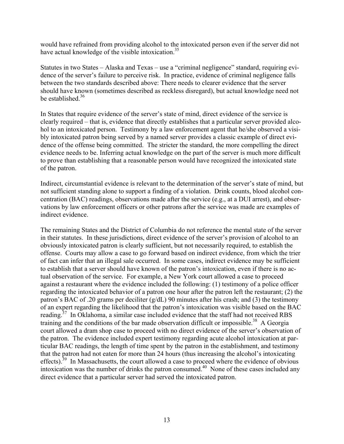would have refrained from providing alcohol to the intoxicated person even if the server did not have actual knowledge of the visible intoxication.<sup>35</sup>

Statutes in two States – Alaska and Texas – use a "criminal negligence" standard, requiring evidence of the server's failure to perceive risk. In practice, evidence of criminal negligence falls between the two standards described above: There needs to clearer evidence that the server should have known (sometimes described as reckless disregard), but actual knowledge need not be established. $36$ 

In States that require evidence of the server's state of mind, direct evidence of the service is clearly required – that is, evidence that directly establishes that a particular server provided alcohol to an intoxicated person. Testimony by a law enforcement agent that he/she observed a visibly intoxicated patron being served by a named server provides a classic example of direct evidence of the offense being committed. The stricter the standard, the more compelling the direct evidence needs to be. Inferring actual knowledge on the part of the server is much more difficult to prove than establishing that a reasonable person would have recognized the intoxicated state of the patron.

Indirect, circumstantial evidence is relevant to the determination of the server's state of mind, but not sufficient standing alone to support a finding of a violation. Drink counts, blood alcohol concentration (BAC) readings, observations made after the service (e.g., at a DUI arrest), and observations by law enforcement officers or other patrons after the service was made are examples of indirect evidence.

The remaining States and the District of Columbia do not reference the mental state of the server in their statutes. In these jurisdictions, direct evidence of the server's provision of alcohol to an obviously intoxicated patron is clearly sufficient, but not necessarily required, to establish the offense. Courts may allow a case to go forward based on indirect evidence, from which the trier of fact can infer that an illegal sale occurred. In some cases, indirect evidence may be sufficient to establish that a server should have known of the patron's intoxication, even if there is no actual observation of the service. For example, a New York court allowed a case to proceed against a restaurant where the evidence included the following: (1) testimony of a police officer regarding the intoxicated behavior of a patron one hour after the patron left the restaurant; (2) the patron's BAC of .20 grams per deciliter (g/dL) 90 minutes after his crash; and (3) the testimony of an expert regarding the likelihood that the patron's intoxication was visible based on the BAC reading.<sup>37</sup> In Oklahoma, a similar case included evidence that the staff had not received RBS training and the conditions of the bar made observation difficult or impossible.<sup>38</sup> A Georgia court allowed a dram shop case to proceed with no direct evidence of the server's observation of the patron. The evidence included expert testimony regarding acute alcohol intoxication at particular BAC readings, the length of time spent by the patron in the establishment, and testimony that the patron had not eaten for more than 24 hours (thus increasing the alcohol's intoxicating effects).<sup>39</sup> In Massachusetts, the court allowed a case to proceed where the evidence of obvious intoxication was the number of drinks the patron consumed.<sup>40</sup> None of these cases included any direct evidence that a particular server had served the intoxicated patron.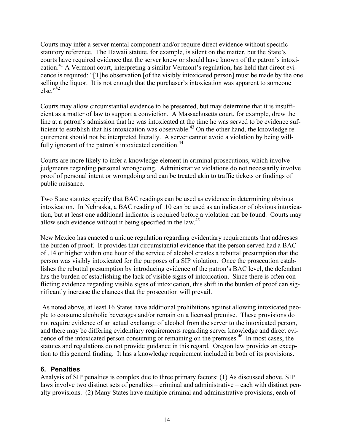else." $42$ Courts may infer a server mental component and/or require direct evidence without specific statutory reference. The Hawaii statute, for example, is silent on the matter, but the State's courts have required evidence that the server knew or should have known of the patron's intoxication.<sup>41</sup> A Vermont court, interpreting a similar Vermont's regulation, has held that direct evidence is required: "[T]he observation [of the visibly intoxicated person] must be made by the one selling the liquor. It is not enough that the purchaser's intoxication was apparent to someone

Courts may allow circumstantial evidence to be presented, but may determine that it is insufficient as a matter of law to support a conviction. A Massachusetts court, for example, drew the line at a patron's admission that he was intoxicated at the time he was served to be evidence sufficient to establish that his intoxication was observable.<sup>43</sup> On the other hand, the knowledge requirement should not be interpreted literally. A server cannot avoid a violation by being willfully ignorant of the patron's intoxicated condition.<sup>44</sup>

Courts are more likely to infer a knowledge element in criminal prosecutions, which involve judgments regarding personal wrongdoing. Administrative violations do not necessarily involve proof of personal intent or wrongdoing and can be treated akin to traffic tickets or findings of public nuisance.

allow such evidence without it being specified in the law.<sup>45</sup> Two State statutes specify that BAC readings can be used as evidence in determining obvious intoxication. In Nebraska, a BAC reading of .10 can be used as an indicator of obvious intoxication, but at least one additional indicator is required before a violation can be found. Courts may

New Mexico has enacted a unique regulation regarding evidentiary requirements that addresses the burden of proof. It provides that circumstantial evidence that the person served had a BAC of .14 or higher within one hour of the service of alcohol creates a rebuttal presumption that the person was visibly intoxicated for the purposes of a SIP violation. Once the prosecution establishes the rebuttal presumption by introducing evidence of the patron's BAC level, the defendant has the burden of establishing the lack of visible signs of intoxication. Since there is often conflicting evidence regarding visible signs of intoxication, this shift in the burden of proof can significantly increase the chances that the prosecution will prevail.

 As noted above, at least 16 States have additional prohibitions against allowing intoxicated people to consume alcoholic beverages and/or remain on a licensed premise. These provisions do not require evidence of an actual exchange of alcohol from the server to the intoxicated person, and there may be differing evidentiary requirements regarding server knowledge and direct evidence of the intoxicated person consuming or remaining on the premises.<sup>46</sup> In most cases, the statutes and regulations do not provide guidance in this regard. Oregon law provides an exception to this general finding. It has a knowledge requirement included in both of its provisions.

# **6. Penalties**

Analysis of SIP penalties is complex due to three primary factors: (1) As discussed above, SIP laws involve two distinct sets of penalties – criminal and administrative – each with distinct penalty provisions. (2) Many States have multiple criminal and administrative provisions, each of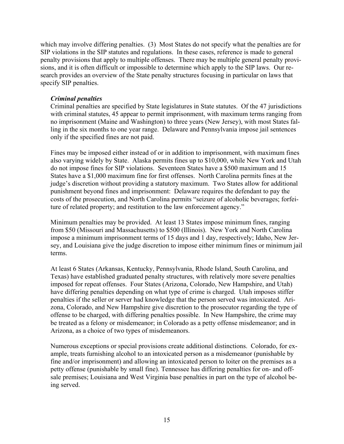which may involve differing penalties. (3) Most States do not specify what the penalties are for SIP violations in the SIP statutes and regulations. In these cases, reference is made to general penalty provisions that apply to multiple offenses. There may be multiple general penalty provisions, and it is often difficult or impossible to determine which apply to the SIP laws. Our research provides an overview of the State penalty structures focusing in particular on laws that specify SIP penalties.

#### *Criminal penalties*

Criminal penalties are specified by State legislatures in State statutes. Of the 47 jurisdictions with criminal statutes, 45 appear to permit imprisonment, with maximum terms ranging from no imprisonment (Maine and Washington) to three years (New Jersey), with most States falling in the six months to one year range. Delaware and Pennsylvania impose jail sentences only if the specified fines are not paid.

Fines may be imposed either instead of or in addition to imprisonment, with maximum fines also varying widely by State. Alaska permits fines up to \$10,000, while New York and Utah do not impose fines for SIP violations. Seventeen States have a \$500 maximum and 15 States have a \$1,000 maximum fine for first offenses. North Carolina permits fines at the judge's discretion without providing a statutory maximum. Two States allow for additional punishment beyond fines and imprisonment: Delaware requires the defendant to pay the costs of the prosecution, and North Carolina permits "seizure of alcoholic beverages; forfeiture of related property; and restitution to the law enforcement agency."

Minimum penalties may be provided. At least 13 States impose minimum fines, ranging from \$50 (Missouri and Massachusetts) to \$500 (Illinois). New York and North Carolina impose a minimum imprisonment terms of 15 days and 1 day, respectively; Idaho, New Jersey, and Louisiana give the judge discretion to impose either minimum fines or minimum jail terms.

At least 6 States (Arkansas, Kentucky, Pennsylvania, Rhode Island, South Carolina, and Texas) have established graduated penalty structures, with relatively more severe penalties imposed for repeat offenses. Four States (Arizona, Colorado, New Hampshire, and Utah) have differing penalties depending on what type of crime is charged. Utah imposes stiffer penalties if the seller or server had knowledge that the person served was intoxicated. Arizona, Colorado, and New Hampshire give discretion to the prosecutor regarding the type of offense to be charged, with differing penalties possible. In New Hampshire, the crime may be treated as a felony or misdemeanor; in Colorado as a petty offense misdemeanor; and in Arizona, as a choice of two types of misdemeanors.

Numerous exceptions or special provisions create additional distinctions. Colorado, for example, treats furnishing alcohol to an intoxicated person as a misdemeanor (punishable by fine and/or imprisonment) and allowing an intoxicated person to loiter on the premises as a petty offense (punishable by small fine). Tennessee has differing penalties for on- and offsale premises; Louisiana and West Virginia base penalties in part on the type of alcohol being served.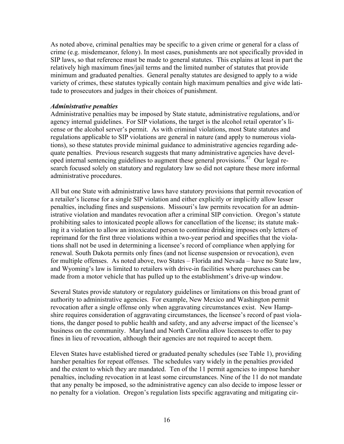As noted above, criminal penalties may be specific to a given crime or general for a class of crime (e.g. misdemeanor, felony). In most cases, punishments are not specifically provided in SIP laws, so that reference must be made to general statutes. This explains at least in part the relatively high maximum fines/jail terms and the limited number of statutes that provide minimum and graduated penalties. General penalty statutes are designed to apply to a wide variety of crimes, these statutes typically contain high maximum penalties and give wide latitude to prosecutors and judges in their choices of punishment.

#### *Administrative penalties*

Administrative penalties may be imposed by State statute, administrative regulations, and/or agency internal guidelines. For SIP violations, the target is the alcohol retail operator's license or the alcohol server's permit. As with criminal violations, most State statutes and regulations applicable to SIP violations are general in nature (and apply to numerous violations), so these statutes provide minimal guidance to administrative agencies regarding adequate penalties. Previous research suggests that many administrative agencies have developed internal sentencing guidelines to augment these general provisions.47 Our legal research focused solely on statutory and regulatory law so did not capture these more informal administrative procedures.

All but one State with administrative laws have statutory provisions that permit revocation of a retailer's license for a single SIP violation and either explicitly or implicitly allow lesser penalties, including fines and suspensions. Missouri's law permits revocation for an administrative violation and mandates revocation after a criminal SIP conviction. Oregon's statute prohibiting sales to intoxicated people allows for cancellation of the license; its statute making it a violation to allow an intoxicated person to continue drinking imposes only letters of reprimand for the first three violations within a two-year period and specifies that the violations shall not be used in determining a licensee's record of compliance when applying for renewal. South Dakota permits only fines (and not license suspension or revocation), even for multiple offenses. As noted above, two States – Florida and Nevada – have no State law, and Wyoming's law is limited to retailers with drive-in facilities where purchases can be made from a motor vehicle that has pulled up to the establishment's drive-up window.

Several States provide statutory or regulatory guidelines or limitations on this broad grant of authority to administrative agencies. For example, New Mexico and Washington permit revocation after a single offense only when aggravating circumstances exist. New Hampshire requires consideration of aggravating circumstances, the licensee's record of past violations, the danger posed to public health and safety, and any adverse impact of the licensee's business on the community. Maryland and North Carolina allow licensees to offer to pay fines in lieu of revocation, although their agencies are not required to accept them.

Eleven States have established tiered or graduated penalty schedules (see Table 1), providing harsher penalties for repeat offenses. The schedules vary widely in the penalties provided and the extent to which they are mandated. Ten of the 11 permit agencies to impose harsher penalties, including revocation in at least some circumstances. Nine of the 11 do not mandate that any penalty be imposed, so the administrative agency can also decide to impose lesser or no penalty for a violation. Oregon's regulation lists specific aggravating and mitigating cir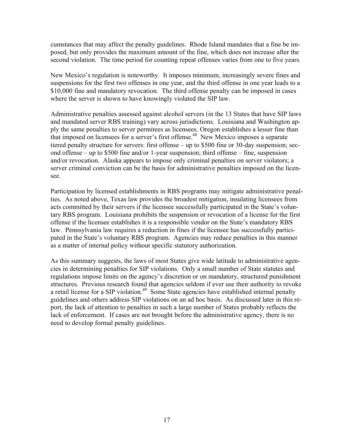cumstances that may affect the penalty guidelines. Rhode Island mandates that a fine be imposed, but only provides the maximum amount of the fine, which does not increase after the second violation. The time period for counting repeat offenses varies from one to five years.

New Mexico's regulation is noteworthy. It imposes minimum, increasingly severe fines and suspensions for the first two offenses in one year, and the third offense in one year leads to a \$10,000 fine and mandatory revocation. The third offense penalty can be imposed in cases where the server is shown to have knowingly violated the SIP law.

Administrative penalties assessed against alcohol servers (in the 13 States that have SIP laws and mandated server RBS training) vary across jurisdictions. Louisiana and Washington apply the same penalties to server permitees as licensees. Oregon establishes a lesser fine than that imposed on licensees for a server's first offense.<sup>48</sup> New Mexico imposes a separate tiered penalty structure for servers: first offense – up to \$500 fine or 30-day suspension; second offense – up to \$500 fine and/or 1-year suspension; third offense – fine, suspension and/or revocation. Alaska appears to impose only criminal penalties on server violators; a server criminal conviction can be the basis for administrative penalties imposed on the licensee.

Participation by licensed establishments in RBS programs may mitigate administrative penalties. As noted above, Texas law provides the broadest mitigation, insulating licensees from acts committed by their servers if the licensee successfully participated in the State's voluntary RBS program. Louisiana prohibits the suspension or revocation of a license for the first offense if the licensee establishes it is a responsible vendor on the State's mandatory RBS law. Pennsylvania law requires a reduction in fines if the licensee has successfully participated in the State's voluntary RBS program. Agencies may reduce penalties in this manner as a matter of internal policy without specific statutory authorization.

As this summary suggests, the laws of most States give wide latitude to administrative agencies in determining penalties for SIP violations. Only a small number of State statutes and regulations impose limits on the agency's discretion or on mandatory, structured punishment structures. Previous research found that agencies seldom if ever use their authority to revoke a retail license for a SIP violation.<sup>49</sup> Some State agencies have established internal penalty guidelines and others address SIP violations on an ad hoc basis. As discussed later in this report, the lack of attention to penalties in such a large number of States probably reflects the lack of enforcement. If cases are not brought before the administrative agency, there is no need to develop formal penalty guidelines.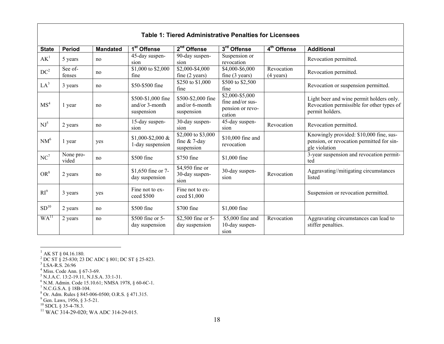| Table 1: Tiered Administrative Penalties for Licensees |                    |                 |                                                       |                                                     |                                                                   |                         |                                                                                                          |  |  |  |
|--------------------------------------------------------|--------------------|-----------------|-------------------------------------------------------|-----------------------------------------------------|-------------------------------------------------------------------|-------------------------|----------------------------------------------------------------------------------------------------------|--|--|--|
| <b>State</b>                                           | <b>Period</b>      | <b>Mandated</b> | 1 <sup>st</sup> Offense                               | $2nd$ Offense                                       | 3rd Offense                                                       | 4 <sup>th</sup> Offense | <b>Additional</b>                                                                                        |  |  |  |
| AK <sup>1</sup>                                        | 5 years            | no              | 45-day suspen-                                        | 90-day suspen-                                      | Suspension or                                                     |                         | Revocation permitted.                                                                                    |  |  |  |
|                                                        |                    |                 | sion                                                  | sion                                                | revocation                                                        |                         |                                                                                                          |  |  |  |
| DC <sup>2</sup>                                        | See of-            | no              | \$1,000 to \$2,000                                    | \$2,000-\$4,000                                     | \$4,000-\$6,000                                                   | Revocation              | Revocation permitted.                                                                                    |  |  |  |
|                                                        | fenses             |                 | fine                                                  | fine $(2 \text{ years})$                            | fine $(3 \text{ years})$                                          | $(4 \text{ years})$     |                                                                                                          |  |  |  |
| LA <sup>3</sup>                                        |                    | no              | \$50-\$500 fine                                       | \$250 to \$1,000                                    | \$500 to \$2,500                                                  |                         |                                                                                                          |  |  |  |
|                                                        | 3 years            |                 |                                                       | fine                                                | fine                                                              |                         | Revocation or suspension permitted.                                                                      |  |  |  |
| MS <sup>4</sup>                                        | 1 year             | no              | \$500-\$1,000 fine<br>and/or $3$ -month<br>suspension | \$500-\$2,000 fine<br>and/or 6-month<br>suspension  | \$2,000-\$5,000<br>fine and/or sus-<br>pension or revo-<br>cation |                         | Light beer and wine permit holders only.<br>Revocation permissible for other types of<br>permit holders. |  |  |  |
| $NJ^5$                                                 | 2 years            | no              | 15-day suspen-<br>sion                                | 30-day suspen-<br>sion                              | 45-day suspen-<br>sion                                            | Revocation              | Revocation permitted.                                                                                    |  |  |  |
| NM <sup>6</sup>                                        | 1 year             | yes             | $$1,000-S2,000$ &<br>1-day suspension                 | \$2,000 to \$3,000<br>fine $& 7$ -day<br>suspension | \$10,000 fine and<br>revocation                                   |                         | Knowingly provided: \$10,000 fine, sus-<br>pension, or revocation permitted for sin-<br>gle violation    |  |  |  |
| $NC^7$                                                 | None pro-<br>vided | no              | \$500 fine                                            | \$750 fine                                          | \$1,000 fine                                                      |                         | 3-year suspension and revocation permit-<br>ted                                                          |  |  |  |
| $OR^8$                                                 | 2 years            | no              | \$1,650 fine or 7-<br>day suspension                  | \$4,950 fine or<br>30-day suspen-<br>sion           | 30-day suspen-<br>sion                                            | Revocation              | Aggravating//mitigating circumstances<br>listed                                                          |  |  |  |
| RI <sup>9</sup>                                        | 3 years            | yes             | Fine not to ex-<br>ceed \$500                         | Fine not to ex-<br>ceed \$1,000                     |                                                                   |                         | Suspension or revocation permitted.                                                                      |  |  |  |
| SD <sup>10</sup>                                       | 2 years            | no              | \$500 fine                                            | \$700 fine                                          | \$1,000 fine                                                      |                         |                                                                                                          |  |  |  |
| WA <sup>11</sup>                                       | 2 years            | no              | \$500 fine or 5-<br>day suspension                    | \$2,500 fine or 5-<br>day suspension                | \$5,000 fine and<br>10-day suspen-<br>sion                        | Revocation              | Aggravating circumstances can lead to<br>stiffer penalties.                                              |  |  |  |

**Table 1: Tiered Administrative Penalties for Licensees** 

 $^{1}$  AK ST § 04.16.180.

2 DC ST § 25-830; 23 DC ADC § 801; DC ST § 25-823.

 $^{3}$  LSA-R.S. 26:96<br><sup>4</sup> Miss. Code Ann. § 67-3-69.

<sup>5</sup> N.J.A.C. 13:2-19.11, N.J.S.A. 33:1-31.

<sup>6</sup> N.M. Admin. Code 15.10.61; NMSA 1978, § 60-6C-1.<br><sup>7</sup> N.C.G.S.A. § 18B-104.

 $8$  Or. Adm. Rules § 845-006-0500; O.R.S. § 471.315.

 $9^9$  Gen. Laws, 1956, § 3-5-21.

 $^{10}$  SDCL § 35-4-78.3.

 $^{11}$  WAC 314-29-020; WA ADC 314-29-015.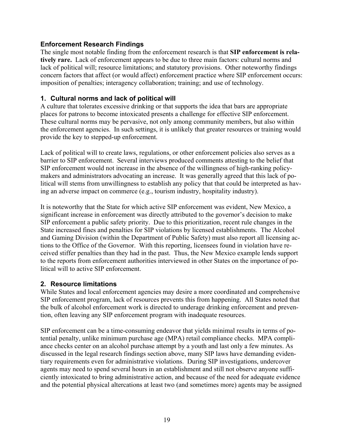# <span id="page-23-0"></span>**Enforcement Research Findings**

The single most notable finding from the enforcement research is that **SIP enforcement is relatively rare.** Lack of enforcement appears to be due to three main factors: cultural norms and lack of political will; resource limitations; and statutory provisions. Other noteworthy findings concern factors that affect (or would affect) enforcement practice where SIP enforcement occurs: imposition of penalties; interagency collaboration; training; and use of technology.

# **1. Cultural norms and lack of political will**

A culture that tolerates excessive drinking or that supports the idea that bars are appropriate places for patrons to become intoxicated presents a challenge for effective SIP enforcement. These cultural norms may be pervasive, not only among community members, but also within the enforcement agencies. In such settings, it is unlikely that greater resources or training would provide the key to stepped-up enforcement.

Lack of political will to create laws, regulations, or other enforcement policies also serves as a barrier to SIP enforcement. Several interviews produced comments attesting to the belief that SIP enforcement would not increase in the absence of the willingness of high-ranking policymakers and administrators advocating an increase. It was generally agreed that this lack of political will stems from unwillingness to establish any policy that that could be interpreted as having an adverse impact on commerce (e.g., tourism industry, hospitality industry).

It is noteworthy that the State for which active SIP enforcement was evident, New Mexico, a significant increase in enforcement was directly attributed to the governor's decision to make SIP enforcement a public safety priority. Due to this prioritization, recent rule changes in the State increased fines and penalties for SIP violations by licensed establishments. The Alcohol and Gaming Division (within the Department of Public Safety) must also report all licensing actions to the Office of the Governor. With this reporting, licensees found in violation have received stiffer penalties than they had in the past. Thus, the New Mexico example lends support to the reports from enforcement authorities interviewed in other States on the importance of political will to active SIP enforcement.

# **2. Resource limitations**

While States and local enforcement agencies may desire a more coordinated and comprehensive SIP enforcement program, lack of resources prevents this from happening. All States noted that the bulk of alcohol enforcement work is directed to underage drinking enforcement and prevention, often leaving any SIP enforcement program with inadequate resources.

SIP enforcement can be a time-consuming endeavor that yields minimal results in terms of potential penalty, unlike minimum purchase age (MPA) retail compliance checks. MPA compliance checks center on an alcohol purchase attempt by a youth and last only a few minutes. As discussed in the legal research findings section above, many SIP laws have demanding evidentiary requirements even for administrative violations. During SIP investigations, undercover agents may need to spend several hours in an establishment and still not observe anyone sufficiently intoxicated to bring administrative action, and because of the need for adequate evidence and the potential physical altercations at least two (and sometimes more) agents may be assigned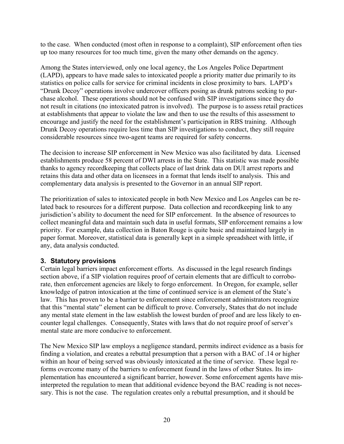to the case. When conducted (most often in response to a complaint), SIP enforcement often ties up too many resources for too much time, given the many other demands on the agency.

Among the States interviewed, only one local agency, the Los Angeles Police Department (LAPD), appears to have made sales to intoxicated people a priority matter due primarily to its statistics on police calls for service for criminal incidents in close proximity to bars. LAPD's "Drunk Decoy" operations involve undercover officers posing as drunk patrons seeking to purchase alcohol. These operations should not be confused with SIP investigations since they do not result in citations (no intoxicated patron is involved). The purpose is to assess retail practices at establishments that appear to violate the law and then to use the results of this assessment to encourage and justify the need for the establishment's participation in RBS training. Although Drunk Decoy operations require less time than SIP investigations to conduct, they still require considerable resources since two-agent teams are required for safety concerns.

The decision to increase SIP enforcement in New Mexico was also facilitated by data. Licensed establishments produce 58 percent of DWI arrests in the State. This statistic was made possible thanks to agency recordkeeping that collects place of last drink data on DUI arrest reports and retains this data and other data on licensees in a format that lends itself to analysis. This and complementary data analysis is presented to the Governor in an annual SIP report.

The prioritization of sales to intoxicated people in both New Mexico and Los Angeles can be related back to resources for a different purpose. Data collection and recordkeeping link to any jurisdiction's ability to document the need for SIP enforcement. In the absence of resources to collect meaningful data and maintain such data in useful formats, SIP enforcement remains a low priority. For example, data collection in Baton Rouge is quite basic and maintained largely in paper format. Moreover, statistical data is generally kept in a simple spreadsheet with little, if any, data analysis conducted.

# **3. Statutory provisions**

Certain legal barriers impact enforcement efforts. As discussed in the legal research findings section above, if a SIP violation requires proof of certain elements that are difficult to corroborate, then enforcement agencies are likely to forgo enforcement. In Oregon, for example, seller knowledge of patron intoxication at the time of continued service is an element of the State's law. This has proven to be a barrier to enforcement since enforcement administrators recognize that this "mental state" element can be difficult to prove. Conversely, States that do not include any mental state element in the law establish the lowest burden of proof and are less likely to encounter legal challenges. Consequently, States with laws that do not require proof of server's mental state are more conducive to enforcement.

The New Mexico SIP law employs a negligence standard, permits indirect evidence as a basis for finding a violation, and creates a rebuttal presumption that a person with a BAC of .14 or higher within an hour of being served was obviously intoxicated at the time of service. These legal reforms overcome many of the barriers to enforcement found in the laws of other States. Its implementation has encountered a significant barrier, however. Some enforcement agents have misinterpreted the regulation to mean that additional evidence beyond the BAC reading is not necessary. This is not the case. The regulation creates only a rebuttal presumption, and it should be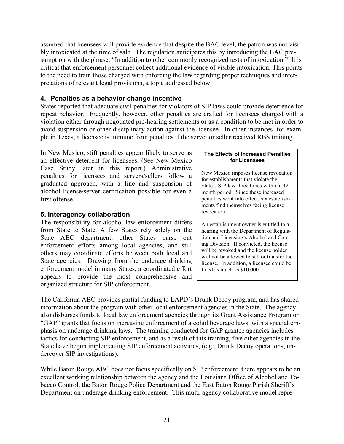assumed that licensees will provide evidence that despite the BAC level, the patron was not visibly intoxicated at the time of sale. The regulation anticipates this by introducing the BAC presumption with the phrase, "In addition to other commonly recognized tests of intoxication." It is critical that enforcement personnel collect additional evidence of visible intoxication. This points to the need to train those charged with enforcing the law regarding proper techniques and interpretations of relevant legal provisions, a topic addressed below.

# **4. Penalties as a behavior change incentive**

States reported that adequate civil penalties for violators of SIP laws could provide deterrence for repeat behavior. Frequently, however, other penalties are crafted for licensees charged with a violation either through negotiated pre-hearing settlements or as a condition to be met in order to avoid suspension or other disciplinary action against the licensee. In other instances, for example in Texas, a licensee is immune from penalties if the server or seller received RBS training.

In New Mexico, stiff penalties appear likely to serve as **The Effects of Increased Penalties**<br>an effective deterrent for licensees (See New Mexico) **The Effects of Increased Penalties** an effective deterrent for licensees. (See New Mexico Case Study later in this report.) Administrative<br>penalties for licensees and servers/sellers follow a<br>graduated approach, with a fine and suspension of  $\begin{array}{c|c}\n\text{New Mexico imposes license revocation}\n\end{array}$ <br>stablishments that violate the<br>stablishm alcohol license/server certification possible for even a  $\parallel$  month period. Since these increased first offense. penalties went into effect, six establish-

# **5. Interagency collaboration 19. Interagency collaboration**

The responsibility for alcohol law enforcement differs  $\parallel$  An establishment owner is entitled to a from State to State. A few States rely solely on the hearing with the Department of Regula-<br>State ABC department, other States parse out tion and Licensing's Alcohol and Gam-State ABC department, other States parse out tion and Licensing's Alcohol and Gam-<br>enforcement efforts among local agencies and still ing Division. If convicted, the license enforcement efforts among local agencies, and still ing Division. If convicted, the license<br>others may coordinate efforts between both local and<br>State agencies. Drawing from the underage drinking<br>license. In addition, a li enforcement model in many States, a coordinated effort fined as much as \$10,000. appears to provide the most comprehensive and organized structure for SIP enforcement.

ments find themselves facing license

will not be allowed to sell or transfer the

The California ABC provides partial funding to LAPD's Drunk Decoy program, and has shared information about the program with other local enforcement agencies in the State. The agency also disburses funds to local law enforcement agencies through its Grant Assistance Program or "GAP" grants that focus on increasing enforcement of alcohol beverage laws, with a special emphasis on underage drinking laws. The training conducted for GAP grantee agencies includes tactics for conducting SIP enforcement, and as a result of this training, five other agencies in the State have begun implementing SIP enforcement activities, (e.g., Drunk Decoy operations, undercover SIP investigations).

While Baton Rouge ABC does not focus specifically on SIP enforcement, there appears to be an excellent working relationship between the agency and the Louisiana Office of Alcohol and Tobacco Control, the Baton Rouge Police Department and the East Baton Rouge Parish Sheriff's Department on underage drinking enforcement. This multi-agency collaborative model repre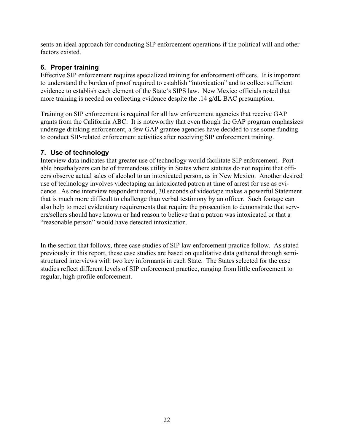sents an ideal approach for conducting SIP enforcement operations if the political will and other factors existed.

# **6. Proper training**

Effective SIP enforcement requires specialized training for enforcement officers. It is important to understand the burden of proof required to establish "intoxication" and to collect sufficient evidence to establish each element of the State's SIPS law. New Mexico officials noted that more training is needed on collecting evidence despite the .14 g/dL BAC presumption.

Training on SIP enforcement is required for all law enforcement agencies that receive GAP grants from the California ABC. It is noteworthy that even though the GAP program emphasizes underage drinking enforcement, a few GAP grantee agencies have decided to use some funding to conduct SIP-related enforcement activities after receiving SIP enforcement training.

# **7. Use of technology**

Interview data indicates that greater use of technology would facilitate SIP enforcement. Portable breathalyzers can be of tremendous utility in States where statutes do not require that officers observe actual sales of alcohol to an intoxicated person, as in New Mexico. Another desired use of technology involves videotaping an intoxicated patron at time of arrest for use as evidence. As one interview respondent noted, 30 seconds of videotape makes a powerful Statement that is much more difficult to challenge than verbal testimony by an officer. Such footage can also help to meet evidentiary requirements that require the prosecution to demonstrate that servers/sellers should have known or had reason to believe that a patron was intoxicated or that a "reasonable person" would have detected intoxication.

In the section that follows, three case studies of SIP law enforcement practice follow. As stated previously in this report, these case studies are based on qualitative data gathered through semistructured interviews with two key informants in each State. The States selected for the case studies reflect different levels of SIP enforcement practice, ranging from little enforcement to regular, high-profile enforcement.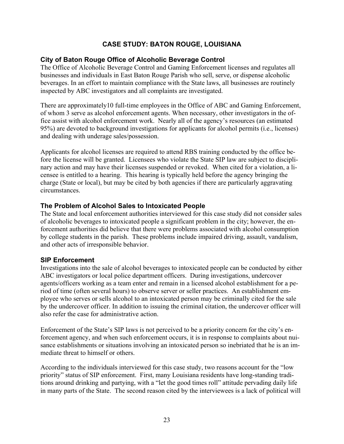# **CASE STUDY: BATON ROUGE, LOUISIANA**

# <span id="page-27-0"></span>**City of Baton Rouge Office of Alcoholic Beverage Control**

The Office of Alcoholic Beverage Control and Gaming Enforcement licenses and regulates all businesses and individuals in East Baton Rouge Parish who sell, serve, or dispense alcoholic beverages. In an effort to maintain compliance with the State laws, all businesses are routinely inspected by ABC investigators and all complaints are investigated.

and dealing with underage sales/possession. There are approximately10 full-time employees in the Office of ABC and Gaming Enforcement, of whom 3 serve as alcohol enforcement agents. When necessary, other investigators in the office assist with alcohol enforcement work. Nearly all of the agency's resources (an estimated 95%) are devoted to background investigations for applicants for alcohol permits (i.e., licenses)

Applicants for alcohol licenses are required to attend RBS training conducted by the office before the license will be granted. Licensees who violate the State SIP law are subject to disciplinary action and may have their licenses suspended or revoked. When cited for a violation, a licensee is entitled to a hearing. This hearing is typically held before the agency bringing the charge (State or local), but may be cited by both agencies if there are particularly aggravating circumstances.

# **The Problem of Alcohol Sales to Intoxicated People**

The State and local enforcement authorities interviewed for this case study did not consider sales of alcoholic beverages to intoxicated people a significant problem in the city; however, the enforcement authorities did believe that there were problems associated with alcohol consumption by college students in the parish. These problems include impaired driving, assault, vandalism, and other acts of irresponsible behavior.

### **SIP Enforcement**

Investigations into the sale of alcohol beverages to intoxicated people can be conducted by either ABC investigators or local police department officers. During investigations, undercover agents/officers working as a team enter and remain in a licensed alcohol establishment for a period of time (often several hours) to observe server or seller practices. An establishment employee who serves or sells alcohol to an intoxicated person may be criminally cited for the sale by the undercover officer. In addition to issuing the criminal citation, the undercover officer will also refer the case for administrative action.

Enforcement of the State's SIP laws is not perceived to be a priority concern for the city's enforcement agency, and when such enforcement occurs, it is in response to complaints about nuisance establishments or situations involving an intoxicated person so inebriated that he is an immediate threat to himself or others.

According to the individuals interviewed for this case study, two reasons account for the "low priority" status of SIP enforcement. First, many Louisiana residents have long-standing traditions around drinking and partying, with a "let the good times roll" attitude pervading daily life in many parts of the State. The second reason cited by the interviewees is a lack of political will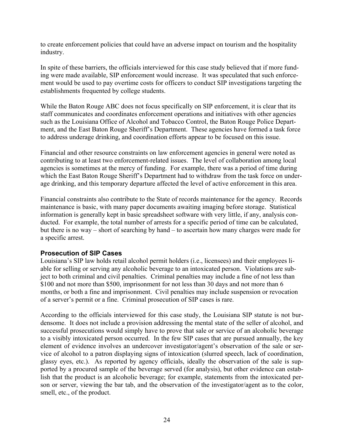to create enforcement policies that could have an adverse impact on tourism and the hospitality industry.

In spite of these barriers, the officials interviewed for this case study believed that if more funding were made available, SIP enforcement would increase. It was speculated that such enforcement would be used to pay overtime costs for officers to conduct SIP investigations targeting the establishments frequented by college students.

While the Baton Rouge ABC does not focus specifically on SIP enforcement, it is clear that its staff communicates and coordinates enforcement operations and initiatives with other agencies such as the Louisiana Office of Alcohol and Tobacco Control, the Baton Rouge Police Department, and the East Baton Rouge Sheriff's Department. These agencies have formed a task force to address underage drinking, and coordination efforts appear to be focused on this issue.

Financial and other resource constraints on law enforcement agencies in general were noted as contributing to at least two enforcement-related issues. The level of collaboration among local agencies is sometimes at the mercy of funding. For example, there was a period of time during which the East Baton Rouge Sheriff's Department had to withdraw from the task force on underage drinking, and this temporary departure affected the level of active enforcement in this area.

Financial constraints also contribute to the State of records maintenance for the agency. Records maintenance is basic, with many paper documents awaiting imaging before storage. Statistical information is generally kept in basic spreadsheet software with very little, if any, analysis conducted. For example, the total number of arrests for a specific period of time can be calculated, but there is no way – short of searching by hand – to ascertain how many charges were made for a specific arrest.

### **Prosecution of SIP Cases**

Louisiana's SIP law holds retail alcohol permit holders (i.e., licensees) and their employees liable for selling or serving any alcoholic beverage to an intoxicated person. Violations are subject to both criminal and civil penalties. Criminal penalties may include a fine of not less than \$100 and not more than \$500, imprisonment for not less than 30 days and not more than 6 months, or both a fine and imprisonment. Civil penalties may include suspension or revocation of a server's permit or a fine. Criminal prosecution of SIP cases is rare.

According to the officials interviewed for this case study, the Louisiana SIP statute is not burdensome. It does not include a provision addressing the mental state of the seller of alcohol, and successful prosecutions would simply have to prove that sale or service of an alcoholic beverage to a visibly intoxicated person occurred. In the few SIP cases that are pursued annually, the key element of evidence involves an undercover investigator/agent's observation of the sale or service of alcohol to a patron displaying signs of intoxication (slurred speech, lack of coordination, glassy eyes, etc.). As reported by agency officials, ideally the observation of the sale is supported by a procured sample of the beverage served (for analysis), but other evidence can establish that the product is an alcoholic beverage; for example, statements from the intoxicated person or server, viewing the bar tab, and the observation of the investigator/agent as to the color, smell, etc., of the product.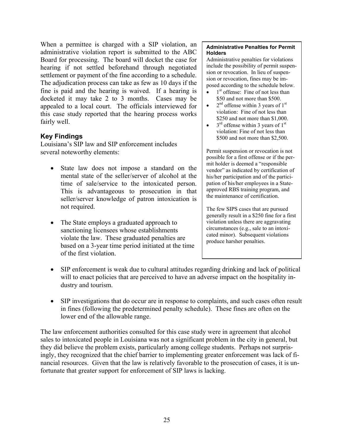When a permittee is charged with a SIP violation, an administrative violation report is submitted to the ABC Board for processing. The board will docket the case for hearing if not settled beforehand through negotiated settlement or payment of the fine according to a schedule. The adjudication process can take as few as 10 days if the fine is paid and the hearing is waived. If a hearing is docketed it may take 2 to 3 months. Cases may be appealed to a local court. The officials interviewed for this case study reported that the hearing process works fairly well.

# **Key Findings**

Louisiana's SIP law and SIP enforcement includes several noteworthy elements:

- State law does not impose a standard on the mental state of the seller/server of alcohol at the time of sale/service to the intoxicated person. This is advantageous to prosecution in that seller/server knowledge of patron intoxication is not required.
- The State employs a graduated approach to sanctioning licensees whose establishments violate the law. These graduated penalties are based on a 3-year time period initiated at the time of the first violation.

#### **Administrative Penalties for Permit Holders**

 sion or revocation. In lieu of suspen-Administrative penalties for violations include the possibility of permit suspension or revocation, fines may be imposed according to the schedule below.

- $\bullet$  1<sup>st</sup> offense: Fine of not less than \$50 and not more than \$500.
- $2<sup>nd</sup>$  offense within 3 years of 1<sup>st</sup> violation: Fine of not less than \$250 and not more than \$1,000.
- $3<sup>rd</sup>$  offense within 3 years of 1<sup>st</sup> violation: Fine of not less than \$500 and not more than \$2,500.

Permit suspension or revocation is not possible for a first offense or if the permit holder is deemed a "responsible vendor" as indicated by certification of his/her participation and of the participation of his/her employees in a Stateapproved RBS training program, and the maintenance of certification.

The few SIPS cases that are pursued generally result in a \$250 fine for a first violation unless there are aggravating circumstances (e.g., sale to an intoxicated minor). Subsequent violations produce harsher penalties.

- dustry and tourism. • SIP enforcement is weak due to cultural attitudes regarding drinking and lack of political will to enact policies that are perceived to have an adverse impact on the hospitality in-
- SIP investigations that do occur are in response to complaints, and such cases often result in fines (following the predetermined penalty schedule). These fines are often on the lower end of the allowable range.

The law enforcement authorities consulted for this case study were in agreement that alcohol sales to intoxicated people in Louisiana was not a significant problem in the city in general, but they did believe the problem exists, particularly among college students. Perhaps not surprisingly, they recognized that the chief barrier to implementing greater enforcement was lack of financial resources. Given that the law is relatively favorable to the prosecution of cases, it is unfortunate that greater support for enforcement of SIP laws is lacking.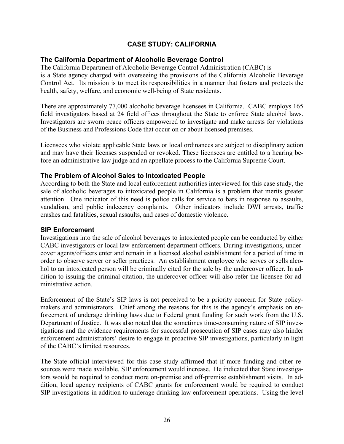# **CASE STUDY: CALIFORNIA**

#### <span id="page-30-0"></span>**The California Department of Alcoholic Beverage Control**

The California Department of Alcoholic Beverage Control Administration (CABC) is is a State agency charged with overseeing the provisions of the California Alcoholic Beverage Control Act. Its mission is to meet its responsibilities in a manner that fosters and protects the health, safety, welfare, and economic well-being of State residents.

There are approximately 77,000 alcoholic beverage licensees in California. CABC employs 165 field investigators based at 24 field offices throughout the State to enforce State alcohol laws. Investigators are sworn peace officers empowered to investigate and make arrests for violations of the Business and Professions Code that occur on or about licensed premises.

Licensees who violate applicable State laws or local ordinances are subject to disciplinary action and may have their licenses suspended or revoked. These licensees are entitled to a hearing before an administrative law judge and an appellate process to the California Supreme Court.

#### **The Problem of Alcohol Sales to Intoxicated People**

According to both the State and local enforcement authorities interviewed for this case study, the sale of alcoholic beverages to intoxicated people in California is a problem that merits greater attention. One indicator of this need is police calls for service to bars in response to assaults, vandalism, and public indecency complaints. Other indicators include DWI arrests, traffic crashes and fatalities, sexual assaults, and cases of domestic violence.

#### **SIP Enforcement**

Investigations into the sale of alcohol beverages to intoxicated people can be conducted by either CABC investigators or local law enforcement department officers. During investigations, undercover agents/officers enter and remain in a licensed alcohol establishment for a period of time in order to observe server or seller practices. An establishment employee who serves or sells alcohol to an intoxicated person will be criminally cited for the sale by the undercover officer. In addition to issuing the criminal citation, the undercover officer will also refer the licensee for administrative action.

Enforcement of the State's SIP laws is not perceived to be a priority concern for State policymakers and administrators. Chief among the reasons for this is the agency's emphasis on enforcement of underage drinking laws due to Federal grant funding for such work from the U.S. Department of Justice. It was also noted that the sometimes time-consuming nature of SIP investigations and the evidence requirements for successful prosecution of SIP cases may also hinder enforcement administrators' desire to engage in proactive SIP investigations, particularly in light of the CABC's limited resources.

The State official interviewed for this case study affirmed that if more funding and other resources were made available, SIP enforcement would increase. He indicated that State investigators would be required to conduct more on-premise and off-premise establishment visits. In addition, local agency recipients of CABC grants for enforcement would be required to conduct SIP investigations in addition to underage drinking law enforcement operations. Using the level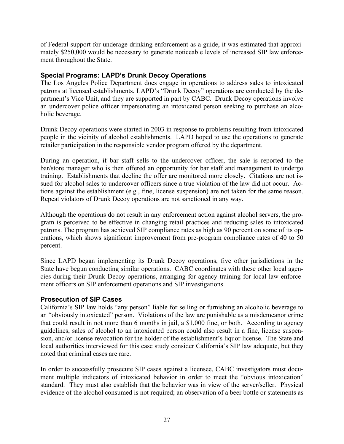of Federal support for underage drinking enforcement as a guide, it was estimated that approximately \$250,000 would be necessary to generate noticeable levels of increased SIP law enforcement throughout the State.

# **Special Programs: LAPD's Drunk Decoy Operations**

The Los Angeles Police Department does engage in operations to address sales to intoxicated patrons at licensed establishments. LAPD's "Drunk Decoy" operations are conducted by the department's Vice Unit, and they are supported in part by CABC. Drunk Decoy operations involve an undercover police officer impersonating an intoxicated person seeking to purchase an alcoholic beverage.

Drunk Decoy operations were started in 2003 in response to problems resulting from intoxicated people in the vicinity of alcohol establishments. LAPD hoped to use the operations to generate retailer participation in the responsible vendor program offered by the department.

During an operation, if bar staff sells to the undercover officer, the sale is reported to the bar/store manager who is then offered an opportunity for bar staff and management to undergo training. Establishments that decline the offer are monitored more closely. Citations are not issued for alcohol sales to undercover officers since a true violation of the law did not occur. Actions against the establishment (e.g., fine, license suspension) are not taken for the same reason. Repeat violators of Drunk Decoy operations are not sanctioned in any way.

Although the operations do not result in any enforcement action against alcohol servers, the program is perceived to be effective in changing retail practices and reducing sales to intoxicated patrons. The program has achieved SIP compliance rates as high as 90 percent on some of its operations, which shows significant improvement from pre-program compliance rates of 40 to 50 percent.

Since LAPD began implementing its Drunk Decoy operations, five other jurisdictions in the State have begun conducting similar operations. CABC coordinates with these other local agencies during their Drunk Decoy operations, arranging for agency training for local law enforcement officers on SIP enforcement operations and SIP investigations.

### **Prosecution of SIP Cases**

California's SIP law holds "any person" liable for selling or furnishing an alcoholic beverage to an "obviously intoxicated" person. Violations of the law are punishable as a misdemeanor crime that could result in not more than 6 months in jail, a \$1,000 fine, or both. According to agency guidelines, sales of alcohol to an intoxicated person could also result in a fine, license suspension, and/or license revocation for the holder of the establishment's liquor license. The State and local authorities interviewed for this case study consider California's SIP law adequate, but they noted that criminal cases are rare.

In order to successfully prosecute SIP cases against a licensee, CABC investigators must document multiple indicators of intoxicated behavior in order to meet the "obvious intoxication" standard. They must also establish that the behavior was in view of the server/seller. Physical evidence of the alcohol consumed is not required; an observation of a beer bottle or statements as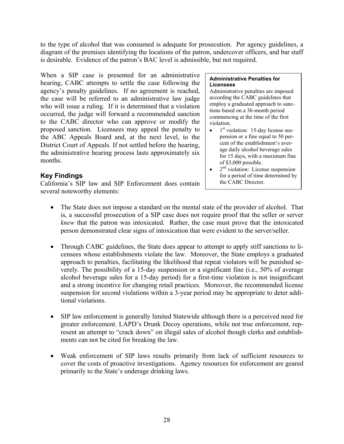to the type of alcohol that was consumed is adequate for prosecution. Per agency guidelines, a diagram of the premises identifying the locations of the patron, undercover officers, and bar staff is desirable. Evidence of the patron's BAC level is admissible, but not required.

When a SIP case is presented for an administrative **Administrative Penalties for** hearing, CABC attempts to settle the case following the **Licensees** agency's penalty guidelines. If no agreement is reached, Administrative penalties are imposed the case will be referred to an administrative law judge  $\vert$  according the CABC guidelines that who will issue a ruling. If it is determined that a violation who will issue a ruling. If it is determined that a violation<br>occurred, the judge will forward a recommended sanction<br>to the CABC director who can approve or modify the<br>proposed sanction. Licensees may appeal the penalty the ABC Appeals Board and, at the next level, to the pension or a fine equal to 50 per-<br>District Court of Appeals. If not sottled before the bearing cent of the establishment's aver-District Court of Appeals. If not settled before the hearing,<br>the administrative hearing process lasts approximately six<br>months.<br>months.

California's SIP law and SIP Enforcement does contain several noteworthy elements:

violation.

- pension or a fine equal to 50 per-
- $\bullet$   $2<sup>nd</sup>$  violation: License suspension **Key Findings** for a period of time determined by<br>
California's SIP law and SIP Enforcement does contain the CABC Director.
	- The State does not impose a standard on the mental state of the provider of alcohol. That is, a successful prosecution of a SIP case does not require proof that the seller or server *knew* that the patron was intoxicated. Rather, the case must prove that the intoxicated person demonstrated clear signs of intoxication that were evident to the server/seller.
	- Through CABC guidelines, the State does appear to attempt to apply stiff sanctions to licensees whose establishments violate the law. Moreover, the State employs a graduated approach to penalties, facilitating the likelihood that repeat violators will be punished severely. The possibility of a 15-day suspension or a significant fine (i.e., 50% of average alcohol beverage sales for a 15-day period) for a first-time violation is not insignificant and a strong incentive for changing retail practices. Moreover, the recommended license suspension for second violations within a 3-year period may be appropriate to deter additional violations.
	- SIP law enforcement is generally limited Statewide although there is a perceived need for greater enforcement. LAPD's Drunk Decoy operations, while not true enforcement, represent an attempt to "crack down" on illegal sales of alcohol though clerks and establishments can not be cited for breaking the law.
	- Weak enforcement of SIP laws results primarily from lack of sufficient resources to cover the costs of proactive investigations. Agency resources for enforcement are geared primarily to the State's underage drinking laws.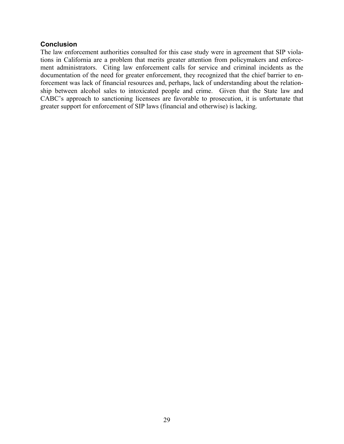#### **Conclusion**

The law enforcement authorities consulted for this case study were in agreement that SIP violations in California are a problem that merits greater attention from policymakers and enforcement administrators. Citing law enforcement calls for service and criminal incidents as the documentation of the need for greater enforcement, they recognized that the chief barrier to enforcement was lack of financial resources and, perhaps, lack of understanding about the relationship between alcohol sales to intoxicated people and crime. Given that the State law and CABC's approach to sanctioning licensees are favorable to prosecution, it is unfortunate that greater support for enforcement of SIP laws (financial and otherwise) is lacking.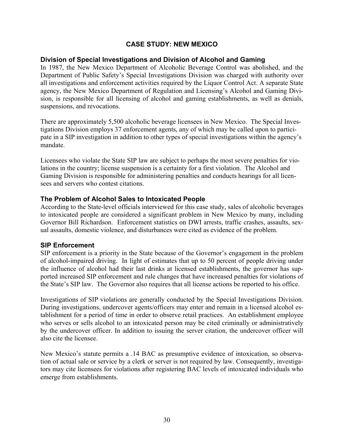# **CASE STUDY: NEW MEXICO**

#### <span id="page-34-0"></span>**Division of Special Investigations and Division of Alcohol and Gaming**

In 1987, the New Mexico Department of Alcoholic Beverage Control was abolished, and the Department of Public Safety's Special Investigations Division was charged with authority over all investigations and enforcement activities required by the Liquor Control Act. A separate State agency, the New Mexico Department of Regulation and Licensing's Alcohol and Gaming Division, is responsible for all licensing of alcohol and gaming establishments, as well as denials, suspensions, and revocations.

There are approximately 5,500 alcoholic beverage licensees in New Mexico. The Special Investigations Division employs 37 enforcement agents, any of which may be called upon to participate in a SIP investigation in addition to other types of special investigations within the agency's mandate.

Licensees who violate the State SIP law are subject to perhaps the most severe penalties for violations in the country; license suspension is a certainty for a first violation. The Alcohol and Gaming Division is responsible for administering penalties and conducts hearings for all licensees and servers who contest citations.

#### **The Problem of Alcohol Sales to Intoxicated People**

According to the State-level officials interviewed for this case study, sales of alcoholic beverages to intoxicated people are considered a significant problem in New Mexico by many, including Governor Bill Richardson. Enforcement statistics on DWI arrests, traffic crashes, assaults, sexual assaults, domestic violence, and disturbances were cited as evidence of the problem.

#### **SIP Enforcement**

SIP enforcement is a priority in the State because of the Governor's engagement in the problem of alcohol-impaired driving. In light of estimates that up to 50 percent of people driving under the influence of alcohol had their last drinks at licensed establishments, the governor has supported increased SIP enforcement and rule changes that have increased penalties for violations of the State's SIP law. The Governor also requires that all license actions be reported to his office.

Investigations of SIP violations are generally conducted by the Special Investigations Division. During investigations, undercover agents/officers may enter and remain in a licensed alcohol establishment for a period of time in order to observe retail practices. An establishment employee who serves or sells alcohol to an intoxicated person may be cited criminally or administratively by the undercover officer. In addition to issuing the server citation, the undercover officer will also cite the licensee.

New Mexico's statute permits a .14 BAC as presumptive evidence of intoxication, so observation of actual sale or service by a clerk or server is not required by law. Consequently, investigators may cite licensees for violations after registering BAC levels of intoxicated individuals who emerge from establishments.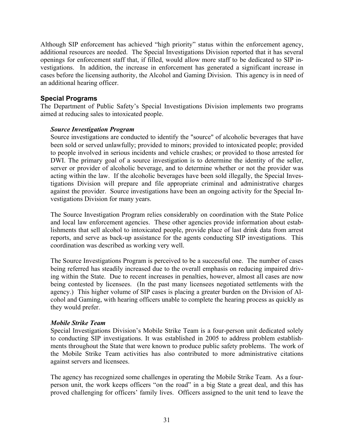Although SIP enforcement has achieved "high priority" status within the enforcement agency, additional resources are needed. The Special Investigations Division reported that it has several openings for enforcement staff that, if filled, would allow more staff to be dedicated to SIP investigations. In addition, the increase in enforcement has generated a significant increase in cases before the licensing authority, the Alcohol and Gaming Division. This agency is in need of an additional hearing officer.

# **Special Programs**

The Department of Public Safety's Special Investigations Division implements two programs aimed at reducing sales to intoxicated people.

### *Source Investigation Program*

Source investigations are conducted to identify the "source" of alcoholic beverages that have been sold or served unlawfully; provided to minors; provided to intoxicated people; provided to people involved in serious incidents and vehicle crashes; or provided to those arrested for DWI. The primary goal of a source investigation is to determine the identity of the seller, server or provider of alcoholic beverage, and to determine whether or not the provider was acting within the law. If the alcoholic beverages have been sold illegally, the Special Investigations Division will prepare and file appropriate criminal and administrative charges against the provider. Source investigations have been an ongoing activity for the Special Investigations Division for many years.

The Source Investigation Program relies considerably on coordination with the State Police and local law enforcement agencies. These other agencies provide information about establishments that sell alcohol to intoxicated people, provide place of last drink data from arrest reports, and serve as back-up assistance for the agents conducting SIP investigations. This coordination was described as working very well.

The Source Investigations Program is perceived to be a successful one. The number of cases being referred has steadily increased due to the overall emphasis on reducing impaired driving within the State. Due to recent increases in penalties, however, almost all cases are now being contested by licensees. (In the past many licensees negotiated settlements with the agency.) This higher volume of SIP cases is placing a greater burden on the Division of Alcohol and Gaming, with hearing officers unable to complete the hearing process as quickly as they would prefer.

### *Mobile Strike Team*

Special Investigations Division's Mobile Strike Team is a four-person unit dedicated solely to conducting SIP investigations. It was established in 2005 to address problem establishments throughout the State that were known to produce public safety problems. The work of the Mobile Strike Team activities has also contributed to more administrative citations against servers and licensees.

The agency has recognized some challenges in operating the Mobile Strike Team. As a fourperson unit, the work keeps officers "on the road" in a big State a great deal, and this has proved challenging for officers' family lives. Officers assigned to the unit tend to leave the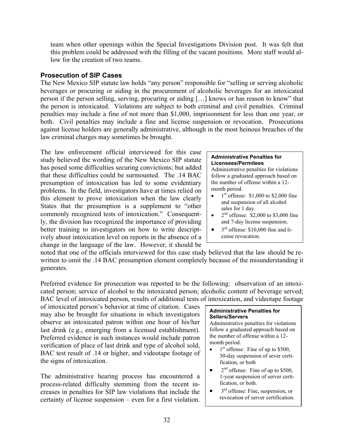team when other openings within the Special Investigations Division post. It was felt that this problem could be addressed with the filling of the vacant positions. More staff would allow for the creation of two teams.

# **Prosecution of SIP Cases**

The New Mexico SIP statute law holds "any person" responsible for "selling or serving alcoholic beverages or procuring or aiding in the procurement of alcoholic beverages for an intoxicated person if the person selling, serving, procuring or aiding […] knows or has reason to know" that the person is intoxicated. Violations are subject to both criminal and civil penalties. Criminal penalties may include a fine of not more than \$1,000, imprisonment for less than one year, or both. Civil penalties may include a fine and license suspension or revocation. Prosecutions against license holders are generally administrative, although in the most heinous breaches of the law criminal charges may sometimes be brought.

The law enforcement official interviewed for this case Find the wording of the New Mexico SIP statute<br>has posed some difficulties securing convictions; but added Administrative penalties for violations that these difficulties could be surmounted. The  $.14$  BAC follow a graduated approach based on presumption of intoxication has led to some evidentiary  $\mu$  the number of offense within a 12-<br>problems. In the field investigators have at times relied on problems. In the field, investigators have at times relied on<br>this element to prove intoxication when the law clearly<br>States that the presumption is a supplement to "other<br>sales for 1 day. commonly recognized tests of intoxication." Consequently, the division has recognized the importance of providing better training to investigators on how to write descript-  $\bullet$  3<sup>rd</sup> offense: \$10,000 fine and liively about intoxication level on reports in the absence of  $a \mid$  cense revocation. change in the language of the law. However, it should be

- $1<sup>st</sup>$  offense: \$1,000 to \$2,000 fine
- $2<sup>nd</sup>$  offense: \$2,000 to \$3,000 fine and 7-day license suspension.
- 

noted that one of the officials interviewed for this case study believed that the law should be rewritten to omit the .14 BAC presumption element completely because of the misunderstanding it generates.

Preferred evidence for prosecution was reported to be the following: observation of an intoxicated person; service of alcohol to the intoxicated person; alcoholic content of beverage served; BAC level of intoxicated person, results of additional tests of intoxication, and videotape footage

of intoxicated person's behavior at time of citation. Cases **Administrative Penalties for Administrative Penalties for Sellers/Servers** observe an intoxicated patron within one hour of his/her  $\vert$  Administrative penalties for violations last drink (e.g., emerging from a licensed establishment). <br>Preferred evidence in such instances would include patron the number of offense within a 12-Preferred evidence in such instances would include patron<br>verification of place of last drink and type of alcohol sold,<br>BAC test result of .14 or higher, and videotape footage of<br>the signs of intoxication.

The administrative hearing process has encountered a process-related difficulty stemming from the recent in- fication, or both. creases in penalties for SIP law violations that include the  $\frac{3^{rd}}{s^{rd}}$  offense: Fine, suspension, or certainty of license suspension, even for a first violation certainty of license suspension – even for a first violation.

- fication, or both
- $2<sup>nd</sup>$  offense: Fine of up to \$500,<br>1-year suspension of server certi-
-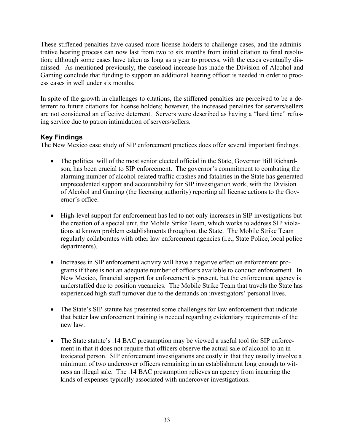These stiffened penalties have caused more license holders to challenge cases, and the administrative hearing process can now last from two to six months from initial citation to final resolution; although some cases have taken as long as a year to process, with the cases eventually dismissed. As mentioned previously, the caseload increase has made the Division of Alcohol and Gaming conclude that funding to support an additional hearing officer is needed in order to process cases in well under six months.

In spite of the growth in challenges to citations, the stiffened penalties are perceived to be a deterrent to future citations for license holders; however, the increased penalties for servers/sellers are not considered an effective deterrent. Servers were described as having a "hard time" refusing service due to patron intimidation of servers/sellers.

# **Key Findings**

The New Mexico case study of SIP enforcement practices does offer several important findings.

- The political will of the most senior elected official in the State, Governor Bill Richardson, has been crucial to SIP enforcement. The governor's commitment to combating the alarming number of alcohol-related traffic crashes and fatalities in the State has generated unprecedented support and accountability for SIP investigation work, with the Division of Alcohol and Gaming (the licensing authority) reporting all license actions to the Governor's office.
- High-level support for enforcement has led to not only increases in SIP investigations but the creation of a special unit, the Mobile Strike Team, which works to address SIP violations at known problem establishments throughout the State. The Mobile Strike Team regularly collaborates with other law enforcement agencies (i.e., State Police, local police departments).
- Increases in SIP enforcement activity will have a negative effect on enforcement programs if there is not an adequate number of officers available to conduct enforcement. In New Mexico, financial support for enforcement is present, but the enforcement agency is understaffed due to position vacancies. The Mobile Strike Team that travels the State has experienced high staff turnover due to the demands on investigators' personal lives.
- The State's SIP statute has presented some challenges for law enforcement that indicate that better law enforcement training is needed regarding evidentiary requirements of the new law.
- The State statute's .14 BAC presumption may be viewed a useful tool for SIP enforcement in that it does not require that officers observe the actual sale of alcohol to an intoxicated person. SIP enforcement investigations are costly in that they usually involve a minimum of two undercover officers remaining in an establishment long enough to witness an illegal sale. The .14 BAC presumption relieves an agency from incurring the kinds of expenses typically associated with undercover investigations.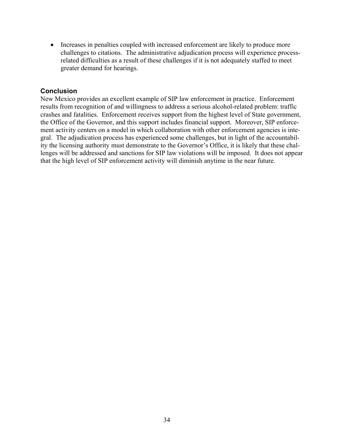• Increases in penalties coupled with increased enforcement are likely to produce more challenges to citations. The administrative adjudication process will experience processrelated difficulties as a result of these challenges if it is not adequately staffed to meet greater demand for hearings.

# **Conclusion**

New Mexico provides an excellent example of SIP law enforcement in practice. Enforcement results from recognition of and willingness to address a serious alcohol-related problem: traffic crashes and fatalities. Enforcement receives support from the highest level of State government, the Office of the Governor, and this support includes financial support. Moreover, SIP enforcement activity centers on a model in which collaboration with other enforcement agencies is integral. The adjudication process has experienced some challenges, but in light of the accountability the licensing authority must demonstrate to the Governor's Office, it is likely that these challenges will be addressed and sanctions for SIP law violations will be imposed. It does not appear that the high level of SIP enforcement activity will diminish anytime in the near future.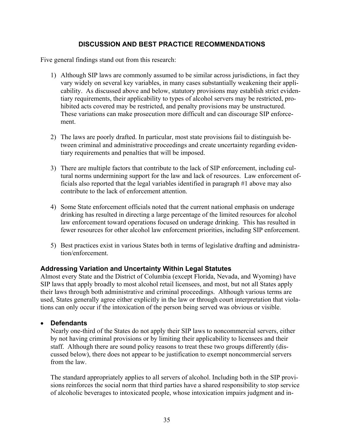# **DISCUSSION AND BEST PRACTICE RECOMMENDATIONS**

Five general findings stand out from this research:

- 1) Although SIP laws are commonly assumed to be similar across jurisdictions, in fact they vary widely on several key variables, in many cases substantially weakening their applicability. As discussed above and below, statutory provisions may establish strict evidentiary requirements, their applicability to types of alcohol servers may be restricted, prohibited acts covered may be restricted, and penalty provisions may be unstructured. These variations can make prosecution more difficult and can discourage SIP enforcement.
- 2) The laws are poorly drafted. In particular, most state provisions fail to distinguish between criminal and administrative proceedings and create uncertainty regarding evidentiary requirements and penalties that will be imposed.
- 3) There are multiple factors that contribute to the lack of SIP enforcement, including cultural norms undermining support for the law and lack of resources. Law enforcement officials also reported that the legal variables identified in paragraph #1 above may also contribute to the lack of enforcement attention.
- 4) Some State enforcement officials noted that the current national emphasis on underage drinking has resulted in directing a large percentage of the limited resources for alcohol law enforcement toward operations focused on underage drinking. This has resulted in fewer resources for other alcohol law enforcement priorities, including SIP enforcement.
- 5) Best practices exist in various States both in terms of legislative drafting and administration/enforcement.

# **Addressing Variation and Uncertainty Within Legal Statutes**

Almost every State and the District of Columbia (except Florida, Nevada, and Wyoming) have SIP laws that apply broadly to most alcohol retail licensees, and most, but not all States apply their laws through both administrative and criminal proceedings. Although various terms are used, States generally agree either explicitly in the law or through court interpretation that violations can only occur if the intoxication of the person being served was obvious or visible.

### • **Defendants**

Nearly one-third of the States do not apply their SIP laws to noncommercial servers, either by not having criminal provisions or by limiting their applicability to licensees and their staff. Although there are sound policy reasons to treat these two groups differently (discussed below), there does not appear to be justification to exempt noncommercial servers from the law.

The standard appropriately applies to all servers of alcohol. Including both in the SIP provisions reinforces the social norm that third parties have a shared responsibility to stop service of alcoholic beverages to intoxicated people, whose intoxication impairs judgment and in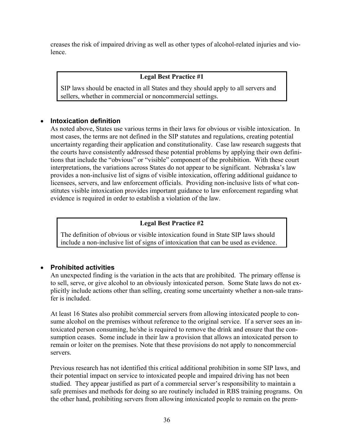creases the risk of impaired driving as well as other types of alcohol-related injuries and violence.

## **Legal Best Practice #1**

SIP laws should be enacted in all States and they should apply to all servers and sellers, whether in commercial or noncommercial settings.

## • **Intoxication definition**

As noted above, States use various terms in their laws for obvious or visible intoxication. In most cases, the terms are not defined in the SIP statutes and regulations, creating potential uncertainty regarding their application and constitutionality. Case law research suggests that the courts have consistently addressed these potential problems by applying their own definitions that include the "obvious" or "visible" component of the prohibition. With these court interpretations, the variations across States do not appear to be significant. Nebraska's law provides a non-inclusive list of signs of visible intoxication, offering additional guidance to licensees, servers, and law enforcement officials. Providing non-inclusive lists of what constitutes visible intoxication provides important guidance to law enforcement regarding what evidence is required in order to establish a violation of the law.

## **Legal Best Practice #2**

The definition of obvious or visible intoxication found in State SIP laws should include a non-inclusive list of signs of intoxication that can be used as evidence.

# • **Prohibited activities**

An unexpected finding is the variation in the acts that are prohibited. The primary offense is to sell, serve, or give alcohol to an obviously intoxicated person. Some State laws do not explicitly include actions other than selling, creating some uncertainty whether a non-sale transfer is included.

At least 16 States also prohibit commercial servers from allowing intoxicated people to consume alcohol on the premises without reference to the original service. If a server sees an intoxicated person consuming, he/she is required to remove the drink and ensure that the consumption ceases. Some include in their law a provision that allows an intoxicated person to remain or loiter on the premises. Note that these provisions do not apply to noncommercial servers.

Previous research has not identified this critical additional prohibition in some SIP laws, and their potential impact on service to intoxicated people and impaired driving has not been studied. They appear justified as part of a commercial server's responsibility to maintain a safe premises and methods for doing so are routinely included in RBS training programs. On the other hand, prohibiting servers from allowing intoxicated people to remain on the prem-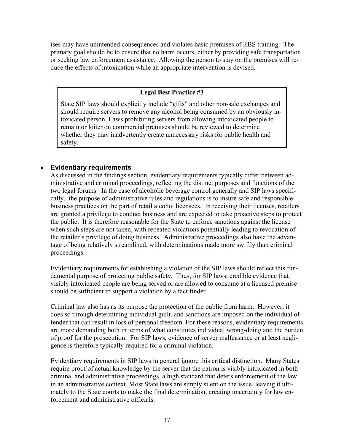ises may have unintended consequences and violates basic premises of RBS training. The primary goal should be to ensure that no harm occurs, either by providing safe transportation or seeking law enforcement assistance. Allowing the person to stay on the premises will reduce the effects of intoxication while an appropriate intervention is devised.

# **Legal Best Practice #3**

State SIP laws should explicitly include "gifts" and other non-sale exchanges and should require servers to remove any alcohol being consumed by an obviously intoxicated person. Laws prohibiting servers from allowing intoxicated people to remain or loiter on commercial premises should be reviewed to determine whether they may inadvertently create unnecessary risks for public health and safety.

# • **Evidentiary requirements**

As discussed in the findings section, evidentiary requirements typically differ between administrative and criminal proceedings, reflecting the distinct purposes and functions of the two legal forums. In the case of alcoholic beverage control generally and SIP laws specifically, the purpose of administrative rules and regulations is to insure safe and responsible business practices on the part of retail alcohol licensees. In receiving their licenses, retailers are granted a privilege to conduct business and are expected to take proactive steps to protect the public. It is therefore reasonable for the State to enforce sanctions against the license when such steps are not taken, with repeated violations potentially leading to revocation of the retailer's privilege of doing business. Administrative proceedings also have the advantage of being relatively streamlined, with determinations made more swiftly than criminal proceedings.

Evidentiary requirements for establishing a violation of the SIP laws should reflect this fundamental purpose of protecting public safety. Thus, for SIP laws, credible evidence that visibly intoxicated people are being served or are allowed to consume at a licensed premise should be sufficient to support a violation by a fact finder.

Criminal law also has as its purpose the protection of the public from harm. However, it does so through determining individual guilt, and sanctions are imposed on the individual offender that can result in loss of personal freedom. For these reasons, evidentiary requirements are more demanding both in terms of what constitutes individual wrong-doing and the burden of proof for the prosecution. For SIP laws, evidence of server malfeasance or at least negligence is therefore typically required for a criminal violation.

Evidentiary requirements in SIP laws in general ignore this critical distinction. Many States require proof of actual knowledge by the server that the patron is visibly intoxicated in both criminal and administrative proceedings, a high standard that deters enforcement of the law in an administrative context. Most State laws are simply silent on the issue, leaving it ultimately to the State courts to make the final determination, creating uncertainty for law enforcement and administrative officials.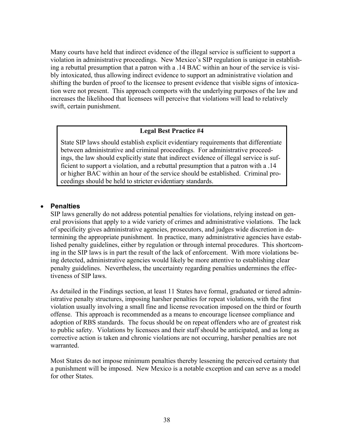Many courts have held that indirect evidence of the illegal service is sufficient to support a violation in administrative proceedings. New Mexico's SIP regulation is unique in establishing a rebuttal presumption that a patron with a .14 BAC within an hour of the service is visibly intoxicated, thus allowing indirect evidence to support an administrative violation and shifting the burden of proof to the licensee to present evidence that visible signs of intoxication were not present. This approach comports with the underlying purposes of the law and increases the likelihood that licensees will perceive that violations will lead to relatively swift, certain punishment.

## **Legal Best Practice #4**

State SIP laws should establish explicit evidentiary requirements that differentiate between administrative and criminal proceedings. For administrative proceedings, the law should explicitly state that indirect evidence of illegal service is sufficient to support a violation, and a rebuttal presumption that a patron with a .14 or higher BAC within an hour of the service should be established. Criminal proceedings should be held to stricter evidentiary standards.

## **Penalties**

SIP laws generally do not address potential penalties for violations, relying instead on general provisions that apply to a wide variety of crimes and administrative violations. The lack of specificity gives administrative agencies, prosecutors, and judges wide discretion in determining the appropriate punishment. In practice, many administrative agencies have established penalty guidelines, either by regulation or through internal procedures. This shortcoming in the SIP laws is in part the result of the lack of enforcement. With more violations being detected, administrative agencies would likely be more attentive to establishing clear penalty guidelines. Nevertheless, the uncertainty regarding penalties undermines the effectiveness of SIP laws.

As detailed in the Findings section, at least 11 States have formal, graduated or tiered administrative penalty structures, imposing harsher penalties for repeat violations, with the first violation usually involving a small fine and license revocation imposed on the third or fourth offense. This approach is recommended as a means to encourage licensee compliance and adoption of RBS standards. The focus should be on repeat offenders who are of greatest risk to public safety. Violations by licensees and their staff should be anticipated, and as long as corrective action is taken and chronic violations are not occurring, harsher penalties are not warranted.

Most States do not impose minimum penalties thereby lessening the perceived certainty that a punishment will be imposed. New Mexico is a notable exception and can serve as a model for other States.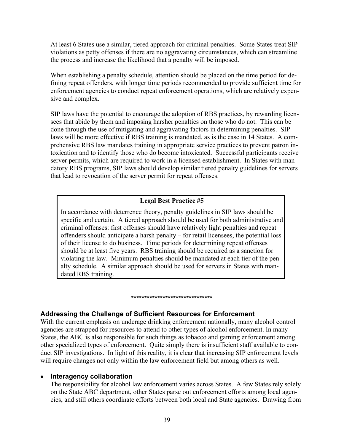At least 6 States use a similar, tiered approach for criminal penalties. Some States treat SIP violations as petty offenses if there are no aggravating circumstances, which can streamline the process and increase the likelihood that a penalty will be imposed.

When establishing a penalty schedule, attention should be placed on the time period for defining repeat offenders, with longer time periods recommended to provide sufficient time for enforcement agencies to conduct repeat enforcement operations, which are relatively expensive and complex.

SIP laws have the potential to encourage the adoption of RBS practices, by rewarding licensees that abide by them and imposing harsher penalties on those who do not. This can be done through the use of mitigating and aggravating factors in determining penalties. SIP laws will be more effective if RBS training is mandated, as is the case in 14 States. A comprehensive RBS law mandates training in appropriate service practices to prevent patron intoxication and to identify those who do become intoxicated. Successful participants receive server permits, which are required to work in a licensed establishment. In States with mandatory RBS programs, SIP laws should develop similar tiered penalty guidelines for servers that lead to revocation of the server permit for repeat offenses.

# **Legal Best Practice #5**

In accordance with deterrence theory, penalty guidelines in SIP laws should be specific and certain. A tiered approach should be used for both administrative and criminal offenses: first offenses should have relatively light penalties and repeat offenders should anticipate a harsh penalty – for retail licensees, the potential loss of their license to do business. Time periods for determining repeat offenses should be at least five years. RBS training should be required as a sanction for violating the law. Minimum penalties should be mandated at each tier of the penalty schedule. A similar approach should be used for servers in States with mandated RBS training.

#### **\*\*\*\*\*\*\*\*\*\*\*\*\*\*\*\*\*\*\*\*\*\*\*\*\*\*\*\*\*\*\***

# **Addressing the Challenge of Sufficient Resources for Enforcement**

With the current emphasis on underage drinking enforcement nationally, many alcohol control agencies are strapped for resources to attend to other types of alcohol enforcement. In many States, the ABC is also responsible for such things as tobacco and gaming enforcement among other specialized types of enforcement. Quite simply there is insufficient staff available to conduct SIP investigations. In light of this reality, it is clear that increasing SIP enforcement levels will require changes not only within the law enforcement field but among others as well.

# • **Interagency collaboration**

The responsibility for alcohol law enforcement varies across States. A few States rely solely on the State ABC department, other States parse out enforcement efforts among local agencies, and still others coordinate efforts between both local and State agencies. Drawing from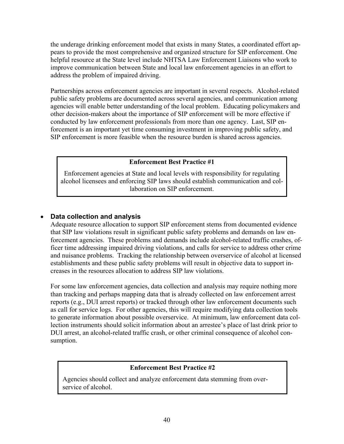the underage drinking enforcement model that exists in many States, a coordinated effort appears to provide the most comprehensive and organized structure for SIP enforcement. One helpful resource at the State level include NHTSA Law Enforcement Liaisons who work to improve communication between State and local law enforcement agencies in an effort to address the problem of impaired driving.

Partnerships across enforcement agencies are important in several respects. Alcohol-related public safety problems are documented across several agencies, and communication among agencies will enable better understanding of the local problem. Educating policymakers and other decision-makers about the importance of SIP enforcement will be more effective if conducted by law enforcement professionals from more than one agency. Last, SIP enforcement is an important yet time consuming investment in improving public safety, and SIP enforcement is more feasible when the resource burden is shared across agencies.

# **Enforcement Best Practice #1**

Enforcement agencies at State and local levels with responsibility for regulating alcohol licensees and enforcing SIP laws should establish communication and collaboration on SIP enforcement.

# • **Data collection and analysis**

Adequate resource allocation to support SIP enforcement stems from documented evidence that SIP law violations result in significant public safety problems and demands on law enforcement agencies. These problems and demands include alcohol-related traffic crashes, officer time addressing impaired driving violations, and calls for service to address other crime and nuisance problems. Tracking the relationship between overservice of alcohol at licensed establishments and these public safety problems will result in objective data to support increases in the resources allocation to address SIP law violations.

For some law enforcement agencies, data collection and analysis may require nothing more than tracking and perhaps mapping data that is already collected on law enforcement arrest reports (e.g., DUI arrest reports) or tracked through other law enforcement documents such as call for service logs. For other agencies, this will require modifying data collection tools to generate information about possible overservice. At minimum, law enforcement data collection instruments should solicit information about an arrestee's place of last drink prior to DUI arrest, an alcohol-related traffic crash, or other criminal consequence of alcohol consumption.

# **Enforcement Best Practice #2**

Agencies should collect and analyze enforcement data stemming from overservice of alcohol.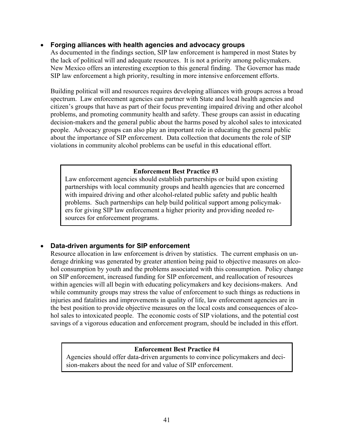# • **Forging alliances with health agencies and advocacy groups**

As documented in the findings section, SIP law enforcement is hampered in most States by the lack of political will and adequate resources. It is not a priority among policymakers. New Mexico offers an interesting exception to this general finding. The Governor has made SIP law enforcement a high priority, resulting in more intensive enforcement efforts.

Building political will and resources requires developing alliances with groups across a broad spectrum. Law enforcement agencies can partner with State and local health agencies and citizen's groups that have as part of their focus preventing impaired driving and other alcohol problems, and promoting community health and safety. These groups can assist in educating decision-makers and the general public about the harms posed by alcohol sales to intoxicated people. Advocacy groups can also play an important role in educating the general public about the importance of SIP enforcement. Data collection that documents the role of SIP violations in community alcohol problems can be useful in this educational effort.

## **Enforcement Best Practice #3**

Law enforcement agencies should establish partnerships or build upon existing partnerships with local community groups and health agencies that are concerned with impaired driving and other alcohol-related public safety and public health problems. Such partnerships can help build political support among policymakers for giving SIP law enforcement a higher priority and providing needed resources for enforcement programs.

# • **Data-driven arguments for SIP enforcement**

Resource allocation in law enforcement is driven by statistics. The current emphasis on underage drinking was generated by greater attention being paid to objective measures on alcohol consumption by youth and the problems associated with this consumption. Policy change on SIP enforcement, increased funding for SIP enforcement, and reallocation of resources within agencies will all begin with educating policymakers and key decisions-makers. And while community groups may stress the value of enforcement to such things as reductions in injuries and fatalities and improvements in quality of life, law enforcement agencies are in the best position to provide objective measures on the local costs and consequences of alcohol sales to intoxicated people. The economic costs of SIP violations, and the potential cost savings of a vigorous education and enforcement program, should be included in this effort.

### **Enforcement Best Practice #4**

Agencies should offer data-driven arguments to convince policymakers and decision-makers about the need for and value of SIP enforcement.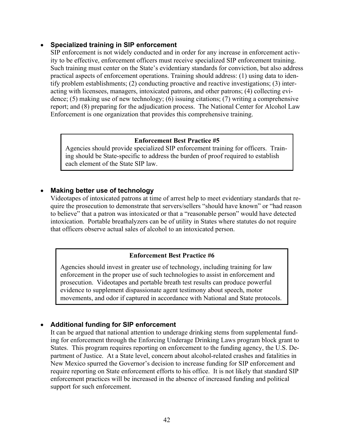## • **Specialized training in SIP enforcement**

SIP enforcement is not widely conducted and in order for any increase in enforcement activity to be effective, enforcement officers must receive specialized SIP enforcement training. Such training must center on the State's evidentiary standards for conviction, but also address practical aspects of enforcement operations. Training should address: (1) using data to identify problem establishments; (2) conducting proactive and reactive investigations; (3) interacting with licensees, managers, intoxicated patrons, and other patrons; (4) collecting evidence; (5) making use of new technology; (6) issuing citations; (7) writing a comprehensive report; and (8) preparing for the adjudication process. The National Center for Alcohol Law Enforcement is one organization that provides this comprehensive training.

### **Enforcement Best Practice #5**

Agencies should provide specialized SIP enforcement training for officers. Training should be State-specific to address the burden of proof required to establish each element of the State SIP law.

# • **Making better use of technology**

Videotapes of intoxicated patrons at time of arrest help to meet evidentiary standards that require the prosecution to demonstrate that servers/sellers "should have known" or "had reason to believe" that a patron was intoxicated or that a "reasonable person" would have detected intoxication. Portable breathalyzers can be of utility in States where statutes do not require that officers observe actual sales of alcohol to an intoxicated person.

### **Enforcement Best Practice #6**

Agencies should invest in greater use of technology, including training for law enforcement in the proper use of such technologies to assist in enforcement and prosecution. Videotapes and portable breath test results can produce powerful evidence to supplement dispassionate agent testimony about speech, motor movements, and odor if captured in accordance with National and State protocols.

# • **Additional funding for SIP enforcement**

It can be argued that national attention to underage drinking stems from supplemental funding for enforcement through the Enforcing Underage Drinking Laws program block grant to States. This program requires reporting on enforcement to the funding agency, the U.S. Department of Justice. At a State level, concern about alcohol-related crashes and fatalities in New Mexico spurred the Governor's decision to increase funding for SIP enforcement and require reporting on State enforcement efforts to his office. It is not likely that standard SIP enforcement practices will be increased in the absence of increased funding and political support for such enforcement.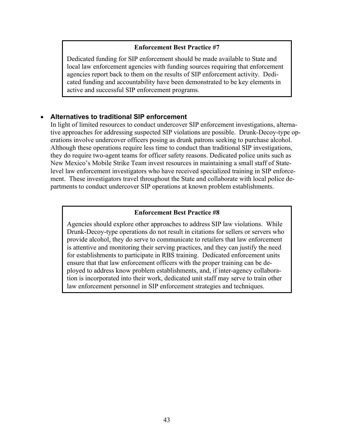#### **Enforcement Best Practice #7**

Dedicated funding for SIP enforcement should be made available to State and local law enforcement agencies with funding sources requiring that enforcement agencies report back to them on the results of SIP enforcement activity. Dedicated funding and accountability have been demonstrated to be key elements in active and successful SIP enforcement programs.

### • **Alternatives to traditional SIP enforcement**

In light of limited resources to conduct undercover SIP enforcement investigations, alternative approaches for addressing suspected SIP violations are possible. Drunk-Decoy-type operations involve undercover officers posing as drunk patrons seeking to purchase alcohol. Although these operations require less time to conduct than traditional SIP investigations, they do require two-agent teams for officer safety reasons. Dedicated police units such as New Mexico's Mobile Strike Team invest resources in maintaining a small staff of Statelevel law enforcement investigators who have received specialized training in SIP enforcement. These investigators travel throughout the State and collaborate with local police departments to conduct undercover SIP operations at known problem establishments.

#### **Enforcement Best Practice #8**

Agencies should explore other approaches to address SIP law violations. While Drunk-Decoy-type operations do not result in citations for sellers or servers who provide alcohol, they do serve to communicate to retailers that law enforcement is attentive and monitoring their serving practices, and they can justify the need for establishments to participate in RBS training. Dedicated enforcement units ensure that that law enforcement officers with the proper training can be deployed to address know problem establishments, and, if inter-agency collaboration is incorporated into their work, dedicated unit staff may serve to train other law enforcement personnel in SIP enforcement strategies and techniques.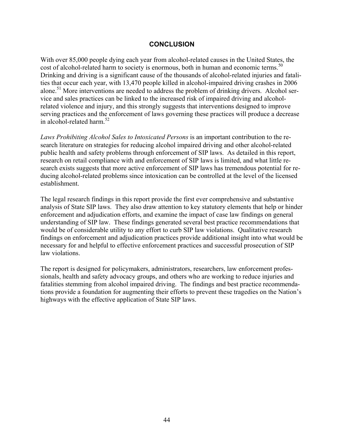## **CONCLUSION**

cost of alcohol-related harm to society is enormous, both in human and economic terms.<sup>50</sup> With over 85,000 people dying each year from alcohol-related causes in the United States, the Drinking and driving is a significant cause of the thousands of alcohol-related injuries and fatalities that occur each year, with 13,470 people killed in alcohol-impaired driving crashes in 2006 alone.<sup>51</sup> More interventions are needed to address the problem of drinking drivers. Alcohol service and sales practices can be linked to the increased risk of impaired driving and alcoholrelated violence and injury, and this strongly suggests that interventions designed to improve serving practices and the enforcement of laws governing these practices will produce a decrease in alcohol-related harm. $52$ 

*Laws Prohibiting Alcohol Sales to Intoxicated Persons* is an important contribution to the research literature on strategies for reducing alcohol impaired driving and other alcohol-related public health and safety problems through enforcement of SIP laws. As detailed in this report, research on retail compliance with and enforcement of SIP laws is limited, and what little research exists suggests that more active enforcement of SIP laws has tremendous potential for reducing alcohol-related problems since intoxication can be controlled at the level of the licensed establishment.

The legal research findings in this report provide the first ever comprehensive and substantive analysis of State SIP laws. They also draw attention to key statutory elements that help or hinder enforcement and adjudication efforts, and examine the impact of case law findings on general understanding of SIP law. These findings generated several best practice recommendations that would be of considerable utility to any effort to curb SIP law violations. Qualitative research findings on enforcement and adjudication practices provide additional insight into what would be necessary for and helpful to effective enforcement practices and successful prosecution of SIP law violations.

The report is designed for policymakers, administrators, researchers, law enforcement professionals, health and safety advocacy groups, and others who are working to reduce injuries and fatalities stemming from alcohol impaired driving. The findings and best practice recommendations provide a foundation for augmenting their efforts to prevent these tragedies on the Nation's highways with the effective application of State SIP laws.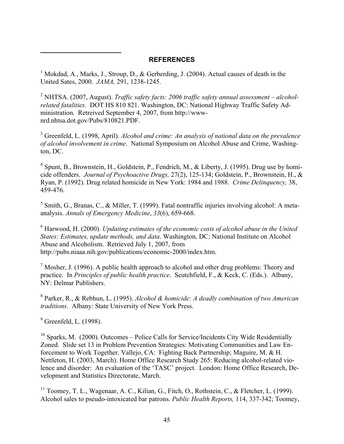## **REFERENCES**

<sup>1</sup> Mokdad, A., Marks, J., Stroup, D., & Gerberding, J. (2004). Actual causes of death in the United Sates, 2000. *JAMA,* 291, 1238-1245.

2 NHTSA. (2007, August). *Traffic safety facts: 2006 traffic safety annual assessment – alcoholrelated fatalities*. DOT HS 810 821. Washington, DC: National Highway Traffic Safety Administration. Retreived September 4, 2007, from http://wwwnrd.nhtsa.dot.gov/Pubs/810821.PDF.

3 Greenfeld, L. (1998, April). *Alcohol and crime: An analysis of national data on the prevalence of alcohol involvement in crime*. National Symposium on Alcohol Abuse and Crime, Washington, DC.

 $4$  Spunt, B., Brownstein, H., Goldstein, P., Fendrich, M., & Liberty, J. (1995). Drug use by homi cide offenders. *Journal of Psychoactive Drugs,* 27(2), 125-134; Goldstein, P., Brownstein, H., & Ryan, P. (1992). Drug related homicide in New York: 1984 and 1988. *Crime Delinquency,* 38, 459-476.

<sup>5</sup> Smith, G., Branas, C., & Miller, T. (1999). Fatal nontraffic injuries involving alcohol: A metaanalysis. *Annals of Emergency Medicine*, *33*(6), 659-668.

<sup>6</sup> Harwood, H. (2000). *Updating estimates of the economic costs of alcohol abuse in the United States: Estimates, update methods, and data*. Washington, DC: National Institute on Alcohol Abuse and Alcoholism. Retrieved July 1, 2007, from http://pubs.niaaa.nih.gov/publications/economic-2000/index.htm.

<sup>7</sup> Mosher, J. (1996). A public health approach to alcohol and other drug problems: Theory and practice. In *Principles of public health practice*. Scutchfield, F., & Keck, C. (Eds.). Albany, NY: Delmar Publishers.

8 Parker, R., & Rebhun, L. (1995). *Alcohol & homicide: A deadly combination of two American traditions*. Albany: State University of New York Press.

 $<sup>9</sup>$  Greenfeld, L. (1998).</sup>

 $\overline{a}$ 

 $10$  Sparks, M. (2000). Outcomes – Police Calls for Service/Incidents City Wide Residentially Zoned. Slide set 13 in Problem Prevention Strategies: Motivating Communities and Law Enforcement to Work Together. Vallejo, CA: Fighting Back Partnership; Maguire, M. & H. Nettleton, H. (2003, March). Home Office Research Study 265: Reducing alcohol-related violence and disorder: An evaluation of the 'TASC' project. London: Home Office Research, Development and Statistics Directorate, March.

<sup>11</sup> Toomey, T. L., Wagenaar, A. C., Kilian, G., Fitch, O., Rothstein, C., & Fletcher, L. (1999). Alcohol sales to pseudo-intoxicated bar patrons. *Public Health Reports,* 114, 337-342; Toomey,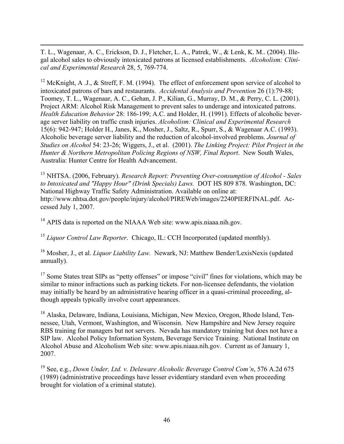T. L., Wagenaar, A. C., Erickson, D. J., Fletcher, L. A., Patrek, W., & Lenk, K. M.. (2004). Illegal alcohol sales to obviously intoxicated patrons at licensed establishments. *Alcoholism: Clinical and Experimental Research* 28, 5, 769-774.

 $\overline{a}$ 

<sup>12</sup> McKnight, A .J., & Streff, F. M. (1994). The effect of enforcement upon service of alcohol to intoxicated patrons of bars and restaurants. *Accidental Analysis and Prevention* 26 (1):79-88; Toomey, T. L., Wagenaar, A. C., Gehan, J. P., Kilian, G., Murray, D. M., & Perry, C. L. (2001). Project ARM: Alcohol Risk Management to prevent sales to underage and intoxicated patrons. *Health Education Behavior* 28: 186-199; A.C. and Holder, H. (1991). Effects of alcoholic beverage server liability on traffic crash injuries. *Alcoholism: Clinical and Experimental Research*  15(6): 942-947; Holder H., Janes, K., Mosher, J., Saltz, R., Spurr, S., & Wagenaar A.C. (1993). Alcoholic beverage server liability and the reduction of alcohol-involved problems. *Journal of Studies on Alcohol* 54: 23-26; Wiggers, J., et al. (2001). *The Linking Project: Pilot Project in the Hunter & Northern Metropolitan Policing Regions of NSW, Final Report*. New South Wales, Australia: Hunter Centre for Health Advancement.

13 NHTSA. (2006, February). *Research Report: Preventing Over-consumption of Alcohol - Sales to Intoxicated and "Happy Hour" (Drink Specials) Laws.* DOT HS 809 878. Washington, DC: National Highway Traffic Safety Administration. Available on online at: http://www.nhtsa.dot.gov/people/injury/alcohol/PIREWeb/images/2240PIERFINAL.pdf. Accessed July 1, 2007.

<sup>14</sup> APIS data is reported on the NIAAA Web site: www.apis.niaaa.nih.gov.

<sup>15</sup>*Liquor Control Law Reporter*. Chicago, IL: CCH Incorporated (updated monthly).

16 Mosher, J., et al. *Liquor Liability Law.* Newark, NJ: Matthew Bender/LexisNexis (updated annually).

<sup>17</sup> Some States treat SIPs as "petty offenses" or impose "civil" fines for violations, which may be similar to minor infractions such as parking tickets. For non-licensee defendants, the violation may initially be heard by an administrative hearing officer in a quasi-criminal proceeding, although appeals typically involve court appearances.

<sup>18</sup> Alaska, Delaware, Indiana, Louisiana, Michigan, New Mexico, Oregon, Rhode Island, Tennessee, Utah, Vermont, Washington, and Wisconsin. New Hampshire and New Jersey require RBS training for managers but not servers. Nevada has mandatory training but does not have a SIP law. Alcohol Policy Information System, Beverage Service Training. National Institute on Alcohol Abuse and Alcoholism Web site: www.apis.niaaa.nih.gov. Current as of January 1, 2007.

19 See, e.g., *Down Under, Ltd. v. Delaware Alcoholic Beverage Control Com'n*, 576 A.2d 675 (1989) (administrative proceedings have lesser evidentiary standard even when proceeding brought for violation of a criminal statute).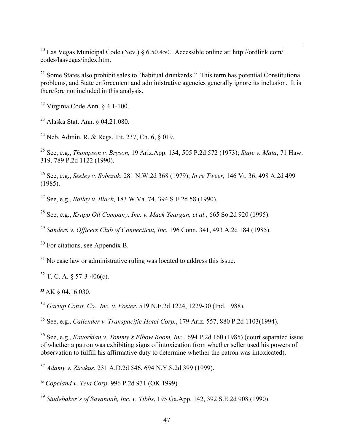<sup>20</sup> Las Vegas Municipal Code (Nev.) § 6.50.450. Accessible online at: http://ordlink.com/ codes/lasvegas/index.htm.

 $21$  Some States also prohibit sales to "habitual drunkards." This term has potential Constitutional problems, and State enforcement and administrative agencies generally ignore its inclusion. It is therefore not included in this analysis.

 $22$  Virginia Code Ann.  $8$  4.1-100.

 $\overline{a}$ 

23 Alaska Stat. Ann. § 04.21.080**.** 

24 Neb. Admin. R. & Regs. Tit. 237, Ch. 6, § 019.

25 See, e.g., *Thompson v. Bryson,* 19 Ariz.App. 134, 505 P.2d 572 (1973); *State v. Mata*, 71 Haw. 319, 789 P.2d 1122 (1990).

26 See, e.g., *Seeley v. Sobczak*, 281 N.W.2d 368 (1979); *In re Tweer,* 146 Vt. 36, 498 A.2d 499 (1985).

27 See, e.g., *Bailey v. Black*, 183 W.Va. 74, 394 S.E.2d 58 (1990).

28 See, e.g., *Krupp Oil Company, Inc. v. Mack Yeargan, et al.*, 665 So.2d 920 (1995).

<sup>29</sup>*Sanders v. Officers Club of Connecticut, Inc.* 196 Conn. 341, 493 A.2d 184 (1985).

<sup>30</sup> For citations, see Appendix B.

 $31$  No case law or administrative ruling was located to address this issue.

 $32$  T. C. A.  $\frac{1}{2}$  57-3-406(c).

**<sup>33</sup>**AK § 04.16.030.

<sup>34</sup>*Gariup Const. Co., Inc. v. Foster*, 519 N.E.2d 1224, 1229-30 (Ind. 1988).

35 See, e.g., *Callender v. Transpacific Hotel Corp.*, 179 Ariz. 557, 880 P.2d 1103(1994).

36 See, e.g., *Kavorkian v. Tommy's Elbow Room, Inc.*, 694 P.2d 160 (1985) (court separated issue of whether a patron was exhibiting signs of intoxication from whether seller used his powers of observation to fulfill his affirmative duty to determine whether the patron was intoxicated).

<sup>37</sup>*Adamy v. Zirakus*, 231 A.D.2d 546, 694 N.Y.S.2d 399 (1999).

<sup>38</sup>*Copeland v. Tela Corp.* 996 P.2d 931 (OK 1999)

<sup>39</sup>*Studebaker's of Savannah, Inc. v. Tibbs*, 195 Ga.App. 142, 392 S.E.2d 908 (1990).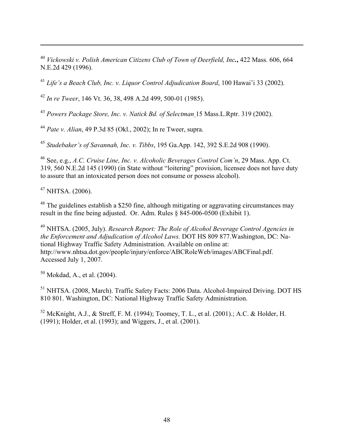<sup>40</sup>*Vickowski v. Polish American Citizens Club of Town of Deerfield, Inc.***,** 422 Mass. 606, 664 N.E.2d 429 (1996).

<sup>41</sup>*Life's a Beach Club, Inc. v. Liquor Control Adjudication Board*, 100 Hawai'i 33 (2002).

<sup>42</sup>*In re Tweer*, 146 Vt. 36, 38, 498 A.2d 499, 500-01 (1985).

<sup>43</sup>*Powers Package Store, Inc. v. Natick Bd. of Selectman* 15 Mass.L.Rptr. 319 (2002).

<sup>44</sup>*Pate v. Alian*, 49 P.3d 85 (Okl., 2002); In re Tweer, supra.

<sup>45</sup>*Studebaker's of Savannah, Inc. v. Tibbs*, 195 Ga.App. 142, 392 S.E.2d 908 (1990).

46 See, e.g., *A.C. Cruise Line, Inc. v. Alcoholic Beverages Control Com'n*, 29 Mass. App. Ct. 319, 560 N.E.2d 145 (1990) (in State without "loitering" provision, licensee does not have duty to assure that an intoxicated person does not consume or possess alcohol).

 $47$  NHTSA. (2006).

 $\overline{a}$ 

 $48$  The guidelines establish a \$250 fine, although mitigating or aggravating circumstances may result in the fine being adjusted. Or. Adm. Rules § 845-006-0500 (Exhibit 1).

49 NHTSA. (2005, July). *Research Report: The Role of Alcohol Beverage Control Agencies in the Enforcement and Adjudication of Alcohol Laws.* DOT HS 809 877.Washington, DC: National Highway Traffic Safety Administration. Available on online at: http://www.nhtsa.dot.gov/people/injury/enforce/ABCRoleWeb/images/ABCFinal.pdf. Accessed July 1, 2007.

 $50$  Mokdad, A., et al. (2004).

51 NHTSA. (2008, March). Traffic Safety Facts: 2006 Data. Alcohol-Impaired Driving. DOT HS 810 801. Washington, DC: National Highway Traffic Safety Administration.

52 McKnight, A.J., & Streff, F. M. (1994); Toomey, T. L., et al. (2001).; A.C. & Holder, H. (1991); Holder, et al. (1993); and Wiggers, J., et al. (2001).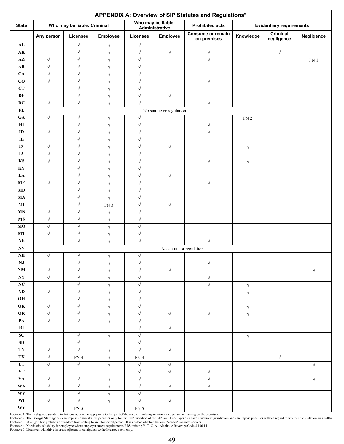|                        | APPENDIX A: Overview of SIP Statutes and Regulations* |                                    |                        |                        |                                      |                                  |                 |                                 |                 |
|------------------------|-------------------------------------------------------|------------------------------------|------------------------|------------------------|--------------------------------------|----------------------------------|-----------------|---------------------------------|-----------------|
| <b>State</b>           |                                                       | Who may be liable: Criminal        |                        |                        | Who may be liable:<br>Administrative | <b>Prohibited acts</b>           |                 | <b>Evidentiary requirements</b> |                 |
|                        | Any person                                            | Licensee                           | Employee               | Licensee               | <b>Employee</b>                      | Consume or remain<br>on premises | Knowledge       | Criminal<br>negligence          | Negligence      |
| AL                     |                                                       | $\sqrt{}$                          | $\sqrt{ }$             | $\sqrt{}$              |                                      |                                  |                 |                                 |                 |
| $\mathbf{AK}$          |                                                       | $\sqrt{ }$                         | $\sqrt{}$              | $\sqrt{\phantom{a}}$   | $\sqrt{}$                            | $\sqrt{\phantom{a}}$             |                 | $\sqrt{}$                       |                 |
| $A\overline{Z}$        | $\sqrt{}$                                             | $\sqrt{}$                          | $\sqrt{}$              | $\sqrt{}$              |                                      | $\sqrt{ }$                       |                 |                                 | FN <sub>1</sub> |
| ${\bf AR}$             | $\sqrt{ }$                                            | $\sqrt{}$                          | $\sqrt{}$              | $\sqrt{}$              |                                      |                                  |                 |                                 |                 |
| CA                     | $\sqrt{}$                                             | $\sqrt{}$                          | $\sqrt{}$              | $\sqrt{}$              |                                      |                                  |                 |                                 |                 |
| $\bf CO$               | $\sqrt{}$                                             | $\sqrt{}$                          | $\sqrt{}$              | $\sqrt{\phantom{a}}$   |                                      | $\sqrt{ }$                       |                 |                                 |                 |
| CT                     |                                                       | $\sqrt{}$                          | $\sqrt{ }$             | $\sqrt{}$              |                                      |                                  |                 |                                 |                 |
| DE                     |                                                       | $\sqrt{\phantom{a}}$               | $\sqrt{}$              | $\sqrt{\phantom{a}}$   | $\sqrt{}$                            |                                  |                 |                                 |                 |
| $\overline{DC}$<br>FL  | $\sqrt{}$                                             | $\sqrt{ }$                         | $\sqrt{}$              | $\sqrt{ }$             |                                      | $\sqrt{}$                        |                 |                                 |                 |
| GA                     |                                                       |                                    |                        |                        | No statute or regulation             |                                  |                 |                                 |                 |
| $\mathbf{H}$           | $\sqrt{ }$                                            | $\sqrt{}$                          | $\sqrt{}$              | $\sqrt{}$              |                                      |                                  | FN <sub>2</sub> |                                 |                 |
| ID                     |                                                       | $\sqrt{}$                          | $\sqrt{}$              | $\sqrt{}$              |                                      | $\sqrt{}$                        |                 |                                 |                 |
| $\mathbf{L}$           | $\sqrt{}$                                             | $\sqrt{\phantom{a}}$<br>$\sqrt{ }$ | $\sqrt{}$<br>$\sqrt{}$ | $\sqrt{ }$             |                                      | $\sqrt{ }$                       |                 |                                 |                 |
| IN                     |                                                       |                                    |                        | $\sqrt{}$              |                                      |                                  |                 |                                 |                 |
| IA                     | $\sqrt{}$<br>$\sqrt{}$                                | $\sqrt{}$<br>$\sqrt{}$             | $\sqrt{}$<br>$\sqrt{}$ | $\sqrt{}$<br>$\sqrt{}$ | $\sqrt{}$                            |                                  | $\sqrt{}$       |                                 |                 |
| <b>KS</b>              | $\sqrt{}$                                             | $\sqrt{}$                          | $\sqrt{}$              | $\sqrt{}$              |                                      | $\sqrt{}$                        | $\sqrt{}$       |                                 |                 |
| KY                     |                                                       | $\sqrt{ }$                         | $\sqrt{}$              | $\sqrt{\phantom{a}}$   |                                      |                                  |                 |                                 |                 |
| LA                     |                                                       | $\sqrt{}$                          | $\sqrt{}$              | $\sqrt{}$              | $\sqrt{}$                            |                                  |                 |                                 |                 |
| <b>ME</b>              | $\sqrt{}$                                             | $\sqrt{}$                          | $\sqrt{}$              | $\sqrt{}$              |                                      | $\sqrt{ }$                       |                 |                                 |                 |
| MD                     |                                                       | $\sqrt{ }$                         | $\sqrt{}$              | $\sqrt{}$              |                                      |                                  |                 |                                 |                 |
| $\mathbf{M}\mathbf{A}$ |                                                       | $\sqrt{}$                          | $\sqrt{}$              | $\sqrt{}$              |                                      |                                  |                 |                                 |                 |
| $\bf{MI}$              |                                                       | $\sqrt{}$                          |                        | $\sqrt{}$              | $\sqrt{}$                            |                                  |                 |                                 |                 |
| <b>MN</b>              | $\sqrt{}$                                             | $\sqrt{}$                          | FN 3<br>$\sqrt{}$      | $\sqrt{ }$             |                                      |                                  |                 |                                 |                 |
| <b>MS</b>              | $\sqrt{\phantom{a}}$                                  | $\sqrt{}$                          | $\sqrt{}$              | $\sqrt{}$              |                                      |                                  |                 |                                 |                 |
| MO                     | $\sqrt{}$                                             | $\sqrt{}$                          | $\sqrt{ }$             | $\sqrt{ }$             |                                      |                                  |                 |                                 |                 |
| MT                     | $\sqrt{2}$                                            | $\sqrt{}$                          | $\sqrt{}$              | $\sqrt{}$              |                                      |                                  |                 |                                 |                 |
| NE                     |                                                       | $\sqrt{}$                          | $\sqrt{}$              | $\sqrt{ }$             |                                      | $\sqrt{ }$                       |                 |                                 |                 |
| $N\bar{V}$             |                                                       |                                    |                        |                        | No statute or regulation             |                                  |                 |                                 |                 |
| $\mathbf{NH}{}$        | $\sqrt{ }$                                            | $\sqrt{}$                          | $\sqrt{}$              | $\sqrt{ }$             |                                      |                                  |                 |                                 |                 |
| NJ                     |                                                       | V                                  | V                      | $\sqrt{}$              |                                      | $\sqrt{ }$                       |                 |                                 |                 |
| $\mathbf{N}\mathbf{M}$ | $\sqrt{}$                                             | $\sqrt{}$                          | $\sqrt{}$              | $\sqrt{}$              | $\sqrt{}$                            |                                  |                 |                                 | $\sqrt{}$       |
| N <sub>Y</sub>         | $\sqrt{}$                                             | $\sqrt{}$                          | $\sqrt{}$              | $\sqrt{ }$             |                                      | $\sqrt{ }$                       |                 |                                 |                 |
| $\overline{\text{NC}}$ |                                                       | $\sqrt{}$                          | $\sqrt{}$              | $\sqrt{}$              |                                      | $\sqrt{ }$                       | $\sqrt{ }$      |                                 |                 |
| ND                     | $\sqrt{2}$                                            | $\sqrt{ }$                         | $\sqrt{}$              | $\sqrt{}$              |                                      |                                  | $\sqrt{}$       |                                 |                 |
| O <sub>H</sub>         |                                                       | $\sqrt{}$                          | $\sqrt{}$              | $\sqrt{ }$             |                                      |                                  |                 |                                 |                 |
| OK                     | $\sqrt{ }$                                            | $\sqrt{}$                          | $\sqrt{}$              | $\sqrt{\phantom{a}}$   |                                      |                                  | $\sqrt{ }$      |                                 |                 |
| OR                     | $\sqrt{}$                                             | $\sqrt{ }$                         | $\sqrt{}$              | $\sqrt{ }$             | $\sqrt{}$                            | $\sqrt{ }$                       | $\sqrt{}$       |                                 |                 |
| $\mathbf{PA}$          | $\sqrt{ }$                                            | $\sqrt{}$                          | $\sqrt{ }$             | $\sqrt{}$              |                                      |                                  |                 |                                 |                 |
| RI                     |                                                       |                                    |                        | $\sqrt{\phantom{a}}$   | $\sqrt{}$                            |                                  |                 |                                 |                 |
| SC                     |                                                       | $\sqrt{}$                          | $\sqrt{ }$             | $\sqrt{}$              |                                      |                                  | $\sqrt{}$       |                                 |                 |
| SD                     |                                                       | $\sqrt{}$                          |                        | $\sqrt{ }$             |                                      |                                  |                 |                                 |                 |
| TN                     | $\sqrt{}$                                             | $\sqrt{2}$                         | $\sqrt{}$              | $\sqrt{2}$             | $\sqrt{ }$                           |                                  |                 |                                 |                 |
| TX                     | $\sqrt{ }$                                            | FN4                                | $\sqrt{}$              | FN 4                   |                                      |                                  |                 | $\sqrt{ }$                      |                 |
| UT                     | $\sqrt{ }$                                            | $\sqrt{ }$                         | $\sqrt{ }$             | $\sqrt{}$              | $\sqrt{ }$                           |                                  |                 |                                 | $\sqrt{ }$      |
| VT                     |                                                       |                                    |                        | $\sqrt{ }$             | $\sqrt{}$                            | $\sqrt{}$                        |                 |                                 |                 |
| <b>VA</b>              | $\sqrt{}$                                             | $\sqrt{}$                          | $\sqrt{}$              | $\sqrt{}$              |                                      | $\sqrt{}$                        |                 |                                 | $\sqrt{ }$      |
| <b>WA</b>              | $\sqrt{}$                                             | $\sqrt{}$                          | $\sqrt{}$              | $\sqrt{ }$             | $\sqrt{ }$                           | $\sqrt{}$                        |                 |                                 |                 |
| <b>WV</b>              |                                                       | $\sqrt{}$                          | $\sqrt{}$              | $\sqrt{}$              |                                      |                                  |                 |                                 |                 |
| WI                     | $\sqrt{}$                                             | $\sqrt{ }$                         | $\sqrt{ }$             | $\sqrt{2}$             | $\sqrt{}$                            |                                  |                 |                                 |                 |
| WY                     |                                                       | FN 5                               |                        | FN 5                   |                                      |                                  |                 |                                 |                 |
|                        |                                                       |                                    |                        |                        |                                      |                                  |                 |                                 |                 |

Footnote 1: The negligence standard in Arizona appears to apply only to that part of the statute involving an intoxicated person remaining on the premises.<br>Footnote 2: The Georgia State agency can impose administrative pen

Footnote 4: No vicarious liability for employee where employer meets requirements RBS training.V. T. C. A., Alcoholic Beverage Code § 106.14<br>Footnote 5: Licensees with drive-in areas adjacent or contiguous to the licensed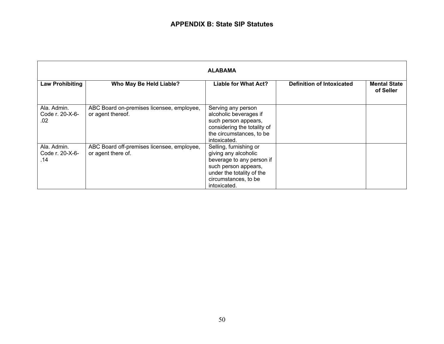| <b>ALABAMA</b>                        |                                                                  |                                                                                                                                                                          |                                  |                                  |  |  |
|---------------------------------------|------------------------------------------------------------------|--------------------------------------------------------------------------------------------------------------------------------------------------------------------------|----------------------------------|----------------------------------|--|--|
| <b>Law Prohibiting</b>                | Who May Be Held Liable?                                          | <b>Liable for What Act?</b>                                                                                                                                              | <b>Definition of Intoxicated</b> | <b>Mental State</b><br>of Seller |  |  |
| Ala. Admin.<br>Code r. 20-X-6-<br>.02 | ABC Board on-premises licensee, employee,<br>or agent thereof.   | Serving any person<br>alcoholic beverages if<br>such person appears,<br>considering the totality of<br>the circumstances, to be<br>intoxicated.                          |                                  |                                  |  |  |
| Ala. Admin.<br>Code r. 20-X-6-<br>.14 | ABC Board off-premises licensee, employee,<br>or agent there of. | Selling, furnishing or<br>giving any alcoholic<br>beverage to any person if<br>such person appears,<br>under the totality of the<br>circumstances, to be<br>intoxicated. |                                  |                                  |  |  |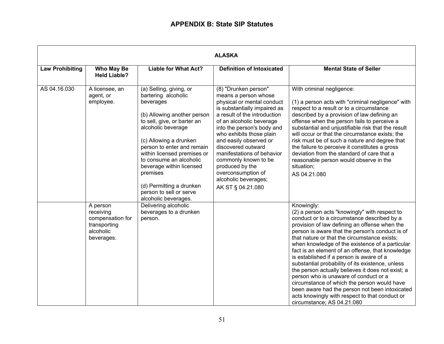|                        | <b>ALASKA</b>                                                                        |                                                                                                                                                                                                                                                                                                                                                                                          |                                                                                                                                                                                                                                                                                                                                                                                                                              |                                                                                                                                                                                                                                                                                                                                                                                                                                                                                                                                                                                                                                                                                                                                                      |  |  |
|------------------------|--------------------------------------------------------------------------------------|------------------------------------------------------------------------------------------------------------------------------------------------------------------------------------------------------------------------------------------------------------------------------------------------------------------------------------------------------------------------------------------|------------------------------------------------------------------------------------------------------------------------------------------------------------------------------------------------------------------------------------------------------------------------------------------------------------------------------------------------------------------------------------------------------------------------------|------------------------------------------------------------------------------------------------------------------------------------------------------------------------------------------------------------------------------------------------------------------------------------------------------------------------------------------------------------------------------------------------------------------------------------------------------------------------------------------------------------------------------------------------------------------------------------------------------------------------------------------------------------------------------------------------------------------------------------------------------|--|--|
| <b>Law Prohibiting</b> | Who May Be<br><b>Held Liable?</b>                                                    | <b>Liable for What Act?</b>                                                                                                                                                                                                                                                                                                                                                              | <b>Definition of Intoxicated</b>                                                                                                                                                                                                                                                                                                                                                                                             | <b>Mental State of Seller</b>                                                                                                                                                                                                                                                                                                                                                                                                                                                                                                                                                                                                                                                                                                                        |  |  |
| AS 04.16.030           | A licensee, an<br>agent, or<br>employee.                                             | (a) Selling, giving, or<br>bartering alcoholic<br>beverages<br>(b) Allowing another person<br>to sell, give, or barter an<br>alcoholic beverage<br>(c) Allowing a drunken<br>person to enter and remain<br>within licensed premises or<br>to consume an alcoholic<br>beverage within licensed<br>premises<br>(d) Permitting a drunken<br>person to sell or serve<br>alcoholic beverages. | (8) "Drunken person"<br>means a person whose<br>physical or mental conduct<br>is substantially impaired as<br>a result of the introduction<br>of an alcoholic beverage<br>into the person's body and<br>who exhibits those plain<br>and easily observed or<br>discovered outward<br>manifestations of behavior<br>commonly known to be<br>produced by the<br>overconsumption of<br>alcoholic beverages;<br>AK ST § 04.21.080 | With criminal negligence:<br>(1) a person acts with "criminal negligence" with<br>respect to a result or to a circumstance<br>described by a provision of law defining an<br>offense when the person fails to perceive a<br>substantial and unjustifiable risk that the result<br>will occur or that the circumstance exists; the<br>risk must be of such a nature and degree that<br>the failure to perceive it constitutes a gross<br>deviation from the standard of care that a<br>reasonable person would observe in the<br>situation;<br>AS 04.21.080                                                                                                                                                                                           |  |  |
|                        | A person<br>receiving<br>compensation for<br>transporting<br>alcoholic<br>beverages. | Delivering alcoholic<br>beverages to a drunken<br>person.                                                                                                                                                                                                                                                                                                                                |                                                                                                                                                                                                                                                                                                                                                                                                                              | Knowingly:<br>(2) a person acts "knowingly" with respect to<br>conduct or to a circumstance described by a<br>provision of law defining an offense when the<br>person is aware that the person's conduct is of<br>that nature or that the circumstance exists;<br>when knowledge of the existence of a particular<br>fact is an element of an offense, that knowledge<br>is established if a person is aware of a<br>substantial probability of its existence, unless<br>the person actually believes it does not exist; a<br>person who is unaware of conduct or a<br>circumstance of which the person would have<br>been aware had the person not been intoxicated<br>acts knowingly with respect to that conduct or<br>circumstance; AS 04.21.080 |  |  |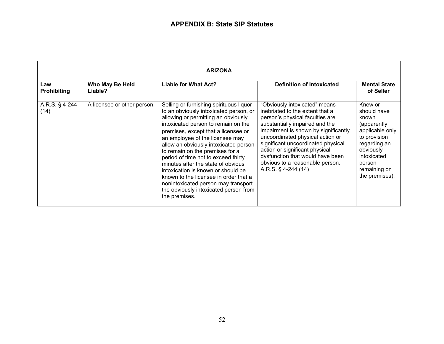| <b>ARIZONA</b>            |                             |                                                                                                                                                                                                                                                                                                                                                                                                                                                                                                                                                                                    |                                                                                                                                                                                                                                                                                                                                                                                            |                                                                                                                                                                           |  |  |
|---------------------------|-----------------------------|------------------------------------------------------------------------------------------------------------------------------------------------------------------------------------------------------------------------------------------------------------------------------------------------------------------------------------------------------------------------------------------------------------------------------------------------------------------------------------------------------------------------------------------------------------------------------------|--------------------------------------------------------------------------------------------------------------------------------------------------------------------------------------------------------------------------------------------------------------------------------------------------------------------------------------------------------------------------------------------|---------------------------------------------------------------------------------------------------------------------------------------------------------------------------|--|--|
| Law<br><b>Prohibiting</b> | Who May Be Held<br>Liable?  | Liable for What Act?                                                                                                                                                                                                                                                                                                                                                                                                                                                                                                                                                               | <b>Definition of Intoxicated</b>                                                                                                                                                                                                                                                                                                                                                           | <b>Mental State</b><br>of Seller                                                                                                                                          |  |  |
| A.R.S. § 4-244<br>(14)    | A licensee or other person. | Selling or furnishing spirituous liquor<br>to an obviously intoxicated person, or<br>allowing or permitting an obviously<br>intoxicated person to remain on the<br>premises, except that a licensee or<br>an employee of the licensee may<br>allow an obviously intoxicated person<br>to remain on the premises for a<br>period of time not to exceed thirty<br>minutes after the state of obvious<br>intoxication is known or should be<br>known to the licensee in order that a<br>nonintoxicated person may transport<br>the obviously intoxicated person from<br>the premises. | "Obviously intoxicated" means<br>inebriated to the extent that a<br>person's physical faculties are<br>substantially impaired and the<br>impairment is shown by significantly<br>uncoordinated physical action or<br>significant uncoordinated physical<br>action or significant physical<br>dysfunction that would have been<br>obvious to a reasonable person.<br>A.R.S. $\S$ 4-244 (14) | Knew or<br>should have<br>known<br>(apparently<br>applicable only<br>to provision<br>regarding an<br>obviously<br>intoxicated<br>person<br>remaining on<br>the premises). |  |  |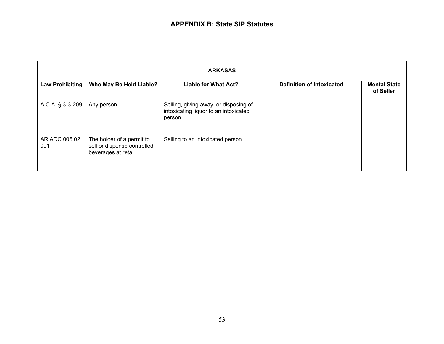| <b>ARKASAS</b>       |                                                                                  |                                                                                           |                                  |                                  |  |  |
|----------------------|----------------------------------------------------------------------------------|-------------------------------------------------------------------------------------------|----------------------------------|----------------------------------|--|--|
| Law Prohibiting      | Who May Be Held Liable?                                                          | <b>Liable for What Act?</b>                                                               | <b>Definition of Intoxicated</b> | <b>Mental State</b><br>of Seller |  |  |
| A.C.A. § 3-3-209     | Any person.                                                                      | Selling, giving away, or disposing of<br>intoxicating liquor to an intoxicated<br>person. |                                  |                                  |  |  |
| AR ADC 006 02<br>001 | The holder of a permit to<br>sell or dispense controlled<br>beverages at retail. | Selling to an intoxicated person.                                                         |                                  |                                  |  |  |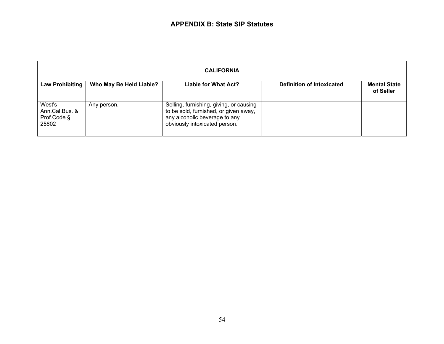| <b>CALIFORNIA</b>                                |                         |                                                                                                                                                    |                                  |                                  |  |  |
|--------------------------------------------------|-------------------------|----------------------------------------------------------------------------------------------------------------------------------------------------|----------------------------------|----------------------------------|--|--|
| <b>Law Prohibiting</b>                           | Who May Be Held Liable? | Liable for What Act?                                                                                                                               | <b>Definition of Intoxicated</b> | <b>Mental State</b><br>of Seller |  |  |
| West's<br>Ann.Cal.Bus. &<br>Prof.Code §<br>25602 | Any person.             | Selling, furnishing, giving, or causing<br>to be sold, furnished, or given away,<br>any alcoholic beverage to any<br>obviously intoxicated person. |                                  |                                  |  |  |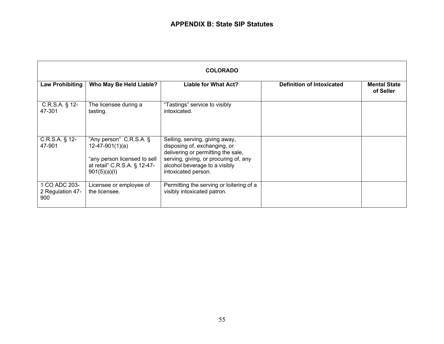| <b>COLORADO</b>                          |                                                                                                                              |                                                                                                                                                                                                       |                                  |                                  |  |  |
|------------------------------------------|------------------------------------------------------------------------------------------------------------------------------|-------------------------------------------------------------------------------------------------------------------------------------------------------------------------------------------------------|----------------------------------|----------------------------------|--|--|
| <b>Law Prohibiting</b>                   | Who May Be Held Liable?                                                                                                      | Liable for What Act?                                                                                                                                                                                  | <b>Definition of Intoxicated</b> | <b>Mental State</b><br>of Seller |  |  |
| $C.R.S.A.$ § 12-<br>47-301               | The licensee during a<br>tasting.                                                                                            | "Tastings" service to visibly<br>intoxicated.                                                                                                                                                         |                                  |                                  |  |  |
| $C.R.S.A.$ § 12-<br>47-901               | "Any person" C.R.S.A. §<br>$12-47-901(1)(a)$<br>"any person licensed to sell<br>at retail" C.R.S.A. § 12-47-<br>901(5)(a)(l) | Selling, serving, giving away,<br>disposing of, exchanging, or<br>delivering or permitting the sale,<br>serving, giving, or procuring of, any<br>alcohol beverage to a visibly<br>intoxicated person. |                                  |                                  |  |  |
| 1 CO ADC 203-<br>2 Regulation 47-<br>900 | Licensee or employee of<br>the licensee.                                                                                     | Permitting the serving or loitering of a<br>visibly intoxicated patron.                                                                                                                               |                                  |                                  |  |  |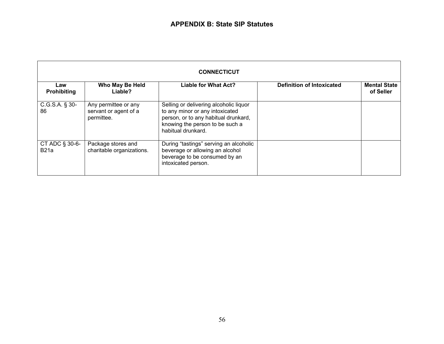| <b>CONNECTICUT</b>        |                                                             |                                                                                                                                                                            |                                  |                                  |  |  |
|---------------------------|-------------------------------------------------------------|----------------------------------------------------------------------------------------------------------------------------------------------------------------------------|----------------------------------|----------------------------------|--|--|
| Law<br><b>Prohibiting</b> | Who May Be Held<br>Liable?                                  | <b>Liable for What Act?</b>                                                                                                                                                | <b>Definition of Intoxicated</b> | <b>Mental State</b><br>of Seller |  |  |
| $C.G.S.A.$ § 30-<br>86    | Any permittee or any<br>servant or agent of a<br>permittee. | Selling or delivering alcoholic liquor<br>to any minor or any intoxicated<br>person, or to any habitual drunkard,<br>knowing the person to be such a<br>habitual drunkard. |                                  |                                  |  |  |
| CT ADC $\S$ 30-6-<br>B21a | Package stores and<br>charitable organizations.             | During "tastings" serving an alcoholic<br>beverage or allowing an alcohol<br>beverage to be consumed by an<br>intoxicated person.                                          |                                  |                                  |  |  |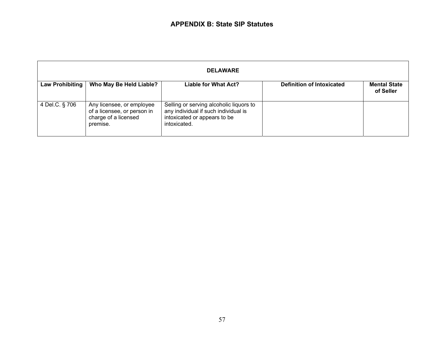| <b>DELAWARE</b>        |                                                                                              |                                                                                                                                 |                                  |                                  |  |  |
|------------------------|----------------------------------------------------------------------------------------------|---------------------------------------------------------------------------------------------------------------------------------|----------------------------------|----------------------------------|--|--|
| <b>Law Prohibiting</b> | Who May Be Held Liable?                                                                      | Liable for What Act?                                                                                                            | <b>Definition of Intoxicated</b> | <b>Mental State</b><br>of Seller |  |  |
| 4 Del.C. § 706         | Any licensee, or employee<br>of a licensee, or person in<br>charge of a licensed<br>premise. | Selling or serving alcoholic liquors to<br>any individual if such individual is<br>intoxicated or appears to be<br>intoxicated. |                                  |                                  |  |  |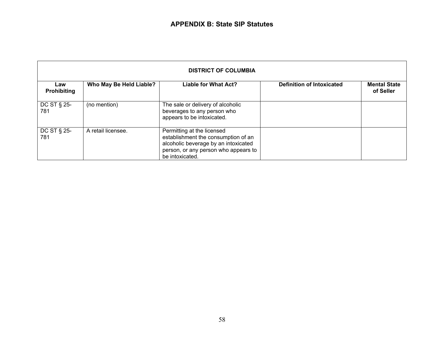| <b>DISTRICT OF COLUMBIA</b> |                         |                                                                                                                                                                      |                                  |                                  |  |  |
|-----------------------------|-------------------------|----------------------------------------------------------------------------------------------------------------------------------------------------------------------|----------------------------------|----------------------------------|--|--|
| Law<br><b>Prohibiting</b>   | Who May Be Held Liable? | <b>Liable for What Act?</b>                                                                                                                                          | <b>Definition of Intoxicated</b> | <b>Mental State</b><br>of Seller |  |  |
| DC ST § 25-<br>781          | (no mention)            | The sale or delivery of alcoholic<br>beverages to any person who<br>appears to be intoxicated.                                                                       |                                  |                                  |  |  |
| DC ST § 25-<br>781          | A retail licensee.      | Permitting at the licensed<br>establishment the consumption of an<br>alcoholic beverage by an intoxicated<br>person, or any person who appears to<br>be intoxicated. |                                  |                                  |  |  |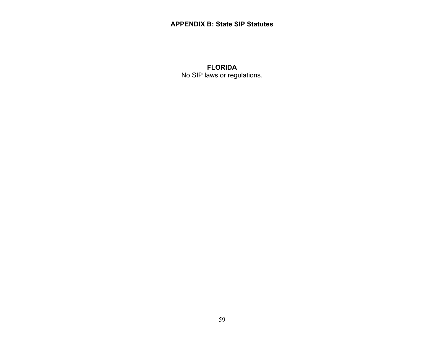#### **APPENDIX B: State SIP Statutes**

# **FLORIDA**  No SIP laws or regulations.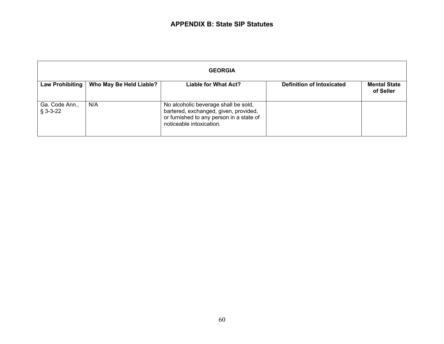| <b>GEORGIA</b>               |                         |                                                                                                                                                       |                                  |                                  |  |  |
|------------------------------|-------------------------|-------------------------------------------------------------------------------------------------------------------------------------------------------|----------------------------------|----------------------------------|--|--|
| Law Prohibiting              | Who May Be Held Liable? | Liable for What Act?                                                                                                                                  | <b>Definition of Intoxicated</b> | <b>Mental State</b><br>of Seller |  |  |
| Ga. Code Ann.,<br>$§$ 3-3-22 | N/A                     | No alcoholic beverage shall be sold,<br>bartered, exchanged, given, provided,<br>or furnished to any person in a state of<br>noticeable intoxication. |                                  |                                  |  |  |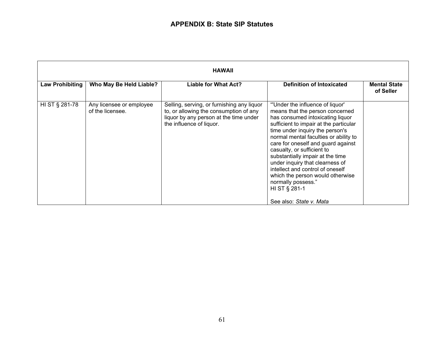| <b>HAWAII</b>          |                                              |                                                                                                                                                            |                                                                                                                                                                                                                                                                                                                                                                                                                                                                                        |                                  |  |  |
|------------------------|----------------------------------------------|------------------------------------------------------------------------------------------------------------------------------------------------------------|----------------------------------------------------------------------------------------------------------------------------------------------------------------------------------------------------------------------------------------------------------------------------------------------------------------------------------------------------------------------------------------------------------------------------------------------------------------------------------------|----------------------------------|--|--|
| <b>Law Prohibiting</b> | Who May Be Held Liable?                      | Liable for What Act?                                                                                                                                       | <b>Definition of Intoxicated</b>                                                                                                                                                                                                                                                                                                                                                                                                                                                       | <b>Mental State</b><br>of Seller |  |  |
| HI ST § 281-78         | Any licensee or employee<br>of the licensee. | Selling, serving, or furnishing any liquor<br>to, or allowing the consumption of any<br>liquor by any person at the time under<br>the influence of liquor. | "Under the influence of liquor'<br>means that the person concerned<br>has consumed intoxicating liquor<br>sufficient to impair at the particular<br>time under inquiry the person's<br>normal mental faculties or ability to<br>care for oneself and guard against<br>casualty, or sufficient to<br>substantially impair at the time<br>under inquiry that clearness of<br>intellect and control of oneself<br>which the person would otherwise<br>normally possess."<br>HI ST § 281-1 |                                  |  |  |
|                        |                                              |                                                                                                                                                            | See also: State v. Mata                                                                                                                                                                                                                                                                                                                                                                                                                                                                |                                  |  |  |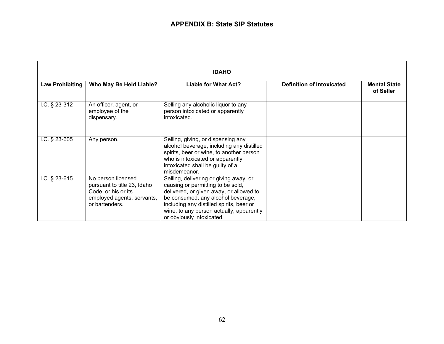| <b>IDAHO</b>           |                                                                                                                          |                                                                                                                                                                                                                                                                                   |                                  |                                  |
|------------------------|--------------------------------------------------------------------------------------------------------------------------|-----------------------------------------------------------------------------------------------------------------------------------------------------------------------------------------------------------------------------------------------------------------------------------|----------------------------------|----------------------------------|
| <b>Law Prohibiting</b> | Who May Be Held Liable?                                                                                                  | <b>Liable for What Act?</b>                                                                                                                                                                                                                                                       | <b>Definition of Intoxicated</b> | <b>Mental State</b><br>of Seller |
| I.C. $§$ 23-312        | An officer, agent, or<br>employee of the<br>dispensary.                                                                  | Selling any alcoholic liquor to any<br>person intoxicated or apparently<br>intoxicated.                                                                                                                                                                                           |                                  |                                  |
| I.C. $§$ 23-605        | Any person.                                                                                                              | Selling, giving, or dispensing any<br>alcohol beverage, including any distilled<br>spirits, beer or wine, to another person<br>who is intoxicated or apparently<br>intoxicated shall be guilty of a<br>misdemeanor.                                                               |                                  |                                  |
| $1.C.$ § 23-615        | No person licensed<br>pursuant to title 23, Idaho<br>Code, or his or its<br>employed agents, servants,<br>or bartenders. | Selling, delivering or giving away, or<br>causing or permitting to be sold,<br>delivered, or given away, or allowed to<br>be consumed, any alcohol beverage,<br>including any distilled spirits, beer or<br>wine, to any person actually, apparently<br>or obviously intoxicated. |                                  |                                  |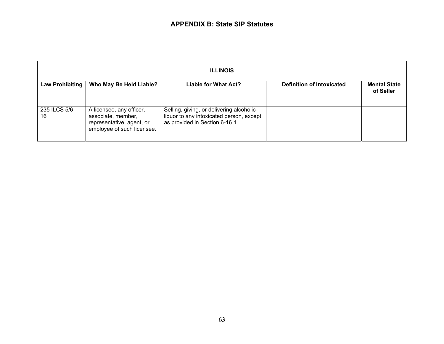| <b>ILLINOIS</b>     |                                                                                                           |                                                                                                                        |                                  |                                  |
|---------------------|-----------------------------------------------------------------------------------------------------------|------------------------------------------------------------------------------------------------------------------------|----------------------------------|----------------------------------|
| Law Prohibiting     | Who May Be Held Liable?                                                                                   | <b>Liable for What Act?</b>                                                                                            | <b>Definition of Intoxicated</b> | <b>Mental State</b><br>of Seller |
| 235 ILCS 5/6-<br>16 | A licensee, any officer,<br>associate, member,<br>representative, agent, or<br>employee of such licensee. | Selling, giving, or delivering alcoholic<br>liquor to any intoxicated person, except<br>as provided in Section 6-16.1. |                                  |                                  |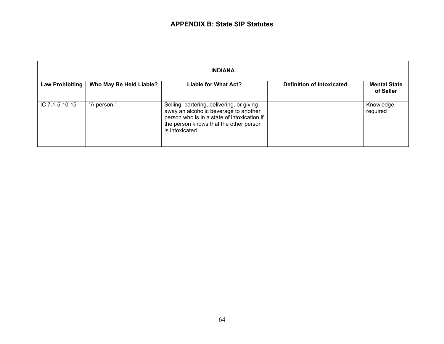| <b>INDIANA</b>  |                         |                                                                                                                                                                                                |                                  |                                  |
|-----------------|-------------------------|------------------------------------------------------------------------------------------------------------------------------------------------------------------------------------------------|----------------------------------|----------------------------------|
| Law Prohibiting | Who May Be Held Liable? | Liable for What Act?                                                                                                                                                                           | <b>Definition of Intoxicated</b> | <b>Mental State</b><br>of Seller |
| IC 7.1-5-10-15  | "A person."             | Selling, bartering, delivering, or giving<br>away an alcoholic beverage to another<br>person who is in a state of intoxication if<br>the person knows that the other person<br>is intoxicated. |                                  | Knowledge<br>required            |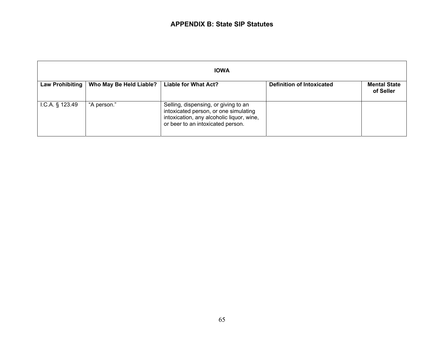| <b>IOWA</b>       |                         |                                                                                                                                                                 |                                  |                                  |
|-------------------|-------------------------|-----------------------------------------------------------------------------------------------------------------------------------------------------------------|----------------------------------|----------------------------------|
| Law Prohibiting   | Who May Be Held Liable? | <b>Liable for What Act?</b>                                                                                                                                     | <b>Definition of Intoxicated</b> | <b>Mental State</b><br>of Seller |
| $1.C.A.$ § 123.49 | "A person."             | Selling, dispensing, or giving to an<br>intoxicated person, or one simulating<br>intoxication, any alcoholic liquor, wine,<br>or beer to an intoxicated person. |                                  |                                  |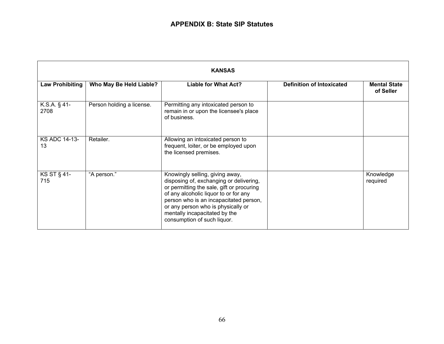| <b>KANSAS</b>              |                           |                                                                                                                                                                                                                                                                                                                  |                                  |                                  |
|----------------------------|---------------------------|------------------------------------------------------------------------------------------------------------------------------------------------------------------------------------------------------------------------------------------------------------------------------------------------------------------|----------------------------------|----------------------------------|
| <b>Law Prohibiting</b>     | Who May Be Held Liable?   | <b>Liable for What Act?</b>                                                                                                                                                                                                                                                                                      | <b>Definition of Intoxicated</b> | <b>Mental State</b><br>of Seller |
| K.S.A. $\S$ 41-<br>2708    | Person holding a license. | Permitting any intoxicated person to<br>remain in or upon the licensee's place<br>of business.                                                                                                                                                                                                                   |                                  |                                  |
| <b>KS ADC 14-13-</b><br>13 | Retailer.                 | Allowing an intoxicated person to<br>frequent, loiter, or be employed upon<br>the licensed premises.                                                                                                                                                                                                             |                                  |                                  |
| <b>KS ST § 41-</b><br>715  | "A person."               | Knowingly selling, giving away,<br>disposing of, exchanging or delivering,<br>or permitting the sale, gift or procuring<br>of any alcoholic liquor to or for any<br>person who is an incapacitated person,<br>or any person who is physically or<br>mentally incapacitated by the<br>consumption of such liquor. |                                  | Knowledge<br>required            |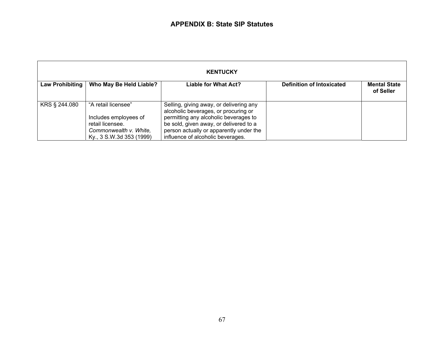| <b>KENTUCKY</b> |                                                                                                                        |                                                                                                                                                                                                                                                    |                                  |                                  |
|-----------------|------------------------------------------------------------------------------------------------------------------------|----------------------------------------------------------------------------------------------------------------------------------------------------------------------------------------------------------------------------------------------------|----------------------------------|----------------------------------|
| Law Prohibiting | Who May Be Held Liable?                                                                                                | <b>Liable for What Act?</b>                                                                                                                                                                                                                        | <b>Definition of Intoxicated</b> | <b>Mental State</b><br>of Seller |
| KRS § 244.080   | "A retail licensee"<br>Includes employees of<br>retail licensee.<br>Commonwealth v. White.<br>Ky., 3 S.W.3d 353 (1999) | Selling, giving away, or delivering any<br>alcoholic beverages, or procuring or<br>permitting any alcoholic beverages to<br>be sold, given away, or delivered to a<br>person actually or apparently under the<br>influence of alcoholic beverages. |                                  |                                  |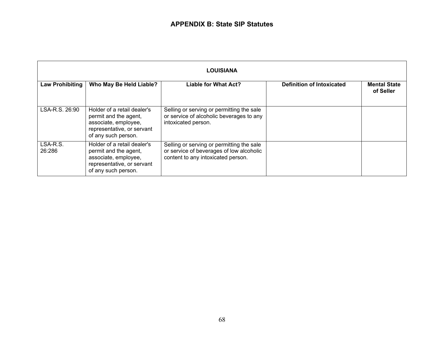| <b>LOUISIANA</b>       |                                                                                                                                   |                                                                                                                             |                                  |                                  |
|------------------------|-----------------------------------------------------------------------------------------------------------------------------------|-----------------------------------------------------------------------------------------------------------------------------|----------------------------------|----------------------------------|
| <b>Law Prohibiting</b> | Who May Be Held Liable?                                                                                                           | <b>Liable for What Act?</b>                                                                                                 | <b>Definition of Intoxicated</b> | <b>Mental State</b><br>of Seller |
| LSA-R.S. 26:90         | Holder of a retail dealer's<br>permit and the agent,<br>associate, employee,<br>representative, or servant<br>of any such person. | Selling or serving or permitting the sale<br>or service of alcoholic beverages to any<br>intoxicated person.                |                                  |                                  |
| LSA-R.S.<br>26:286     | Holder of a retail dealer's<br>permit and the agent,<br>associate, employee,<br>representative, or servant<br>of any such person. | Selling or serving or permitting the sale<br>or service of beverages of low alcoholic<br>content to any intoxicated person. |                                  |                                  |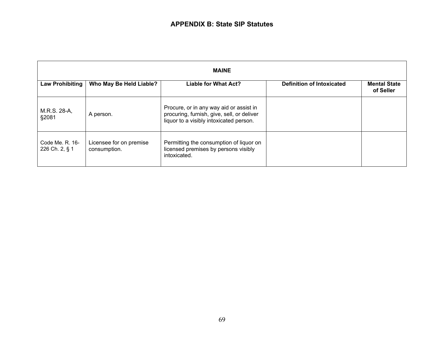| <b>MAINE</b>                      |                                         |                                                                                                                                  |                                  |                                  |
|-----------------------------------|-----------------------------------------|----------------------------------------------------------------------------------------------------------------------------------|----------------------------------|----------------------------------|
| <b>Law Prohibiting</b>            | Who May Be Held Liable?                 | <b>Liable for What Act?</b>                                                                                                      | <b>Definition of Intoxicated</b> | <b>Mental State</b><br>of Seller |
| M.R.S. 28-A,<br>§2081             | A person.                               | Procure, or in any way aid or assist in<br>procuring, furnish, give, sell, or deliver<br>liquor to a visibly intoxicated person. |                                  |                                  |
| Code Me. R. 16-<br>226 Ch. 2, § 1 | Licensee for on premise<br>consumption. | Permitting the consumption of liquor on<br>licensed premises by persons visibly<br>intoxicated.                                  |                                  |                                  |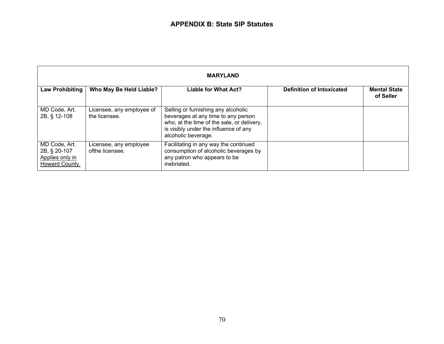| <b>MARYLAND</b>                                                    |                                            |                                                                                                                                                                                          |                                  |                                  |
|--------------------------------------------------------------------|--------------------------------------------|------------------------------------------------------------------------------------------------------------------------------------------------------------------------------------------|----------------------------------|----------------------------------|
| <b>Law Prohibiting</b>                                             | Who May Be Held Liable?                    | <b>Liable for What Act?</b>                                                                                                                                                              | <b>Definition of Intoxicated</b> | <b>Mental State</b><br>of Seller |
| MD Code, Art.<br>2B, § 12-108                                      | Licensee, any employee of<br>the licensee. | Selling or furnishing any alcoholic<br>beverages at any time to any person<br>who, at the time of the sale, or delivery,<br>is visibly under the influence of any<br>alcoholic beverage. |                                  |                                  |
| MD Code, Art.<br>2B, § 20-107<br>Applies only in<br>Howard County. | Licensee, any employee<br>ofthe licensee.  | Facilitating in any way the continued<br>consumption of alcoholic beverages by<br>any patron who appears to be<br>inebriated.                                                            |                                  |                                  |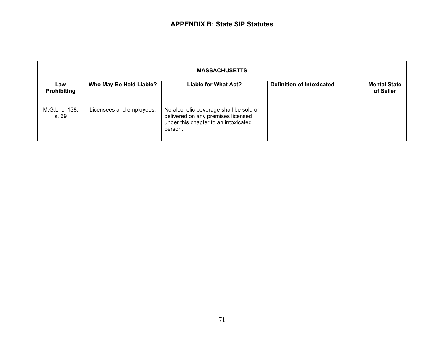| <b>MASSACHUSETTS</b>      |                          |                                                                                                                                 |                                  |                                  |
|---------------------------|--------------------------|---------------------------------------------------------------------------------------------------------------------------------|----------------------------------|----------------------------------|
| Law<br><b>Prohibiting</b> | Who May Be Held Liable?  | <b>Liable for What Act?</b>                                                                                                     | <b>Definition of Intoxicated</b> | <b>Mental State</b><br>of Seller |
| M.G.L. c. 138,<br>s. 69   | Licensees and employees. | No alcoholic beverage shall be sold or<br>delivered on any premises licensed<br>under this chapter to an intoxicated<br>person. |                                  |                                  |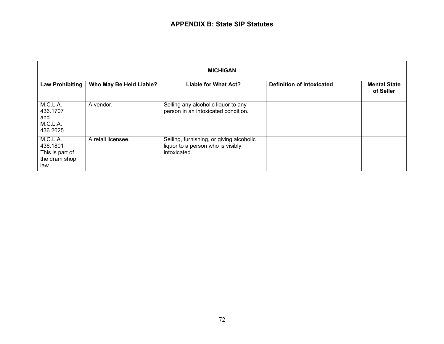| <b>MICHIGAN</b>                                                 |                         |                                                                                               |                                  |                                  |
|-----------------------------------------------------------------|-------------------------|-----------------------------------------------------------------------------------------------|----------------------------------|----------------------------------|
| <b>Law Prohibiting</b>                                          | Who May Be Held Liable? | <b>Liable for What Act?</b>                                                                   | <b>Definition of Intoxicated</b> | <b>Mental State</b><br>of Seller |
| M.C.L.A.<br>436.1707<br>and<br>M.C.L.A.<br>436.2025             | A vendor.               | Selling any alcoholic liquor to any<br>person in an intoxicated condition.                    |                                  |                                  |
| M.C.L.A.<br>436.1801<br>This is part of<br>the dram shop<br>law | A retail licensee.      | Selling, furnishing, or giving alcoholic<br>liquor to a person who is visibly<br>intoxicated. |                                  |                                  |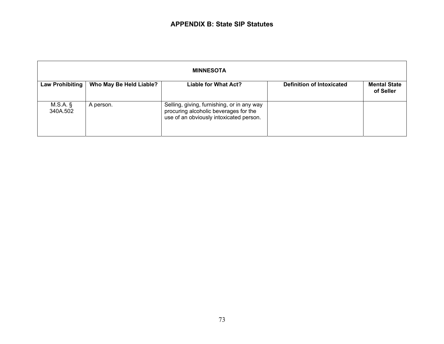| <b>MINNESOTA</b>       |                         |                                                                                                                                |                                  |                                  |
|------------------------|-------------------------|--------------------------------------------------------------------------------------------------------------------------------|----------------------------------|----------------------------------|
| Law Prohibiting        | Who May Be Held Liable? | Liable for What Act?                                                                                                           | <b>Definition of Intoxicated</b> | <b>Mental State</b><br>of Seller |
| $M.S.A.$ §<br>340A.502 | A person.               | Selling, giving, furnishing, or in any way<br>procuring alcoholic beverages for the<br>use of an obviously intoxicated person. |                                  |                                  |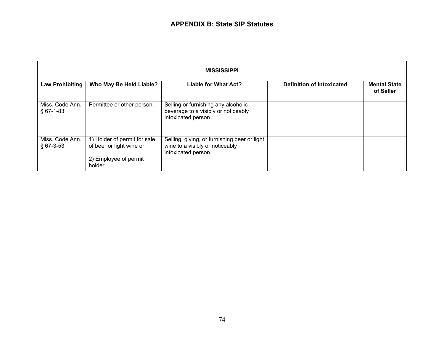| <b>MISSISSIPPI</b>             |                                                                                              |                                                                                                        |                                  |                                  |
|--------------------------------|----------------------------------------------------------------------------------------------|--------------------------------------------------------------------------------------------------------|----------------------------------|----------------------------------|
| Law Prohibiting                | Who May Be Held Liable?                                                                      | <b>Liable for What Act?</b>                                                                            | <b>Definition of Intoxicated</b> | <b>Mental State</b><br>of Seller |
| Miss. Code Ann.<br>$§$ 67-1-83 | Permittee or other person.                                                                   | Selling or furnishing any alcoholic<br>beverage to a visibly or noticeably<br>intoxicated person.      |                                  |                                  |
| Miss. Code Ann.<br>$§$ 67-3-53 | 1) Holder of permit for sale<br>of beer or light wine or<br>2) Employee of permit<br>holder. | Selling, giving, or furnishing beer or light<br>wine to a visibly or noticeably<br>intoxicated person. |                                  |                                  |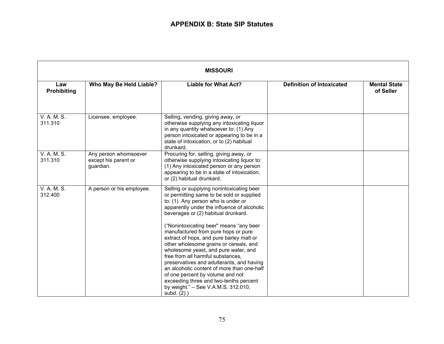| <b>MISSOURI</b>        |                                                            |                                                                                                                                                                                                                                                                                                                                                                                                                                                                                                                                                                                                                                                                                                        |                                  |                                  |
|------------------------|------------------------------------------------------------|--------------------------------------------------------------------------------------------------------------------------------------------------------------------------------------------------------------------------------------------------------------------------------------------------------------------------------------------------------------------------------------------------------------------------------------------------------------------------------------------------------------------------------------------------------------------------------------------------------------------------------------------------------------------------------------------------------|----------------------------------|----------------------------------|
| Law<br>Prohibiting     | Who May Be Held Liable?                                    | <b>Liable for What Act?</b>                                                                                                                                                                                                                                                                                                                                                                                                                                                                                                                                                                                                                                                                            | <b>Definition of Intoxicated</b> | <b>Mental State</b><br>of Seller |
| V. A. M. S.<br>311.310 | Licensee, employee.                                        | Selling, vending, giving away, or<br>otherwise supplying any intoxicating liquor<br>in any quantity whatsoever to: (1) Any<br>person intoxicated or appearing to be in a<br>state of intoxication, or to (2) habitual<br>drunkard.                                                                                                                                                                                                                                                                                                                                                                                                                                                                     |                                  |                                  |
| V. A. M. S.<br>311.310 | Any person whomsoever<br>except his parent or<br>guardian. | Procuring for, selling, giving away, or<br>otherwise supplying intoxicating liquor to:<br>(1) Any intoxicated person or any person<br>appearing to be in a state of intoxication,<br>or (2) habitual drunkard.                                                                                                                                                                                                                                                                                                                                                                                                                                                                                         |                                  |                                  |
| V. A. M. S.<br>312.400 | A person or his employee.                                  | Selling or supplying nonintoxicating beer<br>or permitting same to be sold or supplied<br>to: (1) Any person who is under or<br>apparently under the influence of alcoholic<br>beverages or (2) habitual drunkard.<br>"Nonintoxicating beer" means "any beer"<br>manufactured from pure hops or pure<br>extract of hops, and pure barley malt or<br>other wholesome grains or cereals, and<br>wholesome yeast, and pure water, and<br>free from all harmful substances,<br>preservatives and adulterants, and having<br>an alcoholic content of more than one-half<br>of one percent by volume and not<br>exceeding three and two-tenths percent<br>by weight." - See V.A.M.S. 312.010,<br>subd. (2).) |                                  |                                  |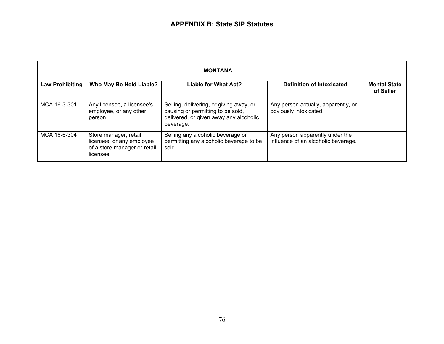| <b>MONTANA</b>         |                                                                                                 |                                                                                                                                     |                                                                        |                                  |
|------------------------|-------------------------------------------------------------------------------------------------|-------------------------------------------------------------------------------------------------------------------------------------|------------------------------------------------------------------------|----------------------------------|
| <b>Law Prohibiting</b> | Who May Be Held Liable?                                                                         | <b>Liable for What Act?</b>                                                                                                         | <b>Definition of Intoxicated</b>                                       | <b>Mental State</b><br>of Seller |
| MCA 16-3-301           | Any licensee, a licensee's<br>employee, or any other<br>person.                                 | Selling, delivering, or giving away, or<br>causing or permitting to be sold,<br>delivered, or given away any alcoholic<br>beverage. | Any person actually, apparently, or<br>obviously intoxicated.          |                                  |
| MCA 16-6-304           | Store manager, retail<br>licensee, or any employee<br>of a store manager or retail<br>licensee. | Selling any alcoholic beverage or<br>permitting any alcoholic beverage to be<br>sold.                                               | Any person apparently under the<br>influence of an alcoholic beverage. |                                  |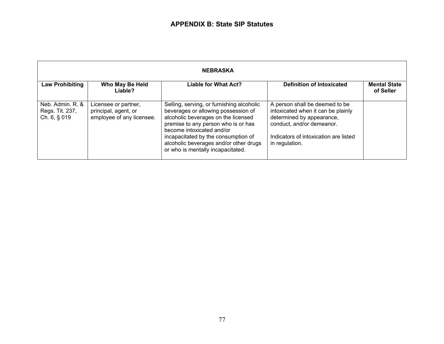| <b>NEBRASKA</b>                                     |                                                                           |                                                                                                                                                                                                                                                                                                                   |                                                                                                                                                                                           |                                  |
|-----------------------------------------------------|---------------------------------------------------------------------------|-------------------------------------------------------------------------------------------------------------------------------------------------------------------------------------------------------------------------------------------------------------------------------------------------------------------|-------------------------------------------------------------------------------------------------------------------------------------------------------------------------------------------|----------------------------------|
| <b>Law Prohibiting</b>                              | Who May Be Held<br>Liable?                                                | <b>Liable for What Act?</b>                                                                                                                                                                                                                                                                                       | <b>Definition of Intoxicated</b>                                                                                                                                                          | <b>Mental State</b><br>of Seller |
| Neb. Admin. R. &<br>Regs. Tit. 237,<br>Ch. 6, § 019 | Licensee or partner,<br>principal, agent, or<br>employee of any licensee. | Selling, serving, or furnishing alcoholic<br>beverages or allowing possession of<br>alcoholic beverages on the licensed<br>premise to any person who is or has<br>become intoxicated and/or<br>incapacitated by the consumption of<br>alcoholic beverages and/or other drugs<br>or who is mentally incapacitated. | A person shall be deemed to be<br>intoxicated when it can be plainly<br>determined by appearance,<br>conduct, and/or demeanor.<br>Indicators of intoxication are listed<br>in regulation. |                                  |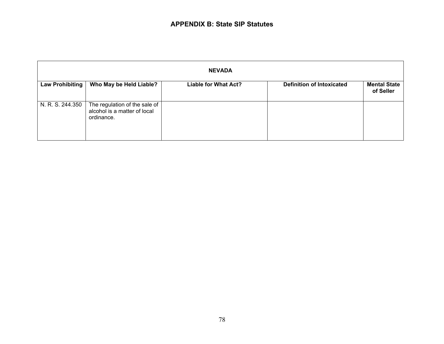| <b>NEVADA</b>    |                                                                             |                             |                                  |                                  |
|------------------|-----------------------------------------------------------------------------|-----------------------------|----------------------------------|----------------------------------|
| Law Prohibiting  | Who May be Held Liable?                                                     | <b>Liable for What Act?</b> | <b>Definition of Intoxicated</b> | <b>Mental State</b><br>of Seller |
| N. R. S. 244.350 | The regulation of the sale of<br>alcohol is a matter of local<br>ordinance. |                             |                                  |                                  |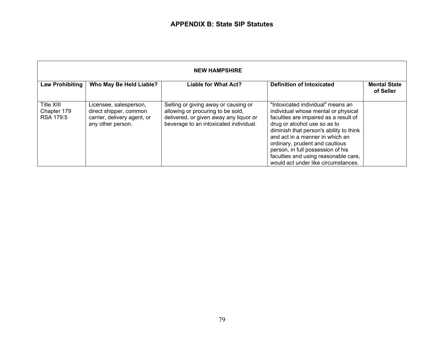| <b>NEW HAMPSHIRE</b>                   |                                                                                                      |                                                                                                                                                               |                                                                                                                                                                                                                                                                                                                                                                                       |                                  |
|----------------------------------------|------------------------------------------------------------------------------------------------------|---------------------------------------------------------------------------------------------------------------------------------------------------------------|---------------------------------------------------------------------------------------------------------------------------------------------------------------------------------------------------------------------------------------------------------------------------------------------------------------------------------------------------------------------------------------|----------------------------------|
| <b>Law Prohibiting</b>                 | Who May Be Held Liable?                                                                              | <b>Liable for What Act?</b>                                                                                                                                   | <b>Definition of Intoxicated</b>                                                                                                                                                                                                                                                                                                                                                      | <b>Mental State</b><br>of Seller |
| Title XIII<br>Chapter 179<br>RSA 179:5 | Licensee, salesperson,<br>direct shipper, common<br>carrier, delivery agent, or<br>any other person. | Selling or giving away or causing or<br>allowing or procuring to be sold,<br>delivered, or given away any liquor or<br>beverage to an intoxicated individual. | "Intoxicated individual" means an<br>individual whose mental or physical<br>faculties are impaired as a result of<br>drug or alcohol use so as to<br>diminish that person's ability to think<br>and act in a manner in which an<br>ordinary, prudent and cautious<br>person, in full possession of his<br>faculties and using reasonable care,<br>would act under like circumstances. |                                  |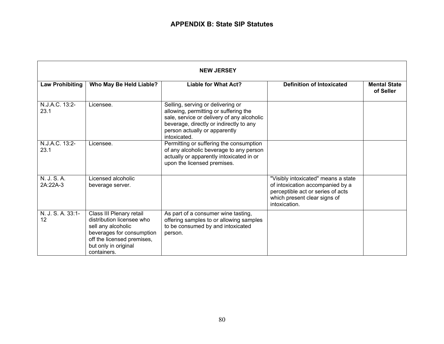| <b>NEW JERSEY</b>       |                                                                                                                                                                               |                                                                                                                                                                                                                      |                                                                                                                                                               |                                  |
|-------------------------|-------------------------------------------------------------------------------------------------------------------------------------------------------------------------------|----------------------------------------------------------------------------------------------------------------------------------------------------------------------------------------------------------------------|---------------------------------------------------------------------------------------------------------------------------------------------------------------|----------------------------------|
| <b>Law Prohibiting</b>  | Who May Be Held Liable?                                                                                                                                                       | <b>Liable for What Act?</b>                                                                                                                                                                                          | <b>Definition of Intoxicated</b>                                                                                                                              | <b>Mental State</b><br>of Seller |
| N.J.A.C. 13:2-<br>23.1  | Licensee.                                                                                                                                                                     | Selling, serving or delivering or<br>allowing, permitting or suffering the<br>sale, service or delivery of any alcoholic<br>beverage, directly or indirectly to any<br>person actually or apparently<br>intoxicated. |                                                                                                                                                               |                                  |
| N.J.A.C. 13:2-<br>23.1  | Licensee.                                                                                                                                                                     | Permitting or suffering the consumption<br>of any alcoholic beverage to any person<br>actually or apparently intoxicated in or<br>upon the licensed premises.                                                        |                                                                                                                                                               |                                  |
| N. J. S. A.<br>2A:22A-3 | Licensed alcoholic<br>beverage server.                                                                                                                                        |                                                                                                                                                                                                                      | "Visibly intoxicated" means a state<br>of intoxication accompanied by a<br>perceptible act or series of acts<br>which present clear signs of<br>intoxication. |                                  |
| N. J. S. A. 33:1-<br>12 | Class III Plenary retail<br>distribution licensee who<br>sell any alcoholic<br>beverages for consumption<br>off the licensed premises,<br>but only in original<br>containers. | As part of a consumer wine tasting,<br>offering samples to or allowing samples<br>to be consumed by and intoxicated<br>person.                                                                                       |                                                                                                                                                               |                                  |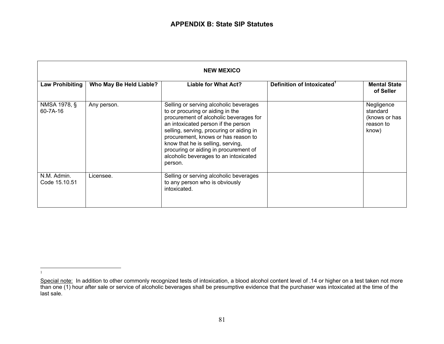| <b>NEW MEXICO</b>            |                         |                                                                                                                                                                                                                                                                                                                                                                                  |                                        |                                                               |
|------------------------------|-------------------------|----------------------------------------------------------------------------------------------------------------------------------------------------------------------------------------------------------------------------------------------------------------------------------------------------------------------------------------------------------------------------------|----------------------------------------|---------------------------------------------------------------|
| <b>Law Prohibiting</b>       | Who May Be Held Liable? | Liable for What Act?                                                                                                                                                                                                                                                                                                                                                             | Definition of Intoxicated <sup>1</sup> | <b>Mental State</b><br>of Seller                              |
| NMSA 1978, §<br>60-7A-16     | Any person.             | Selling or serving alcoholic beverages<br>to or procuring or aiding in the<br>procurement of alcoholic beverages for<br>an intoxicated person if the person<br>selling, serving, procuring or aiding in<br>procurement, knows or has reason to<br>know that he is selling, serving,<br>procuring or aiding in procurement of<br>alcoholic beverages to an intoxicated<br>person. |                                        | Negligence<br>standard<br>(knows or has<br>reason to<br>know) |
| N.M. Admin.<br>Code 15.10.51 | Licensee.               | Selling or serving alcoholic beverages<br>to any person who is obviously<br>intoxicated.                                                                                                                                                                                                                                                                                         |                                        |                                                               |

1

Special note: In addition to other commonly recognized tests of intoxication, a blood alcohol content level of .14 or higher on a test taken not more than one (1) hour after sale or service of alcoholic beverages shall be presumptive evidence that the purchaser was intoxicated at the time of the last sale.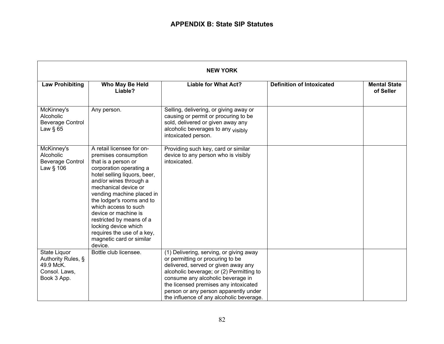| <b>NEW YORK</b>                                                                 |                                                                                                                                                                                                                                                                                                                                                                                                                          |                                                                                                                                                                                                                                                                                                                                   |                                  |                                  |
|---------------------------------------------------------------------------------|--------------------------------------------------------------------------------------------------------------------------------------------------------------------------------------------------------------------------------------------------------------------------------------------------------------------------------------------------------------------------------------------------------------------------|-----------------------------------------------------------------------------------------------------------------------------------------------------------------------------------------------------------------------------------------------------------------------------------------------------------------------------------|----------------------------------|----------------------------------|
| <b>Law Prohibiting</b>                                                          | Who May Be Held<br>Liable?                                                                                                                                                                                                                                                                                                                                                                                               | <b>Liable for What Act?</b>                                                                                                                                                                                                                                                                                                       | <b>Definition of Intoxicated</b> | <b>Mental State</b><br>of Seller |
| McKinney's<br>Alcoholic<br><b>Beverage Control</b><br>Law $§$ 65                | Any person.                                                                                                                                                                                                                                                                                                                                                                                                              | Selling, delivering, or giving away or<br>causing or permit or procuring to be<br>sold, delivered or given away any<br>alcoholic beverages to any visibly<br>intoxicated person.                                                                                                                                                  |                                  |                                  |
| McKinney's<br>Alcoholic<br><b>Beverage Control</b><br>Law § 106                 | A retail licensee for on-<br>premises consumption<br>that is a person or<br>corporation operating a<br>hotel selling liquors, beer,<br>and/or wines through a<br>mechanical device or<br>vending machine placed in<br>the lodger's rooms and to<br>which access to such<br>device or machine is<br>restricted by means of a<br>locking device which<br>requires the use of a key,<br>magnetic card or similar<br>device. | Providing such key, card or similar<br>device to any person who is visibly<br>intoxicated.                                                                                                                                                                                                                                        |                                  |                                  |
| State Liquor<br>Authority Rules, §<br>49.9 McK.<br>Consol. Laws,<br>Book 3 App. | Bottle club licensee.                                                                                                                                                                                                                                                                                                                                                                                                    | (1) Delivering, serving, or giving away<br>or permitting or procuring to be<br>delivered, served or given away any<br>alcoholic beverage; or (2) Permitting to<br>consume any alcoholic beverage in<br>the licensed premises any intoxicated<br>person or any person apparently under<br>the influence of any alcoholic beverage. |                                  |                                  |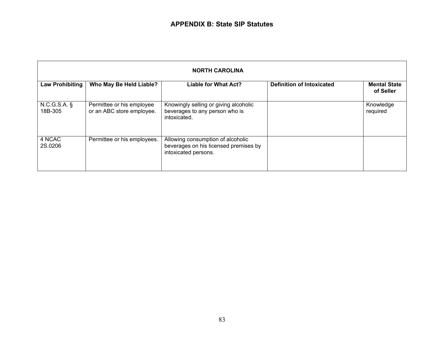| <b>NORTH CAROLINA</b>  |                                                        |                                                                                                    |                                  |                                  |
|------------------------|--------------------------------------------------------|----------------------------------------------------------------------------------------------------|----------------------------------|----------------------------------|
| <b>Law Prohibiting</b> | Who May Be Held Liable?                                | <b>Liable for What Act?</b>                                                                        | <b>Definition of Intoxicated</b> | <b>Mental State</b><br>of Seller |
| N.C.G.S.A.<br>18B-305  | Permittee or his employee<br>or an ABC store employee. | Knowingly selling or giving alcoholic<br>beverages to any person who is<br>intoxicated.            |                                  | Knowledge<br>required            |
| 4 NCAC<br>2S.0206      | Permittee or his employees.                            | Allowing consumption of alcoholic<br>beverages on his licensed premises by<br>intoxicated persons. |                                  |                                  |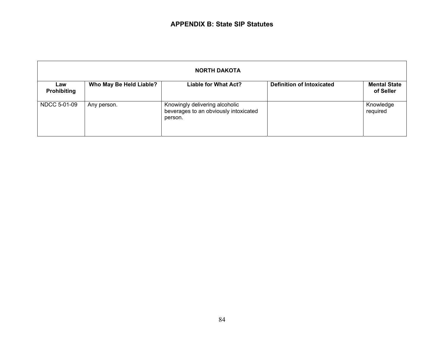| <b>NORTH DAKOTA</b>       |                         |                                                                                    |                                  |                                  |
|---------------------------|-------------------------|------------------------------------------------------------------------------------|----------------------------------|----------------------------------|
| Law<br><b>Prohibiting</b> | Who May Be Held Liable? | Liable for What Act?                                                               | <b>Definition of Intoxicated</b> | <b>Mental State</b><br>of Seller |
| NDCC 5-01-09              | Any person.             | Knowingly delivering alcoholic<br>beverages to an obviously intoxicated<br>person. |                                  | Knowledge<br>required            |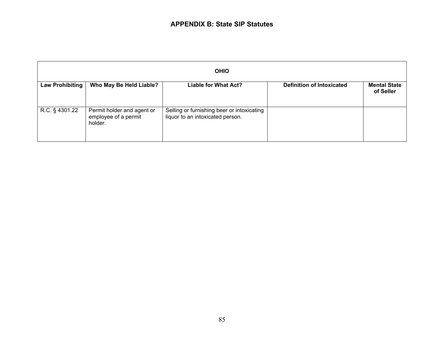## **APPENDIX B: State SIP Statutes**

| <b>OHIO</b>            |                                                               |                                                                                |                                  |                                  |
|------------------------|---------------------------------------------------------------|--------------------------------------------------------------------------------|----------------------------------|----------------------------------|
| <b>Law Prohibiting</b> | Who May Be Held Liable?                                       | <b>Liable for What Act?</b>                                                    | <b>Definition of Intoxicated</b> | <b>Mental State</b><br>of Seller |
| R.C. § 4301.22         | Permit holder and agent or<br>employee of a permit<br>holder. | Selling or furnishing beer or intoxicating<br>liquor to an intoxicated person. |                                  |                                  |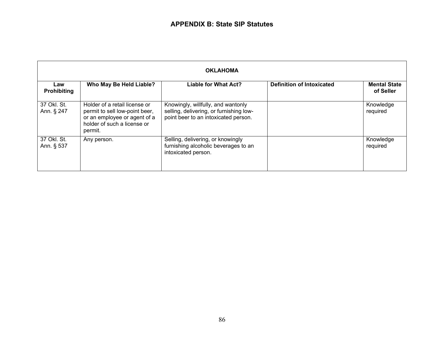| <b>OKLAHOMA</b>           |                                                                                                                                           |                                                                                                                       |                                  |                                  |
|---------------------------|-------------------------------------------------------------------------------------------------------------------------------------------|-----------------------------------------------------------------------------------------------------------------------|----------------------------------|----------------------------------|
| Law<br><b>Prohibiting</b> | Who May Be Held Liable?                                                                                                                   | <b>Liable for What Act?</b>                                                                                           | <b>Definition of Intoxicated</b> | <b>Mental State</b><br>of Seller |
| 37 Okl. St.<br>Ann. § 247 | Holder of a retail license or<br>permit to sell low-point beer,<br>or an employee or agent of a<br>holder of such a license or<br>permit. | Knowingly, willfully, and wantonly<br>selling, delivering, or furnishing low-<br>point beer to an intoxicated person. |                                  | Knowledge<br>required            |
| 37 Okl. St.<br>Ann. § 537 | Any person.                                                                                                                               | Selling, delivering, or knowingly<br>furnishing alcoholic beverages to an<br>intoxicated person.                      |                                  | Knowledge<br>required            |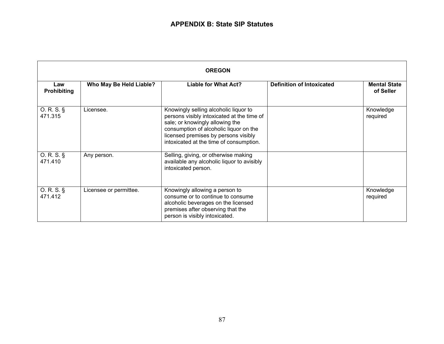| <b>OREGON</b>             |                         |                                                                                                                                                                                                                                                     |                                  |                                  |
|---------------------------|-------------------------|-----------------------------------------------------------------------------------------------------------------------------------------------------------------------------------------------------------------------------------------------------|----------------------------------|----------------------------------|
| Law<br><b>Prohibiting</b> | Who May Be Held Liable? | <b>Liable for What Act?</b>                                                                                                                                                                                                                         | <b>Definition of Intoxicated</b> | <b>Mental State</b><br>of Seller |
| O. R. S.<br>471.315       | Licensee.               | Knowingly selling alcoholic liquor to<br>persons visibly intoxicated at the time of<br>sale; or knowingly allowing the<br>consumption of alcoholic liquor on the<br>licensed premises by persons visibly<br>intoxicated at the time of consumption. |                                  | Knowledge<br>required            |
| O. R. S.<br>471.410       | Any person.             | Selling, giving, or otherwise making<br>available any alcoholic liquor to avisibly<br>intoxicated person.                                                                                                                                           |                                  |                                  |
| O. R. S.<br>471.412       | Licensee or permittee.  | Knowingly allowing a person to<br>consume or to continue to consume<br>alcoholic beverages on the licensed<br>premises after observing that the<br>person is visibly intoxicated.                                                                   |                                  | Knowledge<br>required            |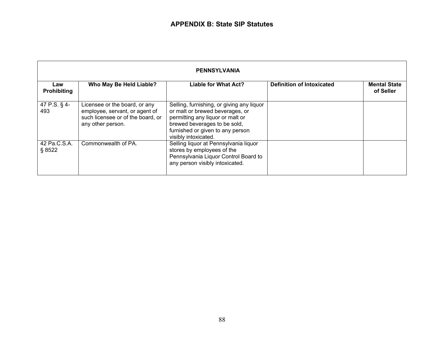| <b>PENNSYLVANIA</b>       |                                                                                                                           |                                                                                                                                                                                                              |                                  |                                  |
|---------------------------|---------------------------------------------------------------------------------------------------------------------------|--------------------------------------------------------------------------------------------------------------------------------------------------------------------------------------------------------------|----------------------------------|----------------------------------|
| Law<br><b>Prohibiting</b> | Who May Be Held Liable?                                                                                                   | Liable for What Act?                                                                                                                                                                                         | <b>Definition of Intoxicated</b> | <b>Mental State</b><br>of Seller |
| 47 P.S. § 4-<br>493       | Licensee or the board, or any<br>employee, servant, or agent of<br>such licensee or of the board, or<br>any other person. | Selling, furnishing, or giving any liquor<br>or malt or brewed beverages, or<br>permitting any liquor or malt or<br>brewed beverages to be sold,<br>furnished or given to any person<br>visibly intoxicated. |                                  |                                  |
| 42 Pa.C.S.A.<br>§ 8522    | Commonwealth of PA.                                                                                                       | Selling liquor at Pennsylvania liquor<br>stores by employees of the<br>Pennsylvania Liquor Control Board to<br>any person visibly intoxicated.                                                               |                                  |                                  |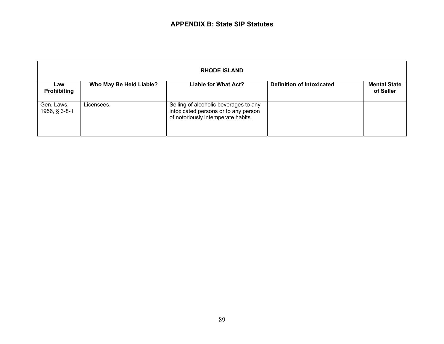| <b>RHODE ISLAND</b>         |                         |                                                                                                                     |                                  |                                  |
|-----------------------------|-------------------------|---------------------------------------------------------------------------------------------------------------------|----------------------------------|----------------------------------|
| Law<br><b>Prohibiting</b>   | Who May Be Held Liable? | Liable for What Act?                                                                                                | <b>Definition of Intoxicated</b> | <b>Mental State</b><br>of Seller |
| Gen. Laws,<br>1956, § 3-8-1 | Licensees.              | Selling of alcoholic beverages to any<br>intoxicated persons or to any person<br>of notoriously intemperate habits. |                                  |                                  |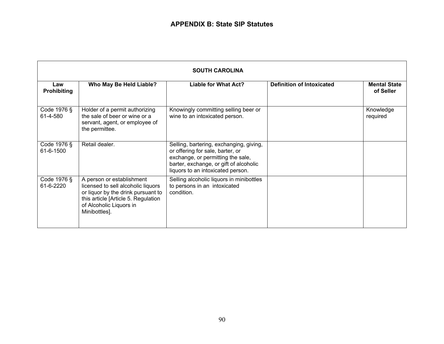| <b>SOUTH CAROLINA</b>     |                                                                                                                                                                                          |                                                                                                                                                                                                 |                                  |                                  |
|---------------------------|------------------------------------------------------------------------------------------------------------------------------------------------------------------------------------------|-------------------------------------------------------------------------------------------------------------------------------------------------------------------------------------------------|----------------------------------|----------------------------------|
| Law<br><b>Prohibiting</b> | Who May Be Held Liable?                                                                                                                                                                  | Liable for What Act?                                                                                                                                                                            | <b>Definition of Intoxicated</b> | <b>Mental State</b><br>of Seller |
| Code 1976 §<br>61-4-580   | Holder of a permit authorizing<br>the sale of beer or wine or a<br>servant, agent, or employee of<br>the permittee.                                                                      | Knowingly committing selling beer or<br>wine to an intoxicated person.                                                                                                                          |                                  | Knowledge<br>required            |
| Code 1976 §<br>61-6-1500  | Retail dealer.                                                                                                                                                                           | Selling, bartering, exchanging, giving,<br>or offering for sale, barter, or<br>exchange, or permitting the sale,<br>barter, exchange, or gift of alcoholic<br>liquors to an intoxicated person. |                                  |                                  |
| Code 1976 §<br>61-6-2220  | A person or establishment<br>licensed to sell alcoholic liquors<br>or liquor by the drink pursuant to<br>this article [Article 5. Regulation<br>of Alcoholic Liquors in<br>Minibottles]. | Selling alcoholic liquors in minibottles<br>to persons in an intoxicated<br>condition.                                                                                                          |                                  |                                  |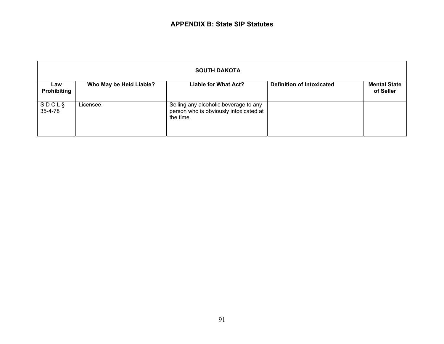| <b>SOUTH DAKOTA</b>       |                         |                                                                                              |                                  |                                  |
|---------------------------|-------------------------|----------------------------------------------------------------------------------------------|----------------------------------|----------------------------------|
| Law<br><b>Prohibiting</b> | Who May be Held Liable? | Liable for What Act?                                                                         | <b>Definition of Intoxicated</b> | <b>Mental State</b><br>of Seller |
| <b>SDCLS</b><br>35-4-78   | Licensee.               | Selling any alcoholic beverage to any<br>person who is obviously intoxicated at<br>the time. |                                  |                                  |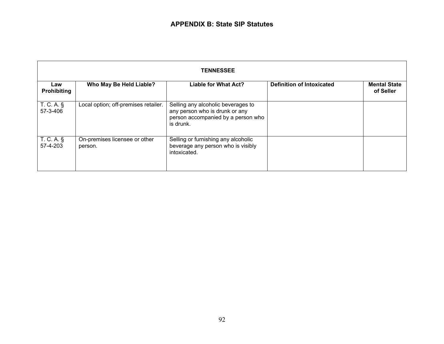| <b>TENNESSEE</b>                |                                          |                                                                                                                         |                                  |                                  |
|---------------------------------|------------------------------------------|-------------------------------------------------------------------------------------------------------------------------|----------------------------------|----------------------------------|
| Law<br><b>Prohibiting</b>       | Who May Be Held Liable?                  | <b>Liable for What Act?</b>                                                                                             | <b>Definition of Intoxicated</b> | <b>Mental State</b><br>of Seller |
| $T_{\cdot}$ C. A. §<br>57-3-406 | Local option; off-premises retailer.     | Selling any alcoholic beverages to<br>any person who is drunk or any<br>person accompanied by a person who<br>is drunk. |                                  |                                  |
| T. C. A. §<br>57-4-203          | On-premises licensee or other<br>person. | Selling or furnishing any alcoholic<br>beverage any person who is visibly<br>intoxicated.                               |                                  |                                  |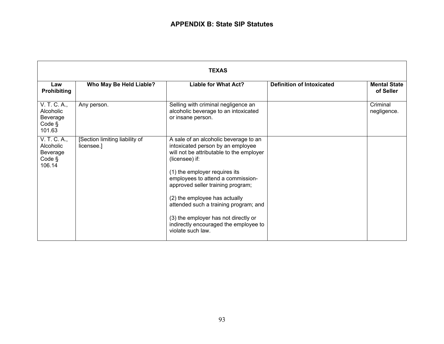| <b>TEXAS</b>                                              |                                              |                                                                                                                                                                                                                                                                                                                                                                                                                                     |                                  |                                  |
|-----------------------------------------------------------|----------------------------------------------|-------------------------------------------------------------------------------------------------------------------------------------------------------------------------------------------------------------------------------------------------------------------------------------------------------------------------------------------------------------------------------------------------------------------------------------|----------------------------------|----------------------------------|
| Law<br><b>Prohibiting</b>                                 | Who May Be Held Liable?                      | <b>Liable for What Act?</b>                                                                                                                                                                                                                                                                                                                                                                                                         | <b>Definition of Intoxicated</b> | <b>Mental State</b><br>of Seller |
| V. T. C. A.,<br>Alcoholic<br>Beverage<br>Code §<br>101.63 | Any person.                                  | Selling with criminal negligence an<br>alcoholic beverage to an intoxicated<br>or insane person.                                                                                                                                                                                                                                                                                                                                    |                                  | Criminal<br>negligence.          |
| V. T. C. A.,<br>Alcoholic<br>Beverage<br>Code §<br>106.14 | [Section limiting liability of<br>licensee.] | A sale of an alcoholic beverage to an<br>intoxicated person by an employee<br>will not be attributable to the employer<br>(licensee) if:<br>(1) the employer requires its<br>employees to attend a commission-<br>approved seller training program;<br>(2) the employee has actually<br>attended such a training program; and<br>(3) the employer has not directly or<br>indirectly encouraged the employee to<br>violate such law. |                                  |                                  |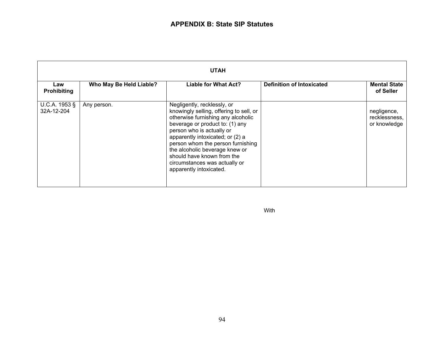| <b>UTAH</b>                 |                         |                                                                                                                                                                                                                                                                                                                                                                                   |                                  |                                              |
|-----------------------------|-------------------------|-----------------------------------------------------------------------------------------------------------------------------------------------------------------------------------------------------------------------------------------------------------------------------------------------------------------------------------------------------------------------------------|----------------------------------|----------------------------------------------|
| Law<br><b>Prohibiting</b>   | Who May Be Held Liable? | <b>Liable for What Act?</b>                                                                                                                                                                                                                                                                                                                                                       | <b>Definition of Intoxicated</b> | <b>Mental State</b><br>of Seller             |
| U.C.A. 1953 §<br>32A-12-204 | Any person.             | Negligently, recklessly, or<br>knowingly selling, offering to sell, or<br>otherwise furnishing any alcoholic<br>beverage or product to: (1) any<br>person who is actually or<br>apparently intoxicated; or (2) a<br>person whom the person furnishing<br>the alcoholic beverage knew or<br>should have known from the<br>circumstances was actually or<br>apparently intoxicated. |                                  | negligence,<br>recklessness,<br>or knowledge |

With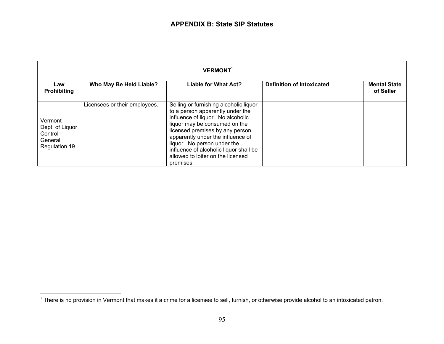| <b>VERMONT<sup>1</sup></b>                                        |                               |                                                                                                                                                                                                                                                                                                                                                     |                                  |                                  |
|-------------------------------------------------------------------|-------------------------------|-----------------------------------------------------------------------------------------------------------------------------------------------------------------------------------------------------------------------------------------------------------------------------------------------------------------------------------------------------|----------------------------------|----------------------------------|
| Law<br><b>Prohibiting</b>                                         | Who May Be Held Liable?       | <b>Liable for What Act?</b>                                                                                                                                                                                                                                                                                                                         | <b>Definition of Intoxicated</b> | <b>Mental State</b><br>of Seller |
| Vermont<br>Dept. of Liquor<br>Control<br>General<br>Regulation 19 | Licensees or their employees. | Selling or furnishing alcoholic liquor<br>to a person apparently under the<br>influence of liquor. No alcoholic<br>liquor may be consumed on the<br>licensed premises by any person<br>apparently under the influence of<br>liquor. No person under the<br>influence of alcoholic liquor shall be<br>allowed to loiter on the licensed<br>premises. |                                  |                                  |

<sup>&</sup>lt;sup>1</sup> There is no provision in Vermont that makes it a crime for a licensee to sell, furnish, or otherwise provide alcohol to an intoxicated patron.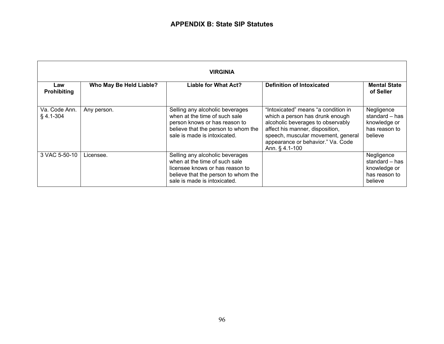| <b>VIRGINIA</b>              |                         |                                                                                                                                                                            |                                                                                                                                                                                                                                             |                                                                          |
|------------------------------|-------------------------|----------------------------------------------------------------------------------------------------------------------------------------------------------------------------|---------------------------------------------------------------------------------------------------------------------------------------------------------------------------------------------------------------------------------------------|--------------------------------------------------------------------------|
| Law<br><b>Prohibiting</b>    | Who May Be Held Liable? | Liable for What Act?                                                                                                                                                       | <b>Definition of Intoxicated</b>                                                                                                                                                                                                            | <b>Mental State</b><br>of Seller                                         |
| Va. Code Ann.<br>$§$ 4.1-304 | Any person.             | Selling any alcoholic beverages<br>when at the time of such sale<br>person knows or has reason to<br>believe that the person to whom the<br>sale is made is intoxicated.   | "Intoxicated" means "a condition in<br>which a person has drunk enough<br>alcoholic beverages to observably<br>affect his manner, disposition,<br>speech, muscular movement, general<br>appearance or behavior." Va. Code<br>Ann. § 4.1-100 | Negligence<br>standard - has<br>knowledge or<br>has reason to<br>believe |
| 3 VAC 5-50-10                | Licensee.               | Selling any alcoholic beverages<br>when at the time of such sale<br>licensee knows or has reason to<br>believe that the person to whom the<br>sale is made is intoxicated. |                                                                                                                                                                                                                                             | Negligence<br>standard – has<br>knowledge or<br>has reason to<br>believe |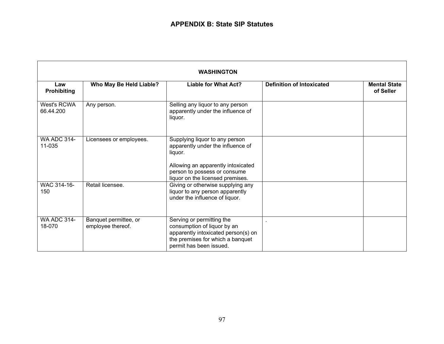| <b>WASHINGTON</b>            |                                            |                                                                                                                                                                                          |                                  |                                  |
|------------------------------|--------------------------------------------|------------------------------------------------------------------------------------------------------------------------------------------------------------------------------------------|----------------------------------|----------------------------------|
| Law<br><b>Prohibiting</b>    | Who May Be Held Liable?                    | <b>Liable for What Act?</b>                                                                                                                                                              | <b>Definition of Intoxicated</b> | <b>Mental State</b><br>of Seller |
| West's RCWA<br>66.44.200     | Any person.                                | Selling any liquor to any person<br>apparently under the influence of<br>liquor.                                                                                                         |                                  |                                  |
| <b>WA ADC 314-</b><br>11-035 | Licensees or employees.                    | Supplying liquor to any person<br>apparently under the influence of<br>liquor.<br>Allowing an apparently intoxicated<br>person to possess or consume<br>liquor on the licensed premises. |                                  |                                  |
| WAC 314-16-<br>150           | Retail licensee.                           | Giving or otherwise supplying any<br>liquor to any person apparently<br>under the influence of liquor.                                                                                   |                                  |                                  |
| <b>WA ADC 314-</b><br>18-070 | Banquet permittee, or<br>employee thereof. | Serving or permitting the<br>consumption of liquor by an<br>apparently intoxicated person(s) on<br>the premises for which a banquet<br>permit has been issued.                           |                                  |                                  |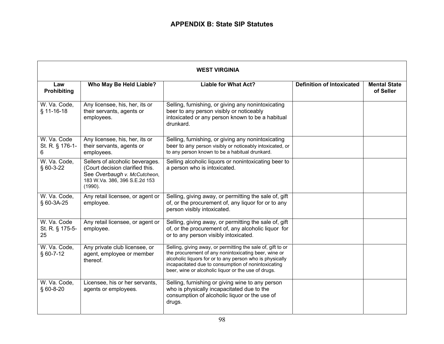| <b>WEST VIRGINIA</b>                 |                                                                                                                                                |                                                                                                                                                                                                                                                                                               |                                  |                                  |
|--------------------------------------|------------------------------------------------------------------------------------------------------------------------------------------------|-----------------------------------------------------------------------------------------------------------------------------------------------------------------------------------------------------------------------------------------------------------------------------------------------|----------------------------------|----------------------------------|
| Law<br><b>Prohibiting</b>            | Who May Be Held Liable?                                                                                                                        | <b>Liable for What Act?</b>                                                                                                                                                                                                                                                                   | <b>Definition of Intoxicated</b> | <b>Mental State</b><br>of Seller |
| W. Va. Code,<br>§ 11-16-18           | Any licensee, his, her, its or<br>their servants, agents or<br>employees.                                                                      | Selling, furnishing, or giving any nonintoxicating<br>beer to any person visibly or noticeably<br>intoxicated or any person known to be a habitual<br>drunkard.                                                                                                                               |                                  |                                  |
| W. Va. Code<br>St. R. § 176-1-<br>6. | Any licensee, his, her, its or<br>their servants, agents or<br>employees.                                                                      | Selling, furnishing, or giving any nonintoxicating<br>beer to any person visibly or noticeably intoxicated, or<br>to any person known to be a habitual drunkard.                                                                                                                              |                                  |                                  |
| W. Va. Code,<br>§ 60-3-22            | Sellers of alcoholic beverages.<br>(Court decision clarified this.<br>See Overbaugh v. McCutcheon,<br>183 W.Va. 386, 396 S.E.2d 153<br>(1990). | Selling alcoholic liquors or nonintoxicating beer to<br>a person who is intoxicated.                                                                                                                                                                                                          |                                  |                                  |
| W. Va. Code,<br>§ 60-3A-25           | Any retail licensee, or agent or<br>employee.                                                                                                  | Selling, giving away, or permitting the sale of, gift<br>of, or the procurement of, any liquor for or to any<br>person visibly intoxicated.                                                                                                                                                   |                                  |                                  |
| W. Va. Code<br>St. R. § 175-5-<br>25 | Any retail licensee, or agent or<br>employee.                                                                                                  | Selling, giving away, or permitting the sale of, gift<br>of, or the procurement of, any alcoholic liquor for<br>or to any person visibly intoxicated.                                                                                                                                         |                                  |                                  |
| W. Va. Code,<br>$§ 60-7-12$          | Any private club licensee, or<br>agent, employee or member<br>thereof.                                                                         | Selling, giving away, or permitting the sale of, gift to or<br>the procurement of any nonintoxicating beer, wine or<br>alcoholic liquors for or to any person who is physically<br>incapacitated due to consumption of nonintoxicating<br>beer, wine or alcoholic liquor or the use of drugs. |                                  |                                  |
| W. Va. Code,<br>§ 60-8-20            | Licensee, his or her servants,<br>agents or employees.                                                                                         | Selling, furnishing or giving wine to any person<br>who is physically incapacitated due to the<br>consumption of alcoholic liquor or the use of<br>drugs.                                                                                                                                     |                                  |                                  |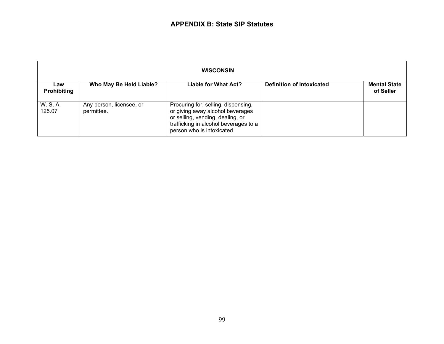| <b>WISCONSIN</b>          |                                        |                                                                                                                                                                                    |                                  |                                  |
|---------------------------|----------------------------------------|------------------------------------------------------------------------------------------------------------------------------------------------------------------------------------|----------------------------------|----------------------------------|
| Law<br><b>Prohibiting</b> | Who May Be Held Liable?                | <b>Liable for What Act?</b>                                                                                                                                                        | <b>Definition of Intoxicated</b> | <b>Mental State</b><br>of Seller |
| W. S. A.<br>125.07        | Any person, licensee, or<br>permittee. | Procuring for, selling, dispensing,<br>or giving away alcohol beverages<br>or selling, vending, dealing, or<br>trafficking in alcohol beverages to a<br>person who is intoxicated. |                                  |                                  |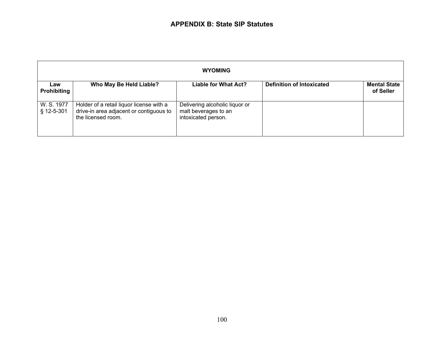|                           | <b>WYOMING</b>                                                                                            |                                                                               |                                  |                                  |
|---------------------------|-----------------------------------------------------------------------------------------------------------|-------------------------------------------------------------------------------|----------------------------------|----------------------------------|
| Law<br><b>Prohibiting</b> | Who May Be Held Liable?                                                                                   | <b>Liable for What Act?</b>                                                   | <b>Definition of Intoxicated</b> | <b>Mental State</b><br>of Seller |
| W. S. 1977<br>§ 12-5-301  | Holder of a retail liquor license with a<br>drive-in area adjacent or contiguous to<br>the licensed room. | Delivering alcoholic liquor or<br>malt beverages to an<br>intoxicated person. |                                  |                                  |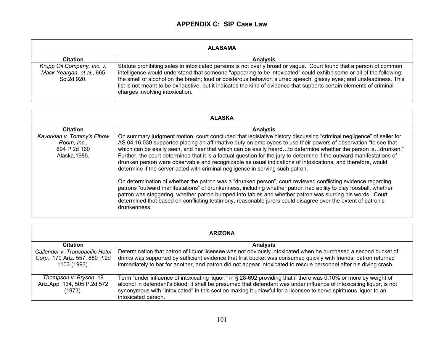## **APPENDIX C: SIP Case Law**

| <b>ALABAMA</b>                                                        |                                                                                                                                                                                                                                                                                                                                                                                                                                                                                                                               |  |  |  |
|-----------------------------------------------------------------------|-------------------------------------------------------------------------------------------------------------------------------------------------------------------------------------------------------------------------------------------------------------------------------------------------------------------------------------------------------------------------------------------------------------------------------------------------------------------------------------------------------------------------------|--|--|--|
| <b>Citation</b>                                                       | <b>Analysis</b>                                                                                                                                                                                                                                                                                                                                                                                                                                                                                                               |  |  |  |
| Krupp Oil Company, Inc. v.<br>Mack Yeargan, et al., 665<br>So.2d 920. | Statute prohibiting sales to intoxicated persons is not overly broad or vague. Court found that a person of common<br>intelligence would understand that someone "appearing to be intoxicated" could exhibit some or all of the following:<br>the smell of alcohol on the breath; loud or boisterous behavior; slurred speech; glassy eyes; and unsteadiness. This<br>list is not meant to be exhaustive, but it indicates the kind of evidence that supports certain elements of criminal<br>charges involving intoxication. |  |  |  |

| <b>ALASKA</b>                                                              |                                                                                                                                                                                                                                                                                                                                                                                                                                                                                                                                                                                                                                                                                                                                                                                                                                                                                                                                                                                                                                                                                                                                                                   |  |  |
|----------------------------------------------------------------------------|-------------------------------------------------------------------------------------------------------------------------------------------------------------------------------------------------------------------------------------------------------------------------------------------------------------------------------------------------------------------------------------------------------------------------------------------------------------------------------------------------------------------------------------------------------------------------------------------------------------------------------------------------------------------------------------------------------------------------------------------------------------------------------------------------------------------------------------------------------------------------------------------------------------------------------------------------------------------------------------------------------------------------------------------------------------------------------------------------------------------------------------------------------------------|--|--|
| <b>Citation</b>                                                            | <b>Analysis</b>                                                                                                                                                                                                                                                                                                                                                                                                                                                                                                                                                                                                                                                                                                                                                                                                                                                                                                                                                                                                                                                                                                                                                   |  |  |
| Kavorkian v. Tommy's Elbow<br>Room, Inc.,<br>694 P.2d 160<br>Alaska, 1985. | On summary judgment motion, court concluded that legislative history discussing "criminal negligence" of seller for<br>AS 04.16.030 supported placing an affirmative duty on employees to use their powers of observation "to see that<br>which can be easily seen, and hear that which can be easily heardto determine whether the person isdrunken."<br>Further, the court determined that it is a factual question for the jury to determine if the outward manifestations of<br>drunken person were observable and recognizable as usual indications of intoxications, and therefore, would<br>determine if the server acted with criminal negligence in serving such patron.<br>On determination of whether the patron was a "drunken person", court reviewed conflicting evidence regarding<br>patrons "outward manifestations" of drunkenness, including whether patron had ability to play foosball, whether<br>patron was staggering, whether patron bumped into tables and whether patron was slurring his words. Court<br>determined that based on conflicting testimony, reasonable jurors could disagree over the extent of patron's<br>drunkenness. |  |  |
|                                                                            |                                                                                                                                                                                                                                                                                                                                                                                                                                                                                                                                                                                                                                                                                                                                                                                                                                                                                                                                                                                                                                                                                                                                                                   |  |  |

| <b>ARIZONA</b>                                                                    |                                                                                                                                                                                                                                                                                                                                                                                      |  |  |
|-----------------------------------------------------------------------------------|--------------------------------------------------------------------------------------------------------------------------------------------------------------------------------------------------------------------------------------------------------------------------------------------------------------------------------------------------------------------------------------|--|--|
| <b>Citation</b>                                                                   | <b>Analysis</b>                                                                                                                                                                                                                                                                                                                                                                      |  |  |
| Callender v. Transpacific Hotel<br>Corp., 179 Ariz. 557, 880 P.2d<br>1103 (1993). | Determination that patron of liquor licensee was not obviously intoxicated when he purchased a second bucket of<br>drinks was supported by sufficient evidence that first bucket was consumed quickly with friends, patron returned<br>immediately to bar for another, and patron did not appear intoxicated to rescue personnel after his diving crash.                             |  |  |
| Thompson v. Bryson, 19<br>Ariz.App. 134, 505 P.2d 572<br>(1973).                  | Term "under influence of intoxicating liquor," in § 28-692 providing that if there was 0.10% or more by weight of<br>alcohol in defendant's blood, it shall be presumed that defendant was under influence of intoxicating liquor, is not<br>synonymous with "intoxicated" in this section making it unlawful for a licensee to serve spirituous liquor to an<br>intoxicated person. |  |  |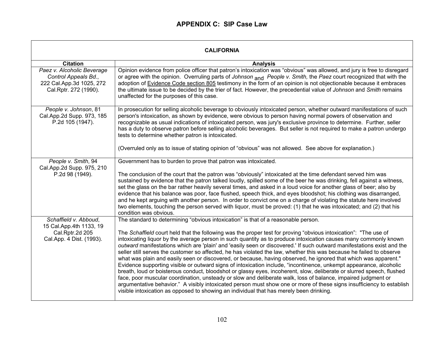## **APPENDIX C: SIP Case Law**

| <b>CALIFORNIA</b>                                                                                       |                                                                                                                                                                                                                                                                                                                                                                                                                                                                                                                                                                                                                                                                                                                                                                                                                                                                                                                                                                                                                                                                                                                                                                                                                                                                                     |  |
|---------------------------------------------------------------------------------------------------------|-------------------------------------------------------------------------------------------------------------------------------------------------------------------------------------------------------------------------------------------------------------------------------------------------------------------------------------------------------------------------------------------------------------------------------------------------------------------------------------------------------------------------------------------------------------------------------------------------------------------------------------------------------------------------------------------------------------------------------------------------------------------------------------------------------------------------------------------------------------------------------------------------------------------------------------------------------------------------------------------------------------------------------------------------------------------------------------------------------------------------------------------------------------------------------------------------------------------------------------------------------------------------------------|--|
| <b>Citation</b>                                                                                         | <b>Analysis</b>                                                                                                                                                                                                                                                                                                                                                                                                                                                                                                                                                                                                                                                                                                                                                                                                                                                                                                                                                                                                                                                                                                                                                                                                                                                                     |  |
| Paez v. Alcoholic Beverage<br>Control Appeals Bd.,<br>222 Cal.App.3d 1025, 272<br>Cal.Rptr. 272 (1990). | Opinion evidence from police officer that patron's intoxication was "obvious" was allowed, and jury is free to disregard<br>or agree with the opinion. Overruling parts of Johnson and People v. Smith, the Paez court recognized that with the<br>adoption of Evidence Code section 805 testimony in the form of an opinion is not objectionable because it embraces<br>the ultimate issue to be decided by the trier of fact. However, the precedential value of Johnson and Smith remains<br>unaffected for the purposes of this case.                                                                                                                                                                                                                                                                                                                                                                                                                                                                                                                                                                                                                                                                                                                                           |  |
| People v. Johnson, 81<br>Cal.App.2d Supp. 973, 185<br>P.2d 105 (1947).                                  | In prosecution for selling alcoholic beverage to obviously intoxicated person, whether outward manifestations of such<br>person's intoxication, as shown by evidence, were obvious to person having normal powers of observation and<br>recognizable as usual indications of intoxicated person, was jury's exclusive province to determine. Further, seller<br>has a duty to observe patron before selling alcoholic beverages. But seller is not required to make a patron undergo<br>tests to determine whether patron is intoxicated.<br>(Overruled only as to issue of stating opinion of "obvious" was not allowed. See above for explanation.)                                                                                                                                                                                                                                                                                                                                                                                                                                                                                                                                                                                                                               |  |
| People v. Smith, 94<br>Cal.App.2d Supp. 975, 210<br>P.2d 98 (1949).                                     | Government has to burden to prove that patron was intoxicated.<br>The conclusion of the court that the patron was "obviously" intoxicated at the time defendant served him was<br>sustained by evidence that the patron talked loudly, spilled some of the beer he was drinking, fell against a witness,<br>set the glass on the bar rather heavily several times, and asked in a loud voice for another glass of beer; also by<br>evidence that his balance was poor, face flushed, speech thick, and eyes bloodshot; his clothing was disarranged,<br>and he kept arguing with another person. In order to convict one on a charge of violating the statute here involved<br>two elements, touching the person served with liquor, must be proved: (1) that he was intoxicated; and (2) that his<br>condition was obvious.                                                                                                                                                                                                                                                                                                                                                                                                                                                        |  |
| Schaffield v. Abboud,<br>15 Cal.App.4th 1133, 19<br>Cal.Rptr.2d 205<br>Cal.App. 4 Dist. (1993).         | The standard to determining "obvious intoxication" is that of a reasonable person.<br>The Schaffield court held that the following was the proper test for proving "obvious intoxication": "The use of<br>intoxicating liquor by the average person in such quantity as to produce intoxication causes many commonly known<br>outward manifestations which are 'plain' and 'easily seen or discovered.' If such outward manifestations exist and the<br>seller still serves the customer so affected, he has violated the law, whether this was because he failed to observe<br>what was plain and easily seen or discovered, or because, having observed, he ignored that which was apparent."<br>Evidence supporting visible or outward signs of intoxication include, "incontinence, unkempt appearance, alcoholic<br>breath, loud or boisterous conduct, bloodshot or glassy eyes, incoherent, slow, deliberate or slurred speech, flushed<br>face, poor muscular coordination, unsteady or slow and deliberate walk, loss of balance, impaired judgment or<br>argumentative behavior." A visibly intoxicated person must show one or more of these signs insufficiency to establish<br>visible intoxication as opposed to showing an individual that has merely been drinking. |  |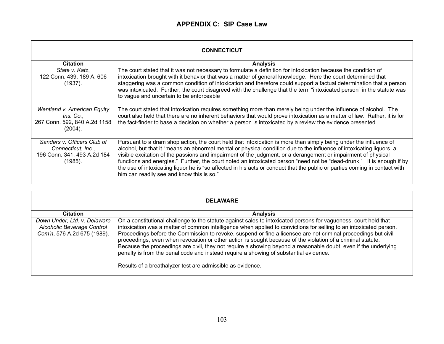| <b>CONNECTICUT</b>                                                                          |                                                                                                                                                                                                                                                                                                                                                                                                                                                                                                                                                                                                                                                                |  |
|---------------------------------------------------------------------------------------------|----------------------------------------------------------------------------------------------------------------------------------------------------------------------------------------------------------------------------------------------------------------------------------------------------------------------------------------------------------------------------------------------------------------------------------------------------------------------------------------------------------------------------------------------------------------------------------------------------------------------------------------------------------------|--|
| <b>Citation</b>                                                                             | <b>Analysis</b>                                                                                                                                                                                                                                                                                                                                                                                                                                                                                                                                                                                                                                                |  |
| State v. Katz,<br>122 Conn. 439, 189 A. 606<br>(1937).                                      | The court stated that it was not necessary to formulate a definition for intoxication because the condition of<br>intoxication brought with it behavior that was a matter of general knowledge. Here the court determined that<br>staggering was a common condition of intoxication and therefore could support a factual determination that a person<br>was intoxicated. Further, the court disagreed with the challenge that the term "intoxicated person" in the statute was<br>to vague and uncertain to be enforceable                                                                                                                                    |  |
| Wentland v. American Equity<br>Ins. Co.,<br>267 Conn. 592, 840 A.2d 1158<br>(2004).         | The court stated that intoxication requires something more than merely being under the influence of alcohol. The<br>court also held that there are no inherent behaviors that would prove intoxication as a matter of law. Rather, it is for<br>the fact-finder to base a decision on whether a person is intoxicated by a review the evidence presented.                                                                                                                                                                                                                                                                                                      |  |
| Sanders v. Officers Club of<br>Connecticut, Inc.,<br>196 Conn. 341, 493 A.2d 184<br>(1985). | Pursuant to a dram shop action, the court held that intoxication is more than simply being under the influence of<br>alcohol, but that it "means an abnormal mental or physical condition due to the influence of intoxicating liquors, a<br>visible excitation of the passions and impairment of the judgment, or a derangement or impairment of physical<br>functions and energies." Further, the court noted an intoxicated person "need not be "dead-drunk." It is enough if by<br>the use of intoxicating liquor he is "so affected in his acts or conduct that the public or parties coming in contact with<br>him can readily see and know this is so." |  |

| <b>DELAWARE</b>                                                                           |                                                                                                                                                                                                                                                                                                                                                                                                                                                                                                                                                                                                                                                                                                                                                   |  |
|-------------------------------------------------------------------------------------------|---------------------------------------------------------------------------------------------------------------------------------------------------------------------------------------------------------------------------------------------------------------------------------------------------------------------------------------------------------------------------------------------------------------------------------------------------------------------------------------------------------------------------------------------------------------------------------------------------------------------------------------------------------------------------------------------------------------------------------------------------|--|
| <b>Citation</b>                                                                           | <b>Analysis</b>                                                                                                                                                                                                                                                                                                                                                                                                                                                                                                                                                                                                                                                                                                                                   |  |
| Down Under, Ltd. v. Delaware<br>Alcoholic Beverage Control<br>Com'n, 576 A.2d 675 (1989). | On a constitutional challenge to the statute against sales to intoxicated persons for vagueness, court held that<br>intoxication was a matter of common intelligence when applied to convictions for selling to an intoxicated person.<br>Proceedings before the Commission to revoke, suspend or fine a licensee are not criminal proceedings but civil<br>proceedings, even when revocation or other action is sought because of the violation of a criminal statute.<br>Because the proceedings are civil, they not require a showing beyond a reasonable doubt, even if the underlying<br>penalty is from the penal code and instead require a showing of substantial evidence.<br>Results of a breathalyzer test are admissible as evidence. |  |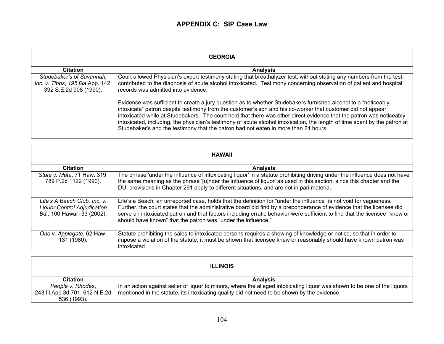| <b>GEORGIA</b>                                                                         |                                                                                                                                                                                                                                                                                                                                                                                                                                                                                                                                                                            |
|----------------------------------------------------------------------------------------|----------------------------------------------------------------------------------------------------------------------------------------------------------------------------------------------------------------------------------------------------------------------------------------------------------------------------------------------------------------------------------------------------------------------------------------------------------------------------------------------------------------------------------------------------------------------------|
| <b>Citation</b>                                                                        | <b>Analysis</b>                                                                                                                                                                                                                                                                                                                                                                                                                                                                                                                                                            |
| Studebaker's of Savannah,<br>Inc. v. Tibbs, 195 Ga.App. 142,<br>392 S.E.2d 908 (1990). | Court allowed Physician's expert testimony stating that breathalyzer test, without stating any numbers from the test,<br>contributed to the diagnosis of acute alcohol intoxicated. Testimony concerning observation of patient and hospital<br>records was admitted into evidence.                                                                                                                                                                                                                                                                                        |
|                                                                                        | Evidence was sufficient to create a jury question as to whether Studebakers furnished alcohol to a "noticeably<br>intoxicate" patron despite testimony from the customer's son and his co-worker that customer did not appear<br>intoxicated while at Studebakers. The court held that there was other direct evidence that the patron was noticeably<br>intoxicated, including, the physician's testimony of acute alcohol intoxication, the length of time spent by the patron at<br>Studebaker's and the testimony that the patron had not eaten in more than 24 hours. |

| <b>HAWAII</b>                                                                                     |                                                                                                                                                                                                                                                                                                                                                                                                                                            |
|---------------------------------------------------------------------------------------------------|--------------------------------------------------------------------------------------------------------------------------------------------------------------------------------------------------------------------------------------------------------------------------------------------------------------------------------------------------------------------------------------------------------------------------------------------|
| <b>Citation</b>                                                                                   | <b>Analysis</b>                                                                                                                                                                                                                                                                                                                                                                                                                            |
| State v. Mata, 71 Haw. 319,<br>789 P.2d 1122 (1990).                                              | The phrase 'under the influence of intoxicating liquor' in a statute prohibiting driving under the influence does not have<br>the same meaning as the phrase '[u]nder the influence of liquor' as used in this section, since this chapter and the<br>DUI provisions in Chapter 291 apply to different situations, and are not in pari materia.                                                                                            |
| Life's A Beach Club, Inc. v.<br><b>Liquor Control Adjudication</b><br>Bd., 100 Hawai'i 33 (2002). | Life's a Beach, an unreported case, holds that the definition for "under the influence" is not void for vagueness.<br>Further, the court states that the administrative board did find by a preponderance of evidence that the licensee did<br>serve an intoxicated patron and that factors including erratic behavior were sufficient to find that the licensee "knew or<br>should have known" that the patron was "under the influence." |
| Ono v. Applegate, 62 Haw.<br>131 (1980).                                                          | Statute prohibiting the sales to intoxicated persons requires a showing of knowledge or notice, so that in order to<br>impose a violation of the statute, it must be shown that licensee knew or reasonably should have known patron was<br>intoxicated.                                                                                                                                                                                   |

| <b>ILLINOIS</b>                |                                                                                                                           |
|--------------------------------|---------------------------------------------------------------------------------------------------------------------------|
| <b>Citation</b>                | <b>Analysis</b>                                                                                                           |
| People v. Rhodes,              | In an action against seller of liquor to minors, where the alleged intoxicating liquor was shown to be one of the liquors |
| 243 III.App.3d 701, 612 N.E.2d | mentioned in the statute, its intoxicating quality did not need to be shown by the evidence.                              |
| 536 (1993).                    |                                                                                                                           |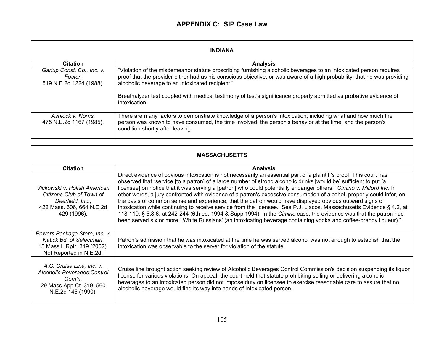| <b>INDIANA</b>                                                   |                                                                                                                                                                                                                                                                                                    |
|------------------------------------------------------------------|----------------------------------------------------------------------------------------------------------------------------------------------------------------------------------------------------------------------------------------------------------------------------------------------------|
| <b>Citation</b>                                                  | <b>Analysis</b>                                                                                                                                                                                                                                                                                    |
| Gariup Const. Co., Inc. v.<br>Foster.<br>519 N.E.2d 1224 (1988). | "Violation of the misdemeanor statute proscribing furnishing alcoholic beverages to an intoxicated person requires<br>proof that the provider either had as his conscious objective, or was aware of a high probability, that he was providing<br>alcoholic beverage to an intoxicated recipient." |
|                                                                  | Breathalyzer test coupled with medical testimony of test's significance properly admitted as probative evidence of<br>intoxication.                                                                                                                                                                |
| Ashlock v. Norris,<br>475 N.E.2d 1167 (1985).                    | There are many factors to demonstrate knowledge of a person's intoxication; including what and how much the<br>person was known to have consumed, the time involved, the person's behavior at the time, and the person's<br>condition shortly after leaving.                                       |

| <b>MASSACHUSETTS</b>                                                                                                        |                                                                                                                                                                                                                                                                                                                                                                                                                                                                                                                                                                                                                                                                                                                                                                                                                                                                                                                                                                        |
|-----------------------------------------------------------------------------------------------------------------------------|------------------------------------------------------------------------------------------------------------------------------------------------------------------------------------------------------------------------------------------------------------------------------------------------------------------------------------------------------------------------------------------------------------------------------------------------------------------------------------------------------------------------------------------------------------------------------------------------------------------------------------------------------------------------------------------------------------------------------------------------------------------------------------------------------------------------------------------------------------------------------------------------------------------------------------------------------------------------|
| <b>Citation</b>                                                                                                             | <b>Analysis</b>                                                                                                                                                                                                                                                                                                                                                                                                                                                                                                                                                                                                                                                                                                                                                                                                                                                                                                                                                        |
| Vickowski v. Polish American<br>Citizens Club of Town of<br>Deerfield, Inc.,<br>422 Mass. 606, 664 N.E.2d<br>429 (1996).    | Direct evidence of obvious intoxication is not necessarily an essential part of a plaintiff's proof. This court has<br>observed that "service [to a patron] of a large number of strong alcoholic drinks [would be] sufficient to put [a<br>licensee] on notice that it was serving a [patron] who could potentially endanger others." Cimino v. Milford Inc. In<br>other words, a jury confronted with evidence of a patron's excessive consumption of alcohol, properly could infer, on<br>the basis of common sense and experience, that the patron would have displayed obvious outward signs of<br>intoxication while continuing to receive service from the licensee. See P.J. Liacos, Massachusetts Evidence § 4.2, at<br>118-119; § 5.8.6, at 242-244 (6th ed. 1994 & Supp.1994). In the Cimino case, the evidence was that the patron had<br>been served six or more "White Russians' (an intoxicating beverage containing vodka and coffee-brandy liqueur)." |
| Powers Package Store, Inc. v.<br>Natick Bd. of Selectman,<br>15 Mass.L.Rptr. 319 (2002).<br>Not Reported in N.E.2d.         | Patron's admission that he was intoxicated at the time he was served alcohol was not enough to establish that the<br>intoxication was observable to the server for violation of the statute.                                                                                                                                                                                                                                                                                                                                                                                                                                                                                                                                                                                                                                                                                                                                                                           |
| A.C. Cruise Line, Inc. v.<br><b>Alcoholic Beverages Control</b><br>Com'n,<br>29 Mass.App.Ct. 319, 560<br>N.E.2d 145 (1990). | Cruise line brought action seeking review of Alcoholic Beverages Control Commission's decision suspending its liquor<br>license for various violations. On appeal, the court held that statute prohibiting selling or delivering alcoholic<br>beverages to an intoxicated person did not impose duty on licensee to exercise reasonable care to assure that no<br>alcoholic beverage would find its way into hands of intoxicated person.                                                                                                                                                                                                                                                                                                                                                                                                                                                                                                                              |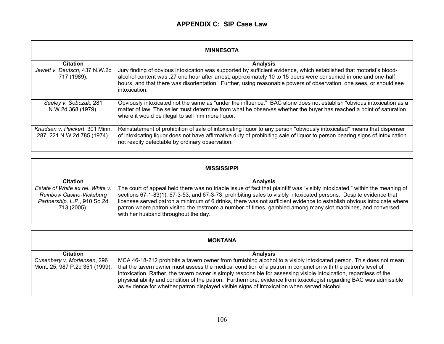| <b>MINNESOTA</b>                                              |                                                                                                                                                                                                                                                                                                                                                                             |
|---------------------------------------------------------------|-----------------------------------------------------------------------------------------------------------------------------------------------------------------------------------------------------------------------------------------------------------------------------------------------------------------------------------------------------------------------------|
| <b>Citation</b>                                               | <b>Analysis</b>                                                                                                                                                                                                                                                                                                                                                             |
| Jewett v. Deutsch, 437 N.W.2d<br>717 (1989).                  | Jury finding of obvious intoxication was supported by sufficient evidence, which established that motorist's blood-<br>alcohol content was .27 one hour after arrest, approximately 10 to 15 beers were consumed in one and one-half<br>hours, and that there was disorientation. Further, using reasonable powers of observation, one sees, or should see<br>intoxication. |
| Seeley v. Sobczak, 281<br>N.W.2d 368 (1979).                  | Obviously intoxicated not the same as "under the influence." BAC alone does not establish "obvious intoxication as a<br>matter of law. The seller must determine from what he observes whether the buyer has reached a point of saturation<br>where it would be illegal to sell him more liquor.                                                                            |
| Knudsen v. Peickert, 301 Minn.<br>287, 221 N.W.2d 785 (1974). | Reinstatement of prohibition of sale of intoxicating liquor to any person "obviously intoxicated" means that dispenser<br>of intoxicating liquor does not have affirmative duty of prohibiting sale of liquor to person bearing signs of intoxication<br>not readily detectable by ordinary observation.                                                                    |

| <b>MISSISSIPPI</b>                                                                                          |                                                                                                                                                                                                                                                                                                                                                                                                                                                                                                                                   |
|-------------------------------------------------------------------------------------------------------------|-----------------------------------------------------------------------------------------------------------------------------------------------------------------------------------------------------------------------------------------------------------------------------------------------------------------------------------------------------------------------------------------------------------------------------------------------------------------------------------------------------------------------------------|
| <b>Citation</b>                                                                                             | <b>Analysis</b>                                                                                                                                                                                                                                                                                                                                                                                                                                                                                                                   |
| Estate of White ex rel. White v.<br>Rainbow Casino-Vicksburg<br>Partnership, L.P., 910 So.2d<br>713 (2005). | The court of appeal held there was no triable issue of fact that plaintiff was "visibly intoxicated," within the meaning of<br>sections 67-1-83(1), 67-3-53, and 67-3-73, prohibiting sales to visibly intoxicated persons. Despite evidence that<br>licensee served patron a minimum of 6 drinks, there was not sufficient evidence to establish obvious intoxicate where<br>patron where patron visited the restroom a number of times, gambled among many slot machines, and conversed<br>with her husband throughout the day. |

| <b>MONTANA</b>                                                |                                                                                                                                                                                                                                                                                                                                                                                                                                                                                                                                                                                |
|---------------------------------------------------------------|--------------------------------------------------------------------------------------------------------------------------------------------------------------------------------------------------------------------------------------------------------------------------------------------------------------------------------------------------------------------------------------------------------------------------------------------------------------------------------------------------------------------------------------------------------------------------------|
| <b>Citation</b>                                               | <b>Analysis</b>                                                                                                                                                                                                                                                                                                                                                                                                                                                                                                                                                                |
| Cusenbary v. Mortensen, 296<br>Mont. 25, 987 P.2d 351 (1999). | MCA 46-18-212 prohibits a tavern owner from furnishing alcohol to a visibly intoxicated person. This does not mean<br>that the tavern owner must assess the medical condition of a patron in conjunction with the patron's level of<br>intoxication. Rather, the tavern owner is simply responsible for assessing visible intoxication, regardless of the<br>physical ability and condition of the patron. Furthermore, evidence from toxicologist regarding BAC was admissible<br>as evidence for whether patron displayed visible signs of intoxication when served alcohol. |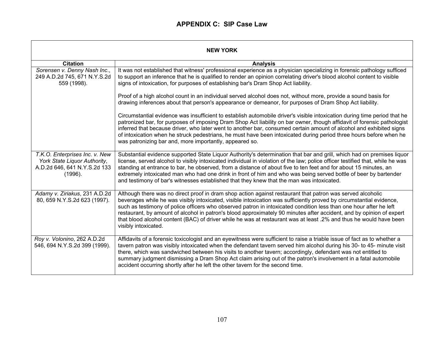| <b>NEW YORK</b>                                                                                           |                                                                                                                                                                                                                                                                                                                                                                                                                                                                                                                                                                                                                                |
|-----------------------------------------------------------------------------------------------------------|--------------------------------------------------------------------------------------------------------------------------------------------------------------------------------------------------------------------------------------------------------------------------------------------------------------------------------------------------------------------------------------------------------------------------------------------------------------------------------------------------------------------------------------------------------------------------------------------------------------------------------|
| <b>Citation</b>                                                                                           | <b>Analysis</b>                                                                                                                                                                                                                                                                                                                                                                                                                                                                                                                                                                                                                |
| Sorensen v. Denny Nash Inc.,<br>249 A.D.2d 745, 671 N.Y.S.2d<br>559 (1998).                               | It was not established that witness' professional experience as a physician specializing in forensic pathology sufficed<br>to support an inference that he is qualified to render an opinion correlating driver's blood alcohol content to visible<br>signs of intoxication, for purposes of establishing bar's Dram Shop Act liability.                                                                                                                                                                                                                                                                                       |
|                                                                                                           | Proof of a high alcohol count in an individual served alcohol does not, without more, provide a sound basis for<br>drawing inferences about that person's appearance or demeanor, for purposes of Dram Shop Act liability.                                                                                                                                                                                                                                                                                                                                                                                                     |
|                                                                                                           | Circumstantial evidence was insufficient to establish automobile driver's visible intoxication during time period that he<br>patronized bar, for purposes of imposing Dram Shop Act liability on bar owner, though affidavit of forensic pathologist<br>inferred that because driver, who later went to another bar, consumed certain amount of alcohol and exhibited signs<br>of intoxication when he struck pedestrians, he must have been intoxicated during period three hours before when he<br>was patronizing bar and, more importantly, appeared so.                                                                   |
| T.K.O. Enterprises Inc. v. New<br>York State Liquor Authority,<br>A.D.2d 646, 641 N.Y.S.2d 133<br>(1996). | Substantial evidence supported State Liquor Authority's determination that bar and grill, which had on premises liquor<br>license, served alcohol to visibly intoxicated individual in violation of the law; police officer testified that, while he was<br>standing at entrance to bar, he observed, from a distance of about five to ten feet and for about 15 minutes, an<br>extremely intoxicated man who had one drink in front of him and who was being served bottle of beer by bartender<br>and testimony of bar's witnesses established that they knew that the man was intoxicated.                                  |
| Adamy v. Ziriakus, 231 A.D.2d<br>80, 659 N.Y.S.2d 623 (1997).                                             | Although there was no direct proof in dram shop action against restaurant that patron was served alcoholic<br>beverages while he was visibly intoxicated, visible intoxication was sufficiently proved by circumstantial evidence,<br>such as testimony of police officers who observed patron in intoxicated condition less than one hour after he left<br>restaurant, by amount of alcohol in patron's blood approximately 90 minutes after accident, and by opinion of expert<br>that blood alcohol content (BAC) of driver while he was at restaurant was at least .2% and thus he would have been<br>visibly intoxicated. |
| Roy v. Volonino, 262 A.D.2d<br>546, 694 N.Y.S.2d 399 (1999).                                              | Affidavits of a forensic toxicologist and an eyewitness were sufficient to raise a triable issue of fact as to whether a<br>tavern patron was visibly intoxicated when the defendant tavern served him alcohol during his 30- to 45- minute visit<br>there, which was sandwiched between his visits to another tavern; accordingly, defendant was not entitled to<br>summary judgment dismissing a Dram Shop Act claim arising out of the patron's involvement in a fatal automobile<br>accident occurring shortly after he left the other tavern for the second time.                                                         |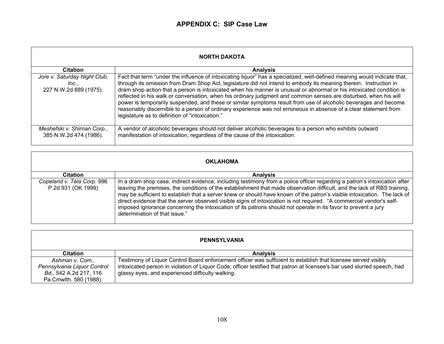| <b>NORTH DAKOTA</b>                                             |                                                                                                                                                                                                                                                                                                                                                                                                                                                                                                                                                                                                                                                                                                                                                                                     |
|-----------------------------------------------------------------|-------------------------------------------------------------------------------------------------------------------------------------------------------------------------------------------------------------------------------------------------------------------------------------------------------------------------------------------------------------------------------------------------------------------------------------------------------------------------------------------------------------------------------------------------------------------------------------------------------------------------------------------------------------------------------------------------------------------------------------------------------------------------------------|
| <b>Citation</b>                                                 | <b>Analysis</b>                                                                                                                                                                                                                                                                                                                                                                                                                                                                                                                                                                                                                                                                                                                                                                     |
| Jore v. Saturday Night Club,<br>Inc.,<br>227 N.W.2d 889 (1975). | Fact that term "under the influence of intoxicating liquor" has a specialized, well-defined meaning would indicate that,<br>through its omission from Dram Shop Act, legislature did not intend to embody its meaning therein. Instruction in<br>dram shop action that a person is intoxicated when his manner is unusual or abnormal or his intoxicated condition is<br>reflected in his walk or conversation, when his ordinary judgment and common senses are disturbed, when his will<br>power is temporarily suspended, and these or similar symptoms result from use of alcoholic beverages and become<br>reasonably discernible to a person of ordinary experience was not erroneous in absence of a clear statement from<br>legislature as to definition of "intoxication." |
| Meshefski v. Shirnan Corp.,<br>385 N.W.2d 474 (1986).           | A vendor of alcoholic beverages should not deliver alcoholic beverages to a person who exhibits outward<br>manifestation of intoxication, regardless of the cause of the intoxication.                                                                                                                                                                                                                                                                                                                                                                                                                                                                                                                                                                                              |

| <b>OKLAHOMA</b>                                  |                                                                                                                                                                                                                                                                                                                                                                                                                                                                                                                                                                                                                                                              |
|--------------------------------------------------|--------------------------------------------------------------------------------------------------------------------------------------------------------------------------------------------------------------------------------------------------------------------------------------------------------------------------------------------------------------------------------------------------------------------------------------------------------------------------------------------------------------------------------------------------------------------------------------------------------------------------------------------------------------|
| <b>Citation</b>                                  | <b>Analysis</b>                                                                                                                                                                                                                                                                                                                                                                                                                                                                                                                                                                                                                                              |
| Copeland v. Tela Corp. 996<br>P.2d 931 (OK 1999) | In a dram shop case, indirect evidence, including testimony from a police officer regarding a patron's intoxication after<br>leaving the premises, the conditions of the establishment that made observation difficult, and the lack of RBS training,<br>may be sufficient to establish that a server knew or should have known of the patron's visible intoxication. The lack of<br>direct evidence that the server observed visible signs of intoxication is not required. "A commercial vendor's self-<br>imposed ignorance concerning the intoxication of its patrons should not operate in its favor to prevent a jury<br>determination of that issue." |

| PENNSYLVANIA                |                                                                                                                          |
|-----------------------------|--------------------------------------------------------------------------------------------------------------------------|
| <b>Citation</b>             | <b>Analysis</b>                                                                                                          |
| Ashman v. Com.,             | Testimony of Liquor Control Board enforcement officer was sufficient to establish that licensee served visibly           |
| Pennsylvania Liquor Control | intoxicated person in violation of Liquor Code; officer testified that patron at licensee's bar used slurred speech, had |
| Bd., 542 A.2d 217, 116      | glassy eyes, and experienced difficulty walking.                                                                         |
| Pa.Cmwlth. 580 (1988).      |                                                                                                                          |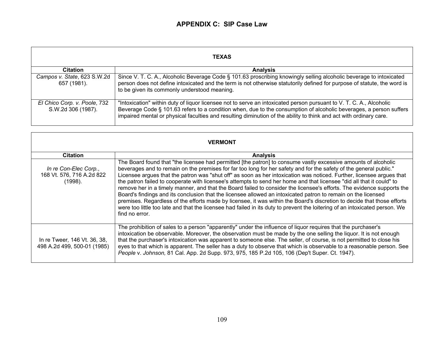| <b>TEXAS</b>                                       |                                                                                                                                                                                                                                                                                                                                                                 |  |
|----------------------------------------------------|-----------------------------------------------------------------------------------------------------------------------------------------------------------------------------------------------------------------------------------------------------------------------------------------------------------------------------------------------------------------|--|
| <b>Citation</b>                                    | <b>Analysis</b>                                                                                                                                                                                                                                                                                                                                                 |  |
| Campos v. State, 623 S.W.2d<br>657 (1981).         | Since V. T. C. A., Alcoholic Beverage Code § 101.63 proscribing knowingly selling alcoholic beverage to intoxicated<br>person does not define intoxicated and the term is not otherwise statutorily defined for purpose of statute, the word is<br>to be given its commonly understood meaning.                                                                 |  |
| El Chico Corp. v. Poole, 732<br>S.W.2d 306 (1987). | "Intoxication" within duty of liquor licensee not to serve an intoxicated person pursuant to V. T. C. A., Alcoholic<br>Beverage Code § 101.63 refers to a condition when, due to the consumption of alcoholic beverages, a person suffers<br>impaired mental or physical faculties and resulting diminution of the ability to think and act with ordinary care. |  |

| <b>VERMONT</b>                                                |                                                                                                                                                                                                                                                                                                                                                                                                                                                                                                                                                                                                                                                                                                                                                                                                                                                                                                                                                                                                               |  |  |
|---------------------------------------------------------------|---------------------------------------------------------------------------------------------------------------------------------------------------------------------------------------------------------------------------------------------------------------------------------------------------------------------------------------------------------------------------------------------------------------------------------------------------------------------------------------------------------------------------------------------------------------------------------------------------------------------------------------------------------------------------------------------------------------------------------------------------------------------------------------------------------------------------------------------------------------------------------------------------------------------------------------------------------------------------------------------------------------|--|--|
| <b>Citation</b>                                               | <b>Analysis</b>                                                                                                                                                                                                                                                                                                                                                                                                                                                                                                                                                                                                                                                                                                                                                                                                                                                                                                                                                                                               |  |  |
| In re Con-Elec Corp.,<br>168 Vt. 576, 716 A.2d 822<br>(1998). | The Board found that "the licensee had permitted [the patron] to consume vastly excessive amounts of alcoholic<br>beverages and to remain on the premises for far too long for her safety and for the safety of the general public."<br>Licensee argues that the patron was "shut off" as soon as her intoxication was noticed. Further, licensee argues that<br>the patron failed to cooperate with licensee's attempts to send her home and that licensee "did all that it could" to<br>remove her in a timely manner, and that the Board failed to consider the licensee's efforts. The evidence supports the<br>Board's findings and its conclusion that the licensee allowed an intoxicated patron to remain on the licensed<br>premises. Regardless of the efforts made by licensee, it was within the Board's discretion to decide that those efforts<br>were too little too late and that the licensee had failed in its duty to prevent the loitering of an intoxicated person. We<br>find no error. |  |  |
| In re Tweer, 146 Vt. 36, 38,<br>498 A.2d 499, 500-01 (1985)   | The prohibition of sales to a person "apparently" under the influence of liquor requires that the purchaser's<br>intoxication be observable. Moreover, the observation must be made by the one selling the liquor. It is not enough<br>that the purchaser's intoxication was apparent to someone else. The seller, of course, is not permitted to close his<br>eyes to that which is apparent. The seller has a duty to observe that which is observable to a reasonable person. See<br>People v. Johnson, 81 Cal. App. 2d Supp. 973, 975, 185 P.2d 105, 106 (Dep't Super. Ct. 1947).                                                                                                                                                                                                                                                                                                                                                                                                                         |  |  |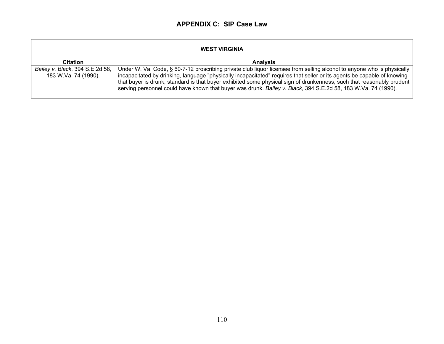| <b>WEST VIRGINIA</b>                                    |                                                                                                                                                                                                                                                                                                                                                                                                                                                                                             |  |  |
|---------------------------------------------------------|---------------------------------------------------------------------------------------------------------------------------------------------------------------------------------------------------------------------------------------------------------------------------------------------------------------------------------------------------------------------------------------------------------------------------------------------------------------------------------------------|--|--|
| <b>Citation</b>                                         | <b>Analysis</b>                                                                                                                                                                                                                                                                                                                                                                                                                                                                             |  |  |
| Bailey v. Black, 394 S.E.2d 58,<br>183 W.Va. 74 (1990). | Under W. Va. Code, § 60-7-12 proscribing private club liquor licensee from selling alcohol to anyone who is physically<br>incapacitated by drinking, language "physically incapacitated" requires that seller or its agents be capable of knowing<br>that buyer is drunk; standard is that buyer exhibited some physical sign of drunkenness, such that reasonably prudent<br>serving personnel could have known that buyer was drunk. Bailey v. Black, 394 S.E.2d 58, 183 W.Va. 74 (1990). |  |  |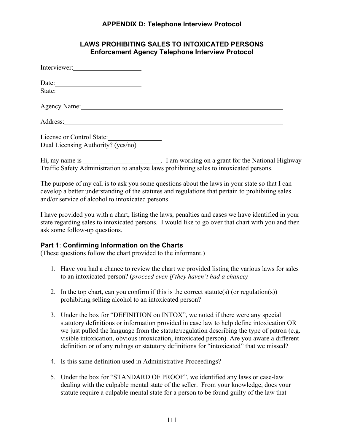## **APPENDIX D: Telephone Interview Protocol**

### **LAWS PROHIBITING SALES TO INTOXICATED PERSONS Enforcement Agency Telephone Interview Protocol**

| Interviewer:                       |  |
|------------------------------------|--|
|                                    |  |
|                                    |  |
| Agency Name: 1988                  |  |
| Address:                           |  |
| License or Control State:          |  |
| Dual Licensing Authority? (yes/no) |  |
|                                    |  |

Hi, my name is \_\_\_\_\_\_\_\_\_\_\_\_\_\_\_\_\_\_\_\_\_\_\_. I am working on a grant for the National Highway Traffic Safety Administration to analyze laws prohibiting sales to intoxicated persons.

The purpose of my call is to ask you some questions about the laws in your state so that I can develop a better understanding of the statutes and regulations that pertain to prohibiting sales and/or service of alcohol to intoxicated persons.

I have provided you with a chart, listing the laws, penalties and cases we have identified in your state regarding sales to intoxicated persons. I would like to go over that chart with you and then ask some follow-up questions.

# **Part 1**: **Confirming Information on the Charts**

(These questions follow the chart provided to the informant.)

- 1. Have you had a chance to review the chart we provided listing the various laws for sales to an intoxicated person? (*proceed even if they haven't had a chance)*
- prohibiting selling alcohol to an intoxicated person? 2. In the top chart, can you confirm if this is the correct statute(s) (or regulation(s))
- 3. Under the box for "DEFINITION on INTOX", we noted if there were any special statutory definitions or information provided in case law to help define intoxication OR we just pulled the language from the statute/regulation describing the type of patron (e.g. visible intoxication, obvious intoxication, intoxicated person). Are you aware a different definition or of any rulings or statutory definitions for "intoxicated" that we missed?
- 4. Is this same definition used in Administrative Proceedings?
- 5. Under the box for "STANDARD OF PROOF", we identified any laws or case-law dealing with the culpable mental state of the seller. From your knowledge, does your statute require a culpable mental state for a person to be found guilty of the law that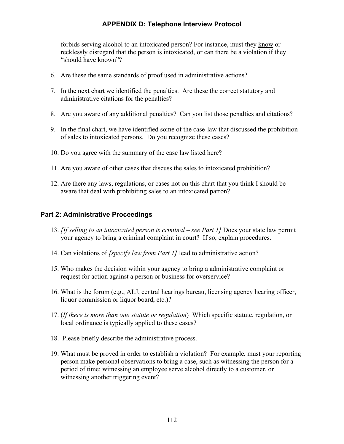# **APPENDIX D: Telephone Interview Protocol**

 "should have known"? forbids serving alcohol to an intoxicated person? For instance, must they know or recklessly disregard that the person is intoxicated, or can there be a violation if they

- 6. Are these the same standards of proof used in administrative actions?
- administrative citations for the penalties? 7. In the next chart we identified the penalties. Are these the correct statutory and
- 8. Are you aware of any additional penalties? Can you list those penalties and citations?
- of sales to intoxicated persons. Do you recognize these cases? 9. In the final chart, we have identified some of the case-law that discussed the prohibition
- 10. Do you agree with the summary of the case law listed here?
- 11. Are you aware of other cases that discuss the sales to intoxicated prohibition?
- 12. Are there any laws, regulations, or cases not on this chart that you think I should be aware that deal with prohibiting sales to an intoxicated patron?

## **Part 2: Administrative Proceedings**

- your agency to bring a criminal complaint in court? If so, explain procedures. 13. *[If selling to an intoxicated person is criminal – see Part 1]* Does your state law permit
- 14. Can violations of *[specify law from Part 1]* lead to administrative action?
- 15. Who makes the decision within your agency to bring a administrative complaint or request for action against a person or business for overservice?
- 16. What is the forum (e.g., ALJ, central hearings bureau, licensing agency hearing officer, liquor commission or liquor board, etc.)?
- 17. (*If there is more than one statute or regulation*) Which specific statute, regulation, or local ordinance is typically applied to these cases?
- 18. Please briefly describe the administrative process.
- 19. What must be proved in order to establish a violation? For example, must your reporting person make personal observations to bring a case, such as witnessing the person for a period of time; witnessing an employee serve alcohol directly to a customer, or witnessing another triggering event?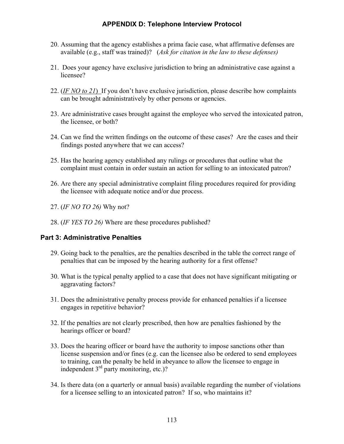## **APPENDIX D: Telephone Interview Protocol**

- 20. Assuming that the agency establishes a prima facie case, what affirmative defenses are available (e.g., staff was trained)? (*Ask for citation in the law to these defenses)*
- 21. Does your agency have exclusive jurisdiction to bring an administrative case against a licensee?
- 22. (*IF NO to 21*) If you don't have exclusive jurisdiction, please describe how complaints can be brought administratively by other persons or agencies.
- 23. Are administrative cases brought against the employee who served the intoxicated patron, the licensee, or both?
- findings posted anywhere that we can access? 24. Can we find the written findings on the outcome of these cases? Are the cases and their
- 25. Has the hearing agency established any rulings or procedures that outline what the complaint must contain in order sustain an action for selling to an intoxicated patron?
- 26. Are there any special administrative complaint filing procedures required for providing the licensee with adequate notice and/or due process.
- 27. (*IF NO TO 26)* Why not?
- 28. (*IF YES TO 26)* Where are these procedures published?

### **Part 3: Administrative Penalties**

- penalties that can be imposed by the hearing authority for a first offense? 29. Going back to the penalties, are the penalties described in the table the correct range of
- penalties that can be imposed by the hearing authority for a first offense? 30. What is the typical penalty applied to a case that does not have significant mitigating or aggravating factors?
- engages in repetitive behavior? 31. Does the administrative penalty process provide for enhanced penalties if a licensee
- hearings officer or board? 32. If the penalties are not clearly prescribed, then how are penalties fashioned by the
- 33. Does the hearing officer or board have the authority to impose sanctions other than license suspension and/or fines (e.g. can the licensee also be ordered to send employees to training, can the penalty be held in abeyance to allow the licensee to engage in independent  $3<sup>rd</sup>$  party monitoring, etc.)?
- 34. Is there data (on a quarterly or annual basis) available regarding the number of violations for a licensee selling to an intoxicated patron? If so, who maintains it?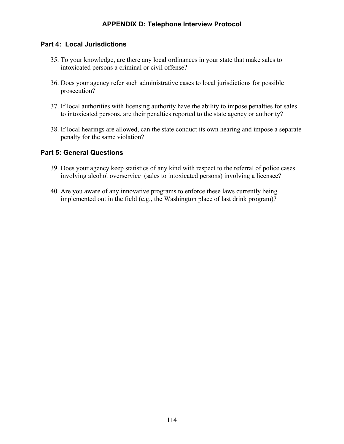## **Part 4: Local Jurisdictions**

- intoxicated persons a criminal or civil offense? 35. To your knowledge, are there any local ordinances in your state that make sales to
- 36. Does your agency refer such administrative cases to local jurisdictions for possible prosecution?
- to intoxicated persons, are their penalties reported to the state agency or authority? 37. If local authorities with licensing authority have the ability to impose penalties for sales
- penalty for the same violation? 38. If local hearings are allowed, can the state conduct its own hearing and impose a separate

## **Part 5: General Questions**

- involving alcohol overservice (sales to intoxicated persons) involving a licensee? 39. Does your agency keep statistics of any kind with respect to the referral of police cases
- 40. Are you aware of any innovative programs to enforce these laws currently being implemented out in the field (e.g., the Washington place of last drink program)?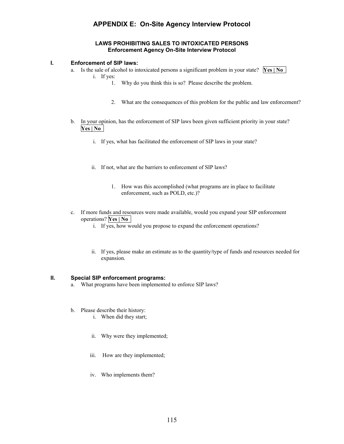# **APPENDIX E: On-Site Agency Interview Protocol**

#### **LAWS PROHIBITING SALES TO INTOXICATED PERSONS Enforcement Agency On-Site Interview Protocol**

#### **I. Enforcement of SIP laws:**

 **.** a. Is the sale of alcohol to intoxicated persons a significant problem in your state? **Yes | No**  i. If yes:



- 1. Why do you think this is so? Please describe the problem.
- 2. What are the consequences of this problem for the public and law enforcement?
- **. Yes | No**  b. In your opinion, has the enforcement of SIP laws been given sufficient priority in your state?
	- i. If yes, what has facilitated the enforcement of SIP laws in your state?
	- ii. If not, what are the barriers to enforcement of SIP laws?
		- 1. How was this accomplished (what programs are in place to facilitate enforcement, such as POLD, etc.)?
- **.** operations? **Yes | No**  c. If more funds and resources were made available, would you expand your SIP enforcement
	- i. If yes, how would you propose to expand the enforcement operations?
	- ii. If yes, please make an estimate as to the quantity/type of funds and resources needed for expansion.

#### **II. Special SIP enforcement programs:**

- a. What programs have been implemented to enforce SIP laws?<br>b. Please describe their history:
- - i. When did they start;
	- ii. Why were they implemented;
	- iii. How are they implemented;
	- iv. Who implements them?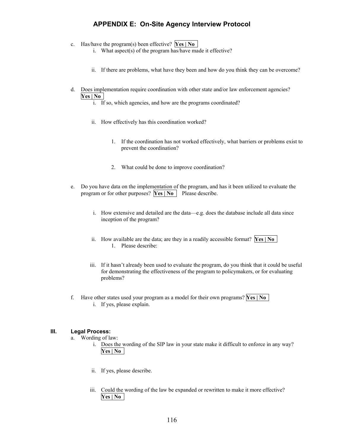## **APPENDIX E: On-Site Agency Interview Protocol**

- **.** c. Has/have the program(s) been effective? **Yes | No** 
	- i. What aspect(s) of the program has/have made it effective?
	- i. What aspect(s) of the program has/have made it effective?<br>ii. If there are problems, what have they been and how do you think they can be overcome?
- **. Yes | No**  d. Does implementation require coordination with other state and/or law enforcement agencies?
	- i. If so, which agencies, and how are the programs coordinated?
	- ii. How effectively has this coordination worked?
		- 1. If the coordination has not worked effectively, what barriers or problems exist to prevent the coordination?
		- 2. What could be done to improve coordination?
- program or for other purposes? **Yes** | **No** | Please describe. e. Do you have data on the implementation of the program, and has it been utilized to evaluate the
	- i. How extensive and detailed are the data—e.g. does the database include all data since inception of the program?
	- ii. How available are the data; are they in a readily accessible format? **Yes** | **No** 1. Please describe:
	- iii. If it hasn't already been used to evaluate the program, do you think that it could be useful for demonstrating the effectiveness of the program to policymakers, or for evaluating problems?
- **.** f. Have other states used your program as a model for their own programs? **Yes | No**  i. If yes, please explain.

#### **III. Legal Process:**

- a. Wording of law:
	- i. Does the wording of the SIP law in your state make it difficult to enforce in any way? **. Yes | No**
	- ii. If yes, please describe.
	- **. Yes | No**  iii. Could the wording of the law be expanded or rewritten to make it more effective?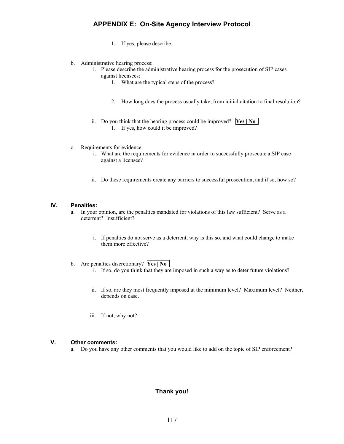## **APPENDIX E: On-Site Agency Interview Protocol**

- 1. If yes, please describe.
- b. Administrative hearing process:
	- i. Please describe the administrative hearing process for the prosecution of SIP cases against licensees:
		- 1. What are the typical steps of the process?
		- 2. How long does the process usually take, from initial citation to final resolution?
	- **.** ii. Do you think that the hearing process could be improved? **Yes | No**  1. If yes, how could it be improved?
- c. Requirements for evidence:
	- i. What are the requirements for evidence in order to successfully prosecute a SIP case against a licensee?
	- ii. Do these requirements create any barriers to successful prosecution, and if so, how so?

#### **IV. Penalties:**

- deterrent? Insufficient? a. In your opinion, are the penalties mandated for violations of this law sufficient? Serve as a
	- deterrent? Insufficient?<br>i. If penalties do not serve as a deterrent, why is this so, and what could change to make them more effective?
- **them more effective?**<br>b. Are penalties discretionary? **Yes | No** 
	- i. If so, do you think that they are imposed in such a way as to deter future violations?
	- i. If so, do you think that they are imposed in such a way as to deter future violations?<br>ii. If so, are they most frequently imposed at the minimum level? Maximum level? Neither, depends on case.
	- iii. If not, why not?

#### **V. Other comments:**

a. Do you have any other comments that you would like to add on the topic of SIP enforcement?

#### **Thank you!**